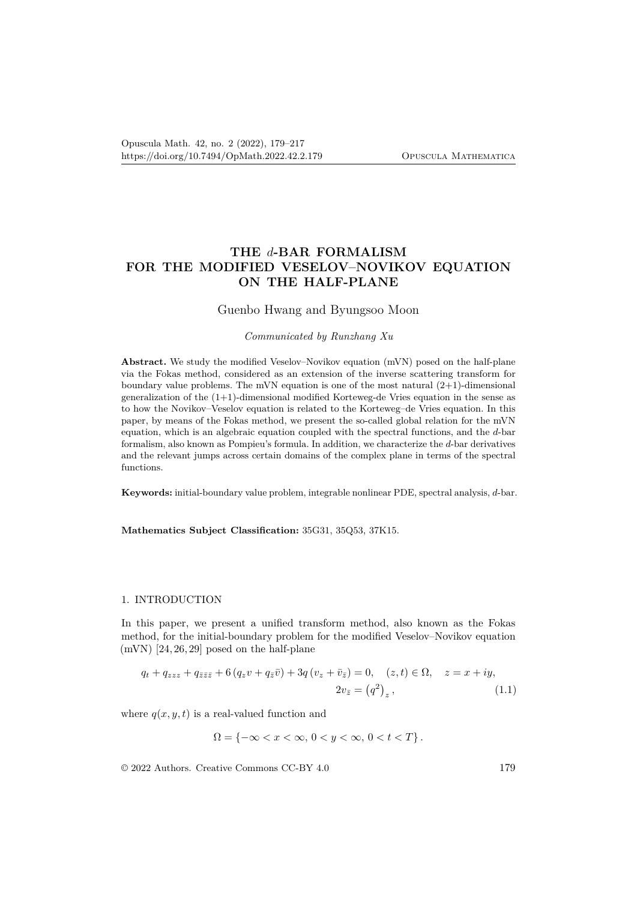# **THE** *d***-BAR FORMALISM FOR THE MODIFIED VESELOV–NOVIKOV EQUATION ON THE HALF-PLANE**

## Guenbo Hwang and Byungsoo Moon

#### *Communicated by Runzhang Xu*

**Abstract.** We study the modified Veselov–Novikov equation (mVN) posed on the half-plane via the Fokas method, considered as an extension of the inverse scattering transform for boundary value problems. The mVN equation is one of the most natural  $(2+1)$ -dimensional generalization of the (1+1)-dimensional modified Korteweg-de Vries equation in the sense as to how the Novikov–Veselov equation is related to the Korteweg–de Vries equation. In this paper, by means of the Fokas method, we present the so-called global relation for the mVN equation, which is an algebraic equation coupled with the spectral functions, and the *d*-bar formalism, also known as Pompieu's formula. In addition, we characterize the *d*-bar derivatives and the relevant jumps across certain domains of the complex plane in terms of the spectral functions.

**Keywords:** initial-boundary value problem, integrable nonlinear PDE, spectral analysis, *d*-bar.

**Mathematics Subject Classification:** 35G31, 35Q53, 37K15.

#### 1. INTRODUCTION

In this paper, we present a unified transform method, also known as the Fokas method, for the initial-boundary problem for the modified Veselov–Novikov equation  $(mVN)$  [24, 26, 29] posed on the half-plane

$$
q_t + q_{zz}z + q_{\bar{z}\bar{z}\bar{z}} + 6(q_z v + q_{\bar{z}}\bar{v}) + 3q(v_z + \bar{v}_{\bar{z}}) = 0, \quad (z, t) \in \Omega, \quad z = x + iy,
$$
  

$$
2v_{\bar{z}} = (q^2)_z, \tag{1.1}
$$

where  $q(x, y, t)$  is a real-valued function and

$$
\Omega = \{-\infty < x < \infty, \, 0 < y < \infty, \, 0 < t < T\} \, .
$$

© 2022 Authors. Creative Commons CC-BY 4.0 179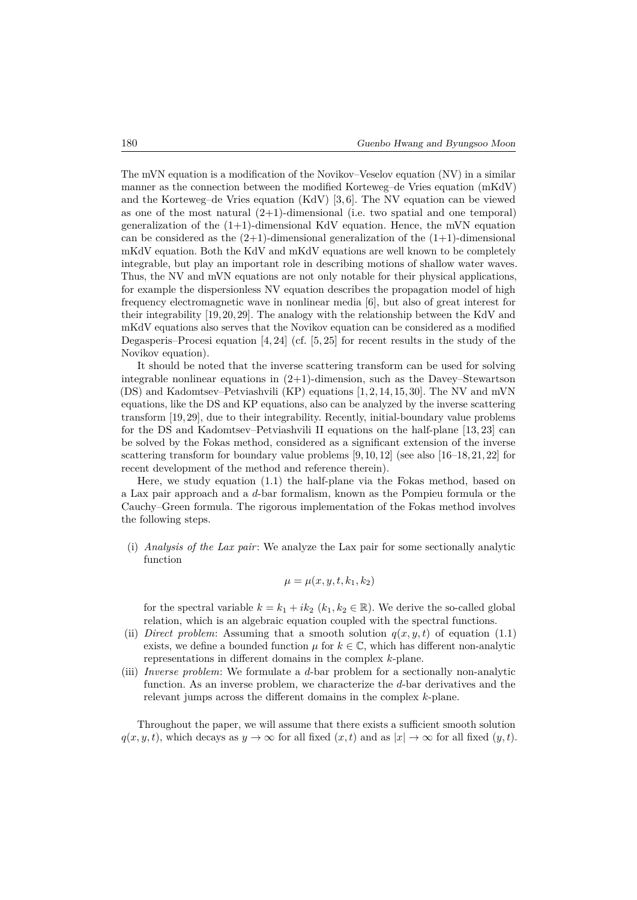The mVN equation is a modification of the Novikov–Veselov equation (NV) in a similar manner as the connection between the modified Korteweg–de Vries equation (mKdV) and the Korteweg–de Vries equation (KdV) [3, 6]. The NV equation can be viewed as one of the most natural  $(2+1)$ -dimensional (i.e. two spatial and one temporal) generalization of the  $(1+1)$ -dimensional KdV equation. Hence, the mVN equation can be considered as the  $(2+1)$ -dimensional generalization of the  $(1+1)$ -dimensional mKdV equation. Both the KdV and mKdV equations are well known to be completely integrable, but play an important role in describing motions of shallow water waves. Thus, the NV and mVN equations are not only notable for their physical applications, for example the dispersionless NV equation describes the propagation model of high frequency electromagnetic wave in nonlinear media [6], but also of great interest for their integrability [19, 20, 29]. The analogy with the relationship between the KdV and mKdV equations also serves that the Novikov equation can be considered as a modified Degasperis–Procesi equation [4, 24] (cf. [5, 25] for recent results in the study of the Novikov equation).

It should be noted that the inverse scattering transform can be used for solving integrable nonlinear equations in (2+1)-dimension, such as the Davey–Stewartson (DS) and Kadomtsev–Petviashvili (KP) equations [1, 2, 14, 15, 30]. The NV and mVN equations, like the DS and KP equations, also can be analyzed by the inverse scattering transform [19, 29], due to their integrability. Recently, initial-boundary value problems for the DS and Kadomtsev–Petviashvili II equations on the half-plane [13, 23] can be solved by the Fokas method, considered as a significant extension of the inverse scattering transform for boundary value problems  $[9, 10, 12]$  (see also  $[16–18, 21, 22]$  for recent development of the method and reference therein).

Here, we study equation (1.1) the half-plane via the Fokas method, based on a Lax pair approach and a *d*-bar formalism, known as the Pompieu formula or the Cauchy–Green formula. The rigorous implementation of the Fokas method involves the following steps.

(i) *Analysis of the Lax pair*: We analyze the Lax pair for some sectionally analytic function

$$
\mu = \mu(x, y, t, k_1, k_2)
$$

for the spectral variable  $k = k_1 + ik_2$  ( $k_1, k_2 \in \mathbb{R}$ ). We derive the so-called global relation, which is an algebraic equation coupled with the spectral functions.

- (ii) *Direct problem*: Assuming that a smooth solution  $q(x, y, t)$  of equation (1.1) exists, we define a bounded function  $\mu$  for  $k \in \mathbb{C}$ , which has different non-analytic representations in different domains in the complex *k*-plane.
- (iii) *Inverse problem*: We formulate a *d*-bar problem for a sectionally non-analytic function. As an inverse problem, we characterize the *d*-bar derivatives and the relevant jumps across the different domains in the complex *k*-plane.

Throughout the paper, we will assume that there exists a sufficient smooth solution  $q(x, y, t)$ , which decays as  $y \to \infty$  for all fixed  $(x, t)$  and as  $|x| \to \infty$  for all fixed  $(y, t)$ .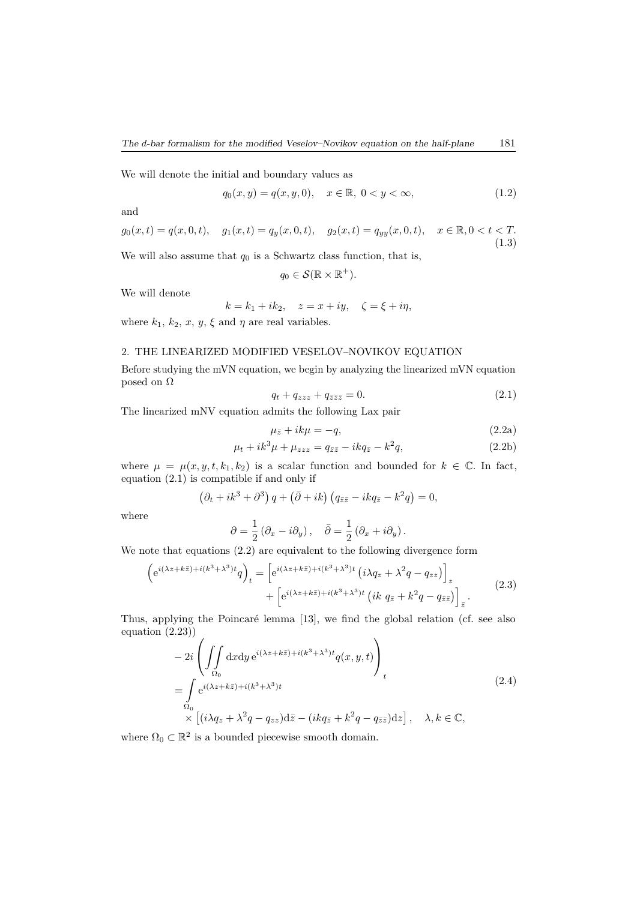We will denote the initial and boundary values as

$$
q_0(x, y) = q(x, y, 0), \quad x \in \mathbb{R}, \ 0 < y < \infty,\tag{1.2}
$$

and

$$
g_0(x,t) = q(x,0,t), \quad g_1(x,t) = q_y(x,0,t), \quad g_2(x,t) = q_{yy}(x,0,t), \quad x \in \mathbb{R}, 0 < t < T. \tag{1.3}
$$

We will also assume that  $q_0$  is a Schwartz class function, that is,

$$
q_0\in\mathcal{S}(\mathbb{R}\times\mathbb{R}^+).
$$

We will denote

$$
k = k_1 + ik_2, \quad z = x + iy, \quad \zeta = \xi + i\eta,
$$

where  $k_1$ ,  $k_2$ ,  $x$ ,  $y$ ,  $\xi$  and  $\eta$  are real variables.

#### 2. THE LINEARIZED MODIFIED VESELOV–NOVIKOV EQUATION

Before studying the mVN equation, we begin by analyzing the linearized mVN equation posed on Ω

$$
q_t + q_{zzz} + q_{\bar{z}\bar{z}\bar{z}} = 0.
$$
\n
$$
(2.1)
$$

The linearized mNV equation admits the following Lax pair

$$
\mu_{\bar{z}} + ik\mu = -q,\tag{2.2a}
$$

$$
\mu_t + ik^3 \mu + \mu_{zzz} = q_{\bar{z}\bar{z}} - ikq_{\bar{z}} - k^2 q,\tag{2.2b}
$$

where  $\mu = \mu(x, y, t, k_1, k_2)$  is a scalar function and bounded for  $k \in \mathbb{C}$ . In fact, equation (2.1) is compatible if and only if

$$
(\partial_t + ik^3 + \partial^3) q + (\bar{\partial} + ik) (q_{\bar{z}\bar{z}} - ikq_{\bar{z}} - k^2 q) = 0,
$$

where

$$
\partial = \frac{1}{2} (\partial_x - i \partial_y), \quad \bar{\partial} = \frac{1}{2} (\partial_x + i \partial_y).
$$

We note that equations (2.2) are equivalent to the following divergence form

$$
\left(e^{i(\lambda z + k\bar{z}) + i(k^3 + \lambda^3)t}q\right)_t = \left[e^{i(\lambda z + k\bar{z}) + i(k^3 + \lambda^3)t}\left(i\lambda q_z + \lambda^2 q - q_{zz}\right)\right]_z
$$
  
 
$$
+ \left[e^{i(\lambda z + k\bar{z}) + i(k^3 + \lambda^3)t}\left(ik\ q_{\bar{z}} + k^2 q - q_{\bar{z}\bar{z}}\right)\right]_{\bar{z}}.
$$
 (2.3)

Thus, applying the Poincaré lemma [13], we find the global relation (cf. see also equation (2.23))

$$
-2i\left(\iint\limits_{\Omega_0} dx dy e^{i(\lambda z + k\bar{z}) + i(k^3 + \lambda^3)t} q(x, y, t)\right)_t
$$
  
= 
$$
\int\limits_{\Omega_0} e^{i(\lambda z + k\bar{z}) + i(k^3 + \lambda^3)t} \tag{2.4}
$$
  

$$
\times \left[ (i\lambda q_z + \lambda^2 q - q_{zz}) d\bar{z} - (ikq_{\bar{z}} + k^2 q - q_{\bar{z}\bar{z}}) dz \right], \quad \lambda, k \in \mathbb{C},
$$

where  $\Omega_0 \subset \mathbb{R}^2$  is a bounded piecewise smooth domain.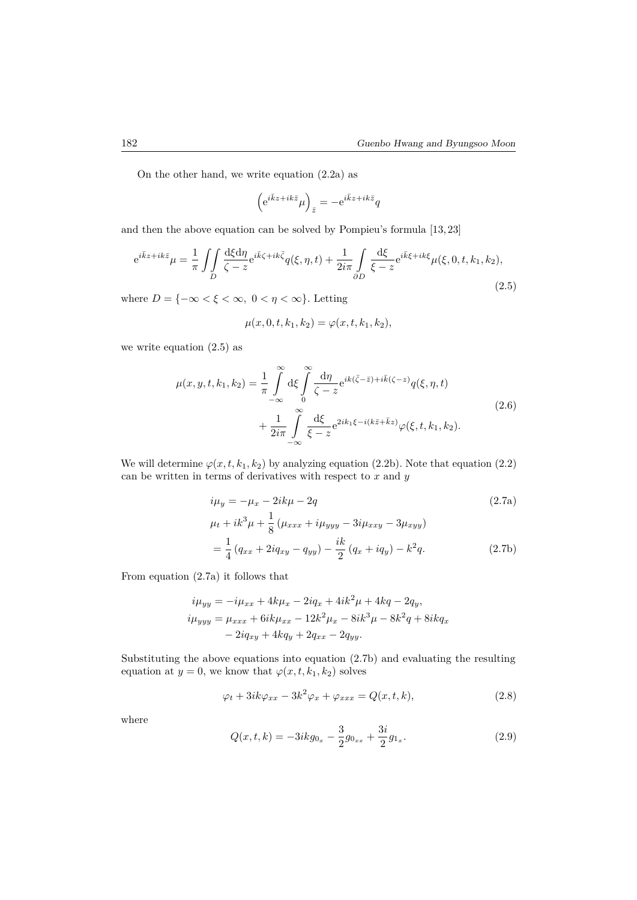On the other hand, we write equation (2.2a) as

$$
\left(\mathrm{e}^{i\bar{k}z+ik\bar{z}}\mu\right)_{\bar{z}}=-\mathrm{e}^{i\bar{k}z+ik\bar{z}}q
$$

and then the above equation can be solved by Pompieu's formula [13, 23]

$$
e^{i\bar{k}z+ik\bar{z}}\mu = \frac{1}{\pi} \iint_D \frac{d\xi d\eta}{\zeta - z} e^{i\bar{k}\zeta + ik\bar{\zeta}} q(\xi, \eta, t) + \frac{1}{2i\pi} \int_{\partial D} \frac{d\xi}{\xi - z} e^{i\bar{k}\xi + ik\xi} \mu(\xi, 0, t, k_1, k_2),\tag{2.5}
$$

where  $D = \{-\infty < \xi < \infty, 0 < \eta < \infty\}$ . Letting

$$
\mu(x,0,t,k_1,k_2) = \varphi(x,t,k_1,k_2),
$$

we write equation (2.5) as

$$
\mu(x, y, t, k_1, k_2) = \frac{1}{\pi} \int_{-\infty}^{\infty} d\xi \int_{0}^{\infty} \frac{d\eta}{\zeta - z} e^{ik(\bar{\zeta} - \bar{z}) + i\bar{k}(\zeta - z)} q(\xi, \eta, t)
$$
  
+ 
$$
\frac{1}{2i\pi} \int_{-\infty}^{\infty} \frac{d\xi}{\xi - z} e^{2ik_1\xi - i(k\bar{z} + \bar{k}z)} \varphi(\xi, t, k_1, k_2).
$$
 (2.6)

We will determine  $\varphi(x, t, k_1, k_2)$  by analyzing equation (2.2b). Note that equation (2.2) can be written in terms of derivatives with respect to *x* and *y*

$$
i\mu_y = -\mu_x - 2ik\mu - 2q
$$
\n
$$
\mu_t + ik^3\mu + \frac{1}{8}(\mu_{xxx} + i\mu_{yyy} - 3i\mu_{xxy} - 3\mu_{xyy})
$$
\n
$$
= \frac{1}{4}(q_{xx} + 2iq_{xy} - q_{yy}) - \frac{ik}{2}(q_x + iq_y) - k^2q.
$$
\n(2.7b)

From equation (2.7a) it follows that

$$
i\mu_{yy} = -i\mu_{xx} + 4k\mu_x - 2iq_x + 4ik^2\mu + 4kq - 2q_y,
$$
  
\n
$$
i\mu_{yyy} = \mu_{xxx} + 6ik\mu_{xx} - 12k^2\mu_x - 8ik^3\mu - 8k^2q + 8ikq_x
$$
  
\n
$$
- 2iq_{xy} + 4kq_y + 2q_{xx} - 2q_{yy}.
$$

Substituting the above equations into equation (2.7b) and evaluating the resulting equation at  $y = 0$ , we know that  $\varphi(x, t, k_1, k_2)$  solves

$$
\varphi_t + 3ik\varphi_{xx} - 3k^2\varphi_x + \varphi_{xxx} = Q(x, t, k), \qquad (2.8)
$$

where

$$
Q(x,t,k) = -3ikg_{0_x} - \frac{3}{2}g_{0_{xx}} + \frac{3i}{2}g_{1_x}.
$$
\n(2.9)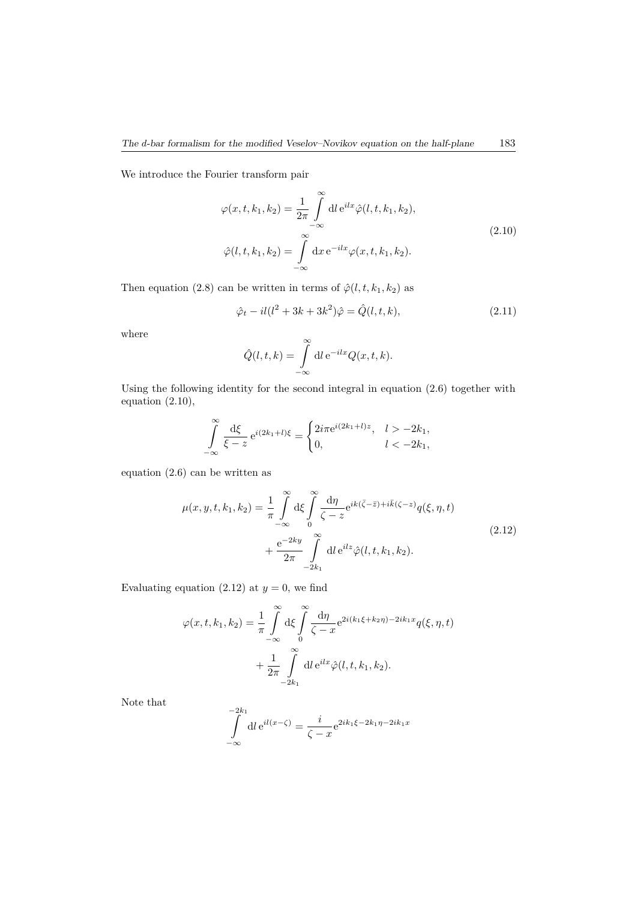We introduce the Fourier transform pair

$$
\varphi(x, t, k_1, k_2) = \frac{1}{2\pi} \int_{-\infty}^{\infty} dl e^{ilx} \hat{\varphi}(l, t, k_1, k_2),
$$
  

$$
\hat{\varphi}(l, t, k_1, k_2) = \int_{-\infty}^{\infty} dx e^{-ilx} \varphi(x, t, k_1, k_2).
$$
 (2.10)

Then equation (2.8) can be written in terms of  $\hat{\varphi}(l,t,k_1,k_2)$  as

$$
\hat{\varphi}_t - il(l^2 + 3k + 3k^2)\hat{\varphi} = \hat{Q}(l, t, k),
$$
\n(2.11)

where

$$
\hat{Q}(l,t,k) = \int_{-\infty}^{\infty} dl e^{-ilx} Q(x,t,k).
$$

Using the following identity for the second integral in equation (2.6) together with equation  $(2.10)$ ,

$$
\int_{-\infty}^{\infty} \frac{d\xi}{\xi - z} e^{i(2k_1 + l)\xi} = \begin{cases} 2i\pi e^{i(2k_1 + l)z}, & l > -2k_1, \\ 0, & l < -2k_1, \end{cases}
$$

equation (2.6) can be written as

$$
\mu(x, y, t, k_1, k_2) = \frac{1}{\pi} \int_{-\infty}^{\infty} d\xi \int_{0}^{\infty} \frac{d\eta}{\zeta - z} e^{ik(\bar{\zeta} - \bar{z}) + i\bar{k}(\zeta - z)} q(\xi, \eta, t) \n+ \frac{e^{-2ky}}{2\pi} \int_{-2k_1}^{\infty} dl e^{ilz} \hat{\varphi}(l, t, k_1, k_2).
$$
\n(2.12)

Evaluating equation (2.12) at  $y = 0$ , we find

$$
\varphi(x, t, k_1, k_2) = \frac{1}{\pi} \int_{-\infty}^{\infty} d\xi \int_{0}^{\infty} \frac{d\eta}{\zeta - x} e^{2i(k_1\xi + k_2\eta) - 2ik_1x} q(\xi, \eta, t)
$$

$$
+ \frac{1}{2\pi} \int_{-2k_1}^{\infty} dl e^{ilx} \hat{\varphi}(l, t, k_1, k_2).
$$

Note that

$$
\int_{-\infty}^{-2k_1} dl e^{il(x-\zeta)} = \frac{i}{\zeta - x} e^{2ik_1\xi - 2k_1\eta - 2ik_1x}
$$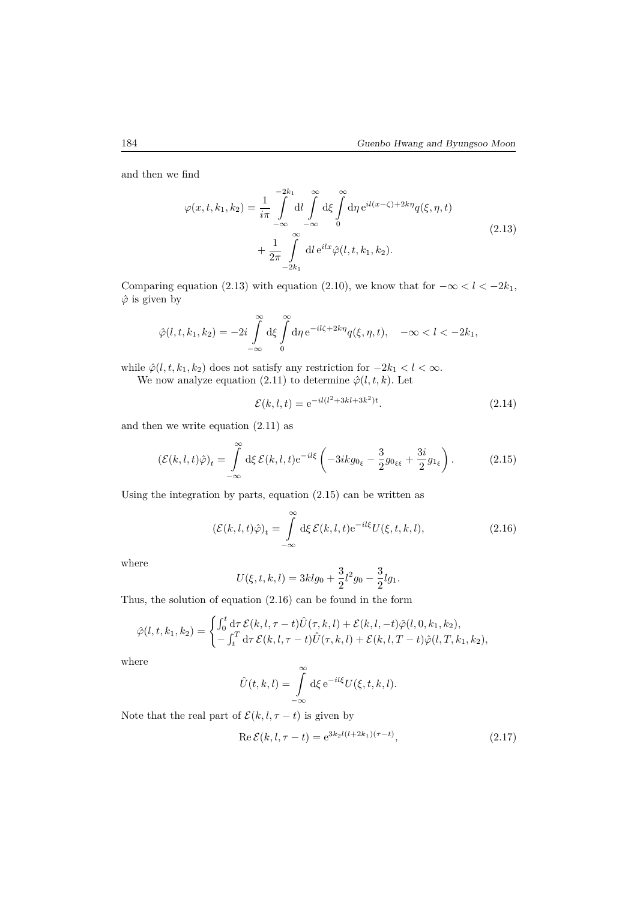and then we find

$$
\varphi(x, t, k_1, k_2) = \frac{1}{i\pi} \int_{-\infty}^{-2k_1} dl \int_{-\infty}^{\infty} d\xi \int_{0}^{\infty} d\eta e^{il(x-\zeta) + 2k\eta} q(\xi, \eta, t) + \frac{1}{2\pi} \int_{-2k_1}^{\infty} dl e^{ilx} \hat{\varphi}(l, t, k_1, k_2).
$$
\n(2.13)

Comparing equation (2.13) with equation (2.10), we know that for  $-\infty < l < -2k_1$ , *φ*ˆ is given by

$$
\hat{\varphi}(l,t,k_1,k_2) = -2i \int\limits_{-\infty}^{\infty} d\xi \int\limits_{0}^{\infty} d\eta \, e^{-il\zeta + 2k\eta} q(\xi,\eta,t), \quad -\infty < l < -2k_1,
$$

while  $\hat{\varphi}(l, t, k_1, k_2)$  does not satisfy any restriction for  $-2k_1 < l < \infty$ .

We now analyze equation (2.11) to determine  $\hat{\varphi}(l, t, k)$ . Let

$$
\mathcal{E}(k, l, t) = e^{-il(l^2 + 3kl + 3k^2)t}.
$$
\n(2.14)

and then we write equation (2.11) as

$$
\left(\mathcal{E}(k,l,t)\hat{\varphi}\right)_t = \int\limits_{-\infty}^{\infty} \mathrm{d}\xi \,\mathcal{E}(k,l,t) \mathrm{e}^{-il\xi} \left(-3ikg_{0\xi} - \frac{3}{2}g_{0\xi\xi} + \frac{3i}{2}g_{1\xi}\right). \tag{2.15}
$$

Using the integration by parts, equation (2.15) can be written as

$$
(\mathcal{E}(k,l,t)\hat{\varphi})_t = \int_{-\infty}^{\infty} d\xi \, \mathcal{E}(k,l,t) e^{-il\xi} U(\xi,t,k,l), \tag{2.16}
$$

where

$$
U(\xi, t, k, l) = 3klg_0 + \frac{3}{2}l^2g_0 - \frac{3}{2}lg_1.
$$

Thus, the solution of equation (2.16) can be found in the form

$$
\hat{\varphi}(l,t,k_1,k_2) = \begin{cases} \int_0^t d\tau \, \mathcal{E}(k,l,\tau-t) \hat{U}(\tau,k,l) + \mathcal{E}(k,l,-t) \hat{\varphi}(l,0,k_1,k_2), \\ -\int_t^T d\tau \, \mathcal{E}(k,l,\tau-t) \hat{U}(\tau,k,l) + \mathcal{E}(k,l,T-t) \hat{\varphi}(l,T,k_1,k_2), \end{cases}
$$

where

$$
\hat{U}(t,k,l) = \int_{-\infty}^{\infty} d\xi \, e^{-il\xi} U(\xi,t,k,l).
$$

Note that the real part of  $\mathcal{E}(k, l, \tau - t)$  is given by

$$
\operatorname{Re}\mathcal{E}(k, l, \tau - t) = e^{3k_2l(l+2k_1)(\tau - t)},\tag{2.17}
$$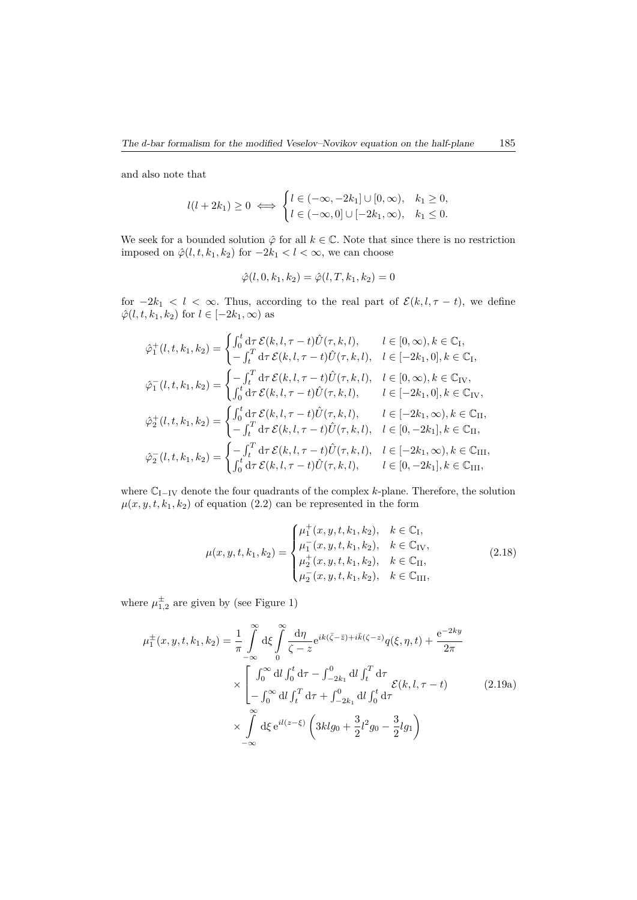and also note that

$$
l(l+2k_1) \ge 0 \iff \begin{cases} l \in (-\infty, -2k_1] \cup [0, \infty), & k_1 \ge 0, \\ l \in (-\infty, 0] \cup [-2k_1, \infty), & k_1 \le 0. \end{cases}
$$

We seek for a bounded solution  $\hat{\varphi}$  for all  $k \in \mathbb{C}$ . Note that since there is no restriction imposed on  $\hat{\varphi}(l, t, k_1, k_2)$  for  $-2k_1 < l < \infty$ , we can choose

$$
\hat{\varphi}(l, 0, k_1, k_2) = \hat{\varphi}(l, T, k_1, k_2) = 0
$$

for  $-2k_1 < l < \infty$ . Thus, according to the real part of  $\mathcal{E}(k, l, \tau - t)$ , we define  $\hat{\varphi}(l, t, k_1, k_2)$  for  $l \in [-2k_1, \infty)$  as

$$
\hat{\varphi}_{1}^{+}(l, t, k_{1}, k_{2}) = \begin{cases}\n\int_{0}^{t} d\tau \, \mathcal{E}(k, l, \tau - t) \hat{U}(\tau, k, l), & l \in [0, \infty), k \in \mathbb{C}_{I}, \\
-\int_{t}^{T} d\tau \, \mathcal{E}(k, l, \tau - t) \hat{U}(\tau, k, l), & l \in [-2k_{1}, 0], k \in \mathbb{C}_{I},\n\end{cases}
$$
\n
$$
\hat{\varphi}_{1}^{-}(l, t, k_{1}, k_{2}) = \begin{cases}\n-\int_{t}^{T} d\tau \, \mathcal{E}(k, l, \tau - t) \hat{U}(\tau, k, l), & l \in [0, \infty), k \in \mathbb{C}_{IV}, \\
\int_{0}^{t} d\tau \, \mathcal{E}(k, l, \tau - t) \hat{U}(\tau, k, l), & l \in [-2k_{1}, 0], k \in \mathbb{C}_{IV},\n\end{cases}
$$
\n
$$
\hat{\varphi}_{2}^{+}(l, t, k_{1}, k_{2}) = \begin{cases}\n\int_{0}^{t} d\tau \, \mathcal{E}(k, l, \tau - t) \hat{U}(\tau, k, l), & l \in [-2k_{1}, \infty), k \in \mathbb{C}_{II}, \\
-\int_{t}^{T} d\tau \, \mathcal{E}(k, l, \tau - t) \hat{U}(\tau, k, l), & l \in [0, -2k_{1}], k \in \mathbb{C}_{II},\n\end{cases}
$$
\n
$$
\hat{\varphi}_{2}^{-}(l, t, k_{1}, k_{2}) = \begin{cases}\n-\int_{t}^{T} d\tau \, \mathcal{E}(k, l, \tau - t) \hat{U}(\tau, k, l), & l \in [-2k_{1}, \infty), k \in \mathbb{C}_{III}, \\
\int_{0}^{t} d\tau \, \mathcal{E}(k, l, \tau - t) \hat{U}(\tau, k, l), & l \in [0, -2k_{1}], k \in \mathbb{C}_{III},\n\end{cases}
$$

where C<sup>I</sup>−IV denote the four quadrants of the complex *k*-plane. Therefore, the solution  $\mu(x, y, t, k_1, k_2)$  of equation (2.2) can be represented in the form

$$
\mu(x, y, t, k_1, k_2) = \begin{cases} \mu_1^+(x, y, t, k_1, k_2), & k \in \mathbb{C}_I, \\ \mu_1^-(x, y, t, k_1, k_2), & k \in \mathbb{C}_{IV}, \\ \mu_2^+(x, y, t, k_1, k_2), & k \in \mathbb{C}_{II}, \\ \mu_2^-(x, y, t, k_1, k_2), & k \in \mathbb{C}_{III}, \end{cases}
$$
(2.18)

where  $\mu_{1,2}^{\pm}$  are given by (see Figure 1)

$$
\mu_1^{\pm}(x, y, t, k_1, k_2) = \frac{1}{\pi} \int_{-\infty}^{\infty} d\xi \int_{0}^{\infty} \frac{d\eta}{\zeta - z} e^{ik(\bar{\zeta} - \bar{z}) + i\bar{k}(\zeta - z)} q(\xi, \eta, t) + \frac{e^{-2ky}}{2\pi}
$$

$$
\times \left[ \int_{0}^{\infty} d\eta \int_{0}^{t} d\tau - \int_{-2k_1}^{0} d\eta \int_{t}^{T} d\tau + \int_{-2k_1}^{0} d\eta \int_{0}^{t} d\tau \right]
$$

$$
\times \int_{-\infty}^{\infty} d\xi e^{il(z - \xi)} \left( 3klg_0 + \frac{3}{2}l^2g_0 - \frac{3}{2}lg_1 \right)
$$
(2.19a)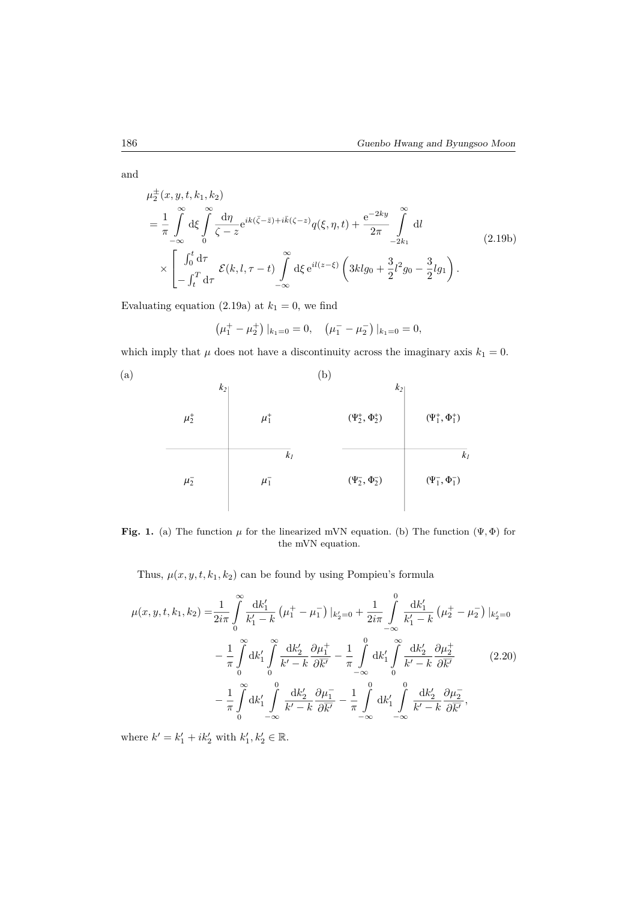and

$$
\mu_{2}^{\pm}(x, y, t, k_{1}, k_{2})
$$
\n
$$
= \frac{1}{\pi} \int_{-\infty}^{\infty} d\xi \int_{0}^{\infty} \frac{d\eta}{\zeta - z} e^{ik(\bar{\zeta} - \bar{z}) + i\bar{k}(\zeta - z)} q(\xi, \eta, t) + \frac{e^{-2ky}}{2\pi} \int_{-2k_{1}}^{\infty} dl
$$
\n
$$
\times \left[ \int_{0}^{t} d\tau \int_{- \int_{t}^{T} d\tau} \mathcal{E}(k, l, \tau - t) \int_{-\infty}^{\infty} d\xi e^{il(z - \xi)} \left( 3klg_{0} + \frac{3}{2}l^{2}g_{0} - \frac{3}{2}lg_{1} \right) . \right]
$$
\n(2.19b)

Evaluating equation (2.19a) at  $k_1 = 0$ , we find

$$
\left(\mu_1^+ - \mu_2^+\right)|_{k_1=0} = 0, \quad \left(\mu_1^- - \mu_2^-\right)|_{k_1=0} = 0,
$$

which imply that  $\mu$  does not have a discontinuity across the imaginary axis  $k_1 = 0$ .



**Fig. 1.** (a) The function  $\mu$  for the linearized mVN equation. (b) The function  $(\Psi, \Phi)$  for the mVN equation.

Thus,  $\mu(x, y, t, k_1, k_2)$  can be found by using Pompieu's formula

$$
\mu(x, y, t, k_1, k_2) = \frac{1}{2i\pi} \int_0^\infty \frac{dk_1'}{k_1' - k} \left(\mu_1^+ - \mu_1^-\right) |_{k_2' = 0} + \frac{1}{2i\pi} \int_{-\infty}^0 \frac{dk_1'}{k_1' - k} \left(\mu_2^+ - \mu_2^-\right) |_{k_2' = 0}
$$

$$
- \frac{1}{\pi} \int_0^\infty dk_1' \int_0^\infty \frac{dk_2'}{k' - k} \frac{\partial \mu_1^+}{\partial \overline{k'}} - \frac{1}{\pi} \int_{-\infty}^0 dk_1' \int_0^\infty \frac{dk_2'}{k' - k} \frac{\partial \mu_2^+}{\partial \overline{k'}} \qquad (2.20)
$$

$$
- \frac{1}{\pi} \int_0^\infty dk_1' \int_{-\infty}^0 \frac{dk_2'}{k' - k} \frac{\partial \mu_1^-}{\partial \overline{k'}} - \frac{1}{\pi} \int_{-\infty}^0 dk_1' \int_0^0 \frac{dk_2'}{k' - k} \frac{\partial \mu_2^-}{\partial \overline{k'}},
$$

where  $k' = k'_1 + ik'_2$  with  $k'_1, k'_2 \in \mathbb{R}$ .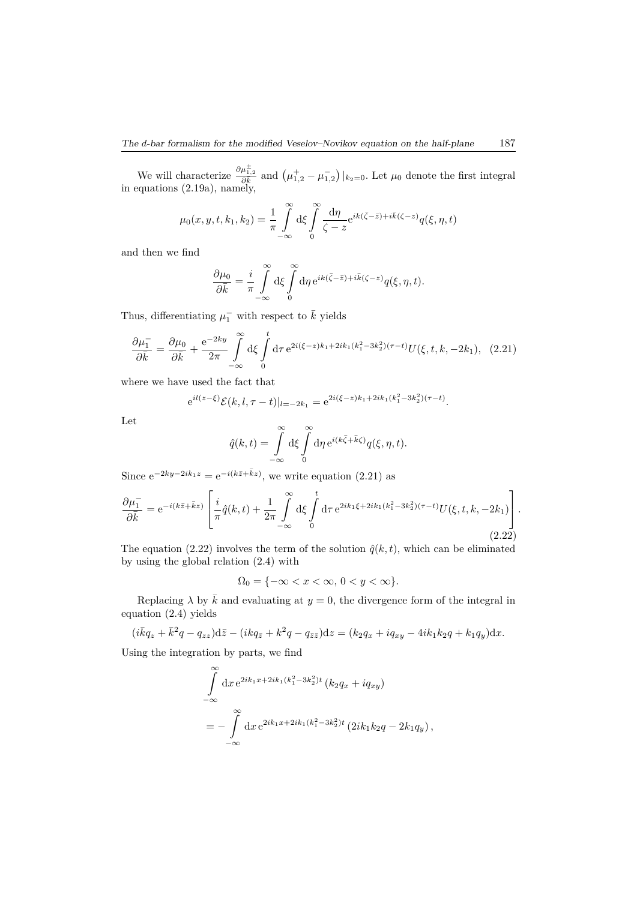We will characterize  $\frac{\partial \mu_{1,2}^{\pm}}{\partial \vec{k}}$  and  $(\mu_{1,2}^{\pm} - \mu_{1,2}^{-})|_{k_2=0}$ . Let  $\mu_0$  denote the first integral in equations (2.19a), namely,

$$
\mu_0(x, y, t, k_1, k_2) = \frac{1}{\pi} \int_{-\infty}^{\infty} d\xi \int_{0}^{\infty} \frac{d\eta}{\zeta - z} e^{ik(\bar{\zeta} - \bar{z}) + i\bar{k}(\zeta - z)} q(\xi, \eta, t)
$$

and then we find

$$
\frac{\partial \mu_0}{\partial \bar{k}} = \frac{i}{\pi} \int_{-\infty}^{\infty} d\xi \int_{0}^{\infty} d\eta e^{ik(\bar{\zeta} - \bar{z}) + i\bar{k}(\zeta - z)} q(\xi, \eta, t).
$$

Thus, differentiating  $\mu_1^-$  with respect to  $\bar{k}$  yields

$$
\frac{\partial \mu_1^-}{\partial \bar{k}} = \frac{\partial \mu_0}{\partial \bar{k}} + \frac{e^{-2ky}}{2\pi} \int_{-\infty}^{\infty} d\xi \int_{0}^{t} d\tau \, e^{2i(\xi - z)k_1 + 2ik_1(k_1^2 - 3k_2^2)(\tau - t)} U(\xi, t, k, -2k_1), \tag{2.21}
$$

where we have used the fact that

$$
e^{il(z-\xi)}\mathcal{E}(k, l, \tau - t)|_{l=-2k_1} = e^{2i(\xi - z)k_1 + 2ik_1(k_1^2 - 3k_2^2)(\tau - t)}.
$$

Let

$$
\hat{q}(k,t) = \int_{-\infty}^{\infty} d\xi \int_{0}^{\infty} d\eta e^{i(k\bar{\zeta} + \bar{k}\zeta)} q(\xi, \eta, t).
$$

Since  $e^{-2ky-2ik_1z} = e^{-i(k\bar{z}+\bar{k}z)}$ , we write equation (2.21) as

$$
\frac{\partial \mu_1^-}{\partial \bar{k}} = e^{-i(k\bar{z} + \bar{k}z)} \left[ \frac{i}{\pi} \hat{q}(k, t) + \frac{1}{2\pi} \int_{-\infty}^{\infty} d\xi \int_{0}^{t} d\tau \, e^{2ik_1\xi + 2ik_1(k_1^2 - 3k_2^2)(\tau - t)} U(\xi, t, k, -2k_1) \right].
$$
\n(2.22)

The equation (2.22) involves the term of the solution  $\hat{q}(k, t)$ , which can be eliminated by using the global relation (2.4) with

$$
\Omega_0 = \{-\infty < x < \infty, \, 0 < y < \infty\}.
$$

Replacing  $\lambda$  by  $\bar{k}$  and evaluating at  $y = 0$ , the divergence form of the integral in equation (2.4) yields

 $(i\bar{k}q_z + \bar{k}^2q - q_{zz})d\bar{z} - (ikq_{\bar{z}} + k^2q - q_{\bar{z}\bar{z}})dz = (k_2q_x + iq_{xy} - 4ik_1k_2q + k_1q_y)dx.$ 

Using the integration by parts, we find

$$
\int_{-\infty}^{\infty} dx e^{2ik_1x+2ik_1(k_1^2-3k_2^2)t} (k_2q_x+iq_{xy})
$$
  
= 
$$
-\int_{-\infty}^{\infty} dx e^{2ik_1x+2ik_1(k_1^2-3k_2^2)t} (2ik_1k_2q-2k_1q_y),
$$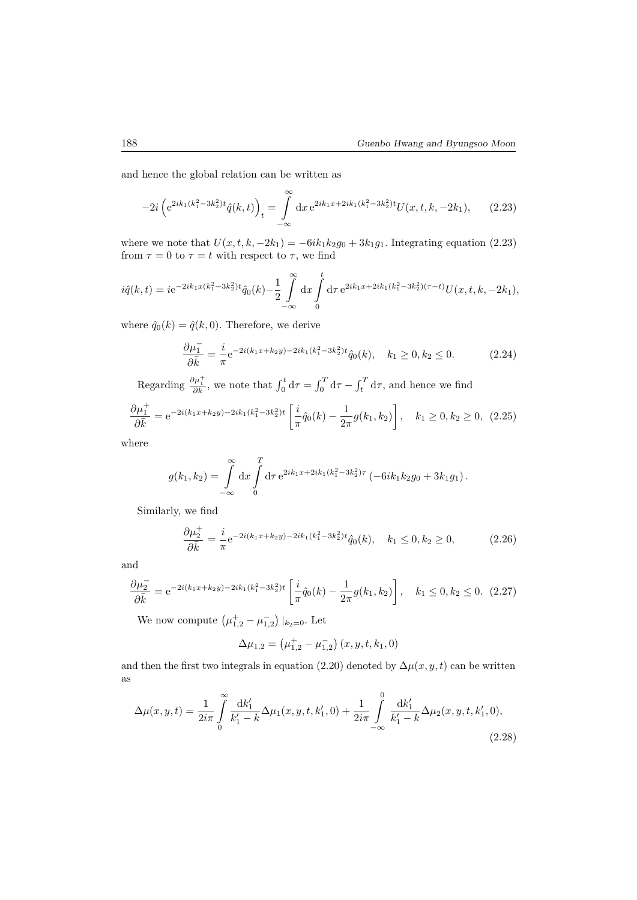and hence the global relation can be written as

$$
-2i\left(e^{2ik_1(k_1^2-3k_2^2)t}\hat{q}(k,t)\right)_t = \int\limits_{-\infty}^{\infty} dx \, e^{2ik_1x+2ik_1(k_1^2-3k_2^2)t} U(x,t,k,-2k_1),\qquad(2.23)
$$

where we note that  $U(x, t, k, -2k_1) = -6ik_1k_2g_0 + 3k_1g_1$ . Integrating equation (2.23) from  $\tau = 0$  to  $\tau = t$  with respect to  $\tau$ , we find

$$
i\hat{q}(k,t) = ie^{-2ik_1x(k_1^2 - 3k_2^2)t}\hat{q}_0(k) - \frac{1}{2}\int_{-\infty}^{\infty} dx \int_{0}^{t} d\tau e^{2ik_1x + 2ik_1(k_1^2 - 3k_2^2)(\tau - t)}U(x,t,k,-2k_1),
$$

where  $\hat{q}_0(k) = \hat{q}(k, 0)$ . Therefore, we derive

$$
\frac{\partial \mu_1^-}{\partial \bar{k}} = \frac{i}{\pi} e^{-2i(k_1 x + k_2 y) - 2ik_1(k_1^2 - 3k_2^2)t} \hat{q}_0(k), \quad k_1 \ge 0, k_2 \le 0.
$$
 (2.24)

Regarding  $\frac{\partial \mu_1^+}{\partial k}$ , we note that  $\int_0^t d\tau = \int_0^T d\tau - \int_t^T d\tau$ , and hence we find

$$
\frac{\partial \mu_1^+}{\partial \bar{k}} = e^{-2i(k_1x + k_2y) - 2ik_1(k_1^2 - 3k_2^2)t} \left[ \frac{i}{\pi} \hat{q}_0(k) - \frac{1}{2\pi} g(k_1, k_2) \right], \quad k_1 \ge 0, k_2 \ge 0, \tag{2.25}
$$

where

$$
g(k_1, k_2) = \int_{-\infty}^{\infty} dx \int_{0}^{T} d\tau e^{2ik_1x + 2ik_1(k_1^2 - 3k_2^2)\tau} (-6ik_1k_2g_0 + 3k_1g_1).
$$

Similarly, we find

$$
\frac{\partial \mu_2^+}{\partial \bar{k}} = \frac{i}{\pi} e^{-2i(k_1 x + k_2 y) - 2ik_1(k_1^2 - 3k_2^2)t} \hat{q}_0(k), \quad k_1 \le 0, k_2 \ge 0,
$$
\n(2.26)

and

$$
\frac{\partial \mu_2^-}{\partial \bar{k}} = e^{-2i(k_1x + k_2y) - 2ik_1(k_1^2 - 3k_2^2)t} \left[ \frac{i}{\pi} \hat{q}_0(k) - \frac{1}{2\pi} g(k_1, k_2) \right], \quad k_1 \le 0, k_2 \le 0. \tag{2.27}
$$

We now compute  $(\mu_{1,2}^+ - \mu_{1,2}^-)|_{k_2=0}$ . Let

$$
\Delta \mu_{1,2} = \left( \mu^+_{1,2} - \mu^-_{1,2} \right) (x,y,t,k_1,0)
$$

and then the first two integrals in equation (2.20) denoted by  $\Delta \mu(x, y, t)$  can be written as

$$
\Delta\mu(x,y,t) = \frac{1}{2i\pi} \int_{0}^{\infty} \frac{\mathrm{d}k_1'}{k_1' - k} \Delta\mu_1(x,y,t,k_1',0) + \frac{1}{2i\pi} \int_{-\infty}^{0} \frac{\mathrm{d}k_1'}{k_1' - k} \Delta\mu_2(x,y,t,k_1',0),\tag{2.28}
$$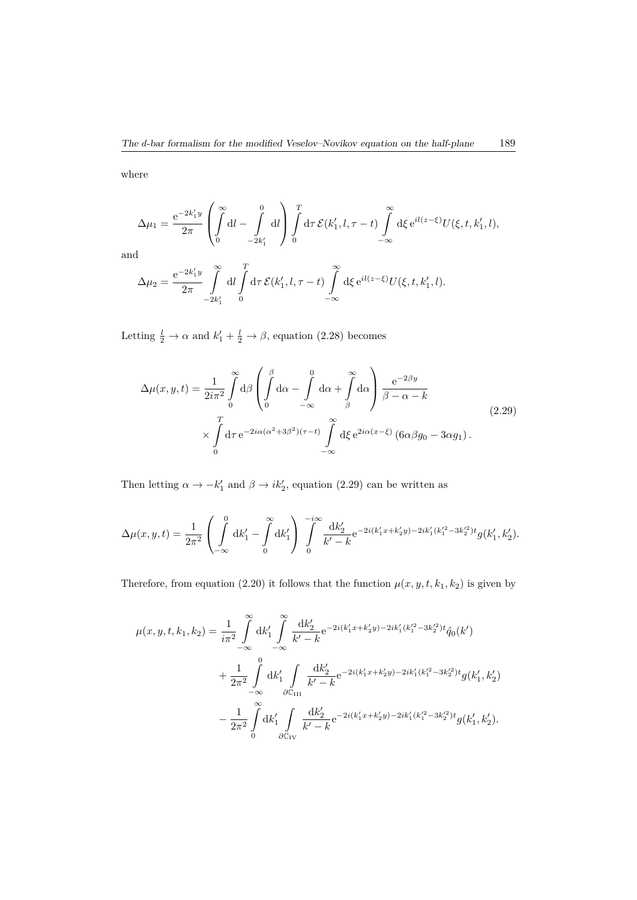where

$$
\Delta \mu_1 = \frac{e^{-2k_1' y}}{2\pi} \left( \int\limits_0^\infty dl - \int\limits_{-2k_1'}^0 dl \right) \int\limits_0^T d\tau \, \mathcal{E}(k_1', l, \tau - t) \int\limits_{-\infty}^\infty d\xi \, e^{il(z-\xi)} U(\xi, t, k_1', l),
$$

and

$$
\Delta \mu_2 = \frac{e^{-2k_1' y}}{2\pi} \int_{-2k_1'}^{\infty} dl \int_{0}^{T} d\tau \, \mathcal{E}(k_1', l, \tau - t) \int_{-\infty}^{\infty} d\xi \, e^{il(z - \xi)} U(\xi, t, k_1', l).
$$

Letting  $\frac{l}{2} \to \alpha$  and  $k'_1 + \frac{l}{2} \to \beta$ , equation (2.28) becomes

$$
\Delta\mu(x,y,t) = \frac{1}{2i\pi^2} \int_0^\infty d\beta \left( \int_0^\beta d\alpha - \int_{-\infty}^0 d\alpha + \int_\beta^\infty d\alpha \right) \frac{e^{-2\beta y}}{\beta - \alpha - k}
$$
\n
$$
\times \int_0^T d\tau \, e^{-2i\alpha(\alpha^2 + 3\beta^2)(\tau - t)} \int_{-\infty}^\infty d\xi \, e^{2i\alpha(x - \xi)} \left(6\alpha\beta g_0 - 3\alpha g_1\right).
$$
\n(2.29)

Then letting  $\alpha \to -k'_1$  and  $\beta \to ik'_2$ , equation (2.29) can be written as

$$
\Delta\mu(x,y,t) = \frac{1}{2\pi^2} \left( \int_{-\infty}^0 dk_1' - \int_0^{\infty} dk_1' \right) \int_0^{-i\infty} \frac{dk_2'}{k'-k} e^{-2i(k_1'x + k_2'y) - 2ik_1'(k_1'^2 - 3k_2'^2)t} g(k_1',k_2').
$$

Therefore, from equation (2.20) it follows that the function  $\mu(x, y, t, k_1, k_2)$  is given by

$$
\mu(x, y, t, k_1, k_2) = \frac{1}{i\pi^2} \int_{-\infty}^{\infty} dk'_1 \int_{-\infty}^{\infty} \frac{dk'_2}{k' - k} e^{-2i(k'_1 x + k'_2 y) - 2ik'_1(k_1'^2 - 3k_2'^2)t} \hat{q}_0(k')
$$
  
+ 
$$
\frac{1}{2\pi^2} \int_{-\infty}^{0} dk'_1 \int_{\partial C_{III}} \frac{dk'_2}{k' - k} e^{-2i(k'_1 x + k'_2 y) - 2ik'_1(k_1'^2 - 3k_2'^2)t} g(k'_1, k'_2)
$$
  
- 
$$
\frac{1}{2\pi^2} \int_{0}^{\infty} dk'_1 \int_{\partial C_{IV}} \frac{dk'_2}{k' - k} e^{-2i(k'_1 x + k'_2 y) - 2ik'_1(k_1'^2 - 3k_2'^2)t} g(k'_1, k'_2).
$$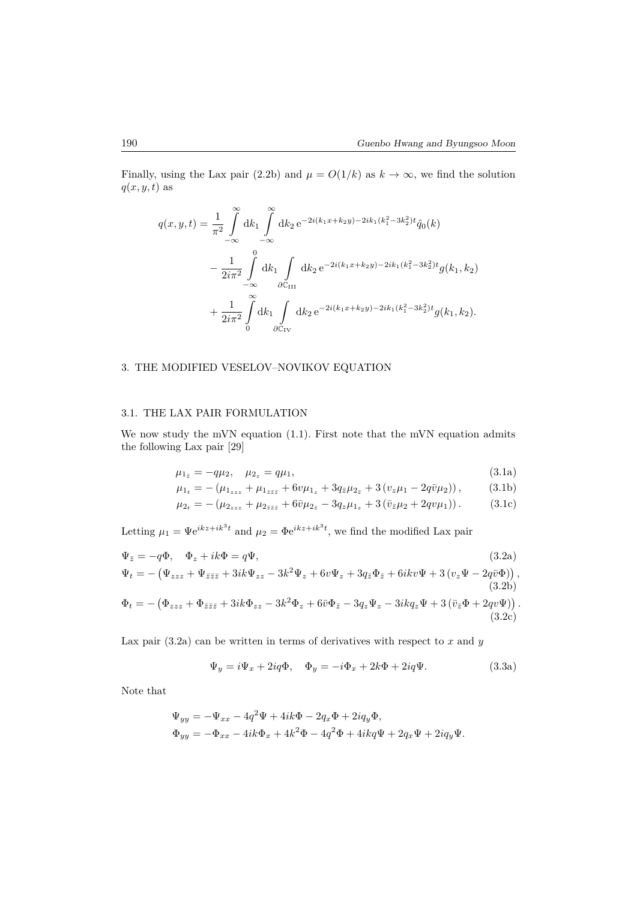Finally, using the Lax pair (2.2b) and  $\mu = O(1/k)$  as  $k \to \infty$ , we find the solution  $q(x, y, t)$  as

$$
q(x, y, t) = \frac{1}{\pi^2} \int_{-\infty}^{\infty} dk_1 \int_{-\infty}^{\infty} dk_2 e^{-2i(k_1x + k_2y) - 2ik_1(k_1^2 - 3k_2^2)t} \hat{q}_0(k)
$$
  

$$
- \frac{1}{2i\pi^2} \int_{-\infty}^{0} dk_1 \int_{\partial\mathbb{C}_{III}} dk_2 e^{-2i(k_1x + k_2y) - 2ik_1(k_1^2 - 3k_2^2)t} g(k_1, k_2)
$$
  

$$
+ \frac{1}{2i\pi^2} \int_{0}^{\infty} dk_1 \int_{\partial\mathbb{C}_{IV}} dk_2 e^{-2i(k_1x + k_2y) - 2ik_1(k_1^2 - 3k_2^2)t} g(k_1, k_2).
$$

### 3. THE MODIFIED VESELOV–NOVIKOV EQUATION

#### 3.1. THE LAX PAIR FORMULATION

We now study the mVN equation (1.1). First note that the mVN equation admits the following Lax pair [29]

$$
\mu_{1_{\bar{z}}} = -q\mu_2, \quad \mu_{2_z} = q\mu_1,\tag{3.1a}
$$

$$
\mu_{1_t} = -\left(\mu_{1_{zzz}} + \mu_{1_{\bar{z}\bar{z}\bar{z}}} + 6v\mu_{1_z} + 3q_{\bar{z}}\mu_{2_{\bar{z}}} + 3\left(v_z\mu_1 - 2q\bar{v}\mu_2\right)\right),\tag{3.1b}
$$

$$
\mu_{2t} = -(\mu_{2zz} + \mu_{2\bar{z}\bar{z}} + 6\bar{\upsilon}\mu_{2\bar{z}} - 3q_z\mu_{1z} + 3(\bar{\upsilon}_{\bar{z}}\mu_2 + 2qv\mu_1)).
$$
 (3.1c)

Letting  $\mu_1 = \Psi e^{ikz + ik^3t}$  and  $\mu_2 = \Phi e^{ikz + ik^3t}$ , we find the modified Lax pair

$$
\Psi_{\bar{z}} = -q\Phi, \quad \Phi_z + ik\Phi = q\Psi,
$$
\n
$$
\Psi_t = -(\Psi_{zzz} + \Psi_{\bar{z}\bar{z}\bar{z}} + 3ik\Psi_{zz} - 3k^2\Psi_z + 6v\Psi_z + 3q_{\bar{z}}\Phi_{\bar{z}} + 6ikv\Psi + 3(v_z\Psi - 2q\bar{v}\Phi)),
$$
\n
$$
\Phi_t = -(\Phi_{zzz} + \Phi_{\bar{z}\bar{z}\bar{z}} + 3ik\Phi_{zz} - 3k^2\Phi_z + 6\bar{v}\Phi_{\bar{z}} - 3q_z\Psi_z - 3ikq_z\Psi + 3(\bar{v}_{\bar{z}}\Phi + 2qv\Psi)).
$$
\n(3.2c)

Lax pair  $(3.2a)$  can be written in terms of derivatives with respect to *x* and *y* 

$$
\Psi_y = i\Psi_x + 2iq\Phi, \quad \Phi_y = -i\Phi_x + 2k\Phi + 2iq\Psi.
$$
\n(3.3a)

Note that

$$
\Psi_{yy} = -\Psi_{xx} - 4q^2\Psi + 4ik\Phi - 2q_x\Phi + 2iq_y\Phi,
$$
  
\n
$$
\Phi_{yy} = -\Phi_{xx} - 4ik\Phi_x + 4k^2\Phi - 4q^2\Phi + 4ikq\Psi + 2q_x\Psi + 2iq_y\Psi.
$$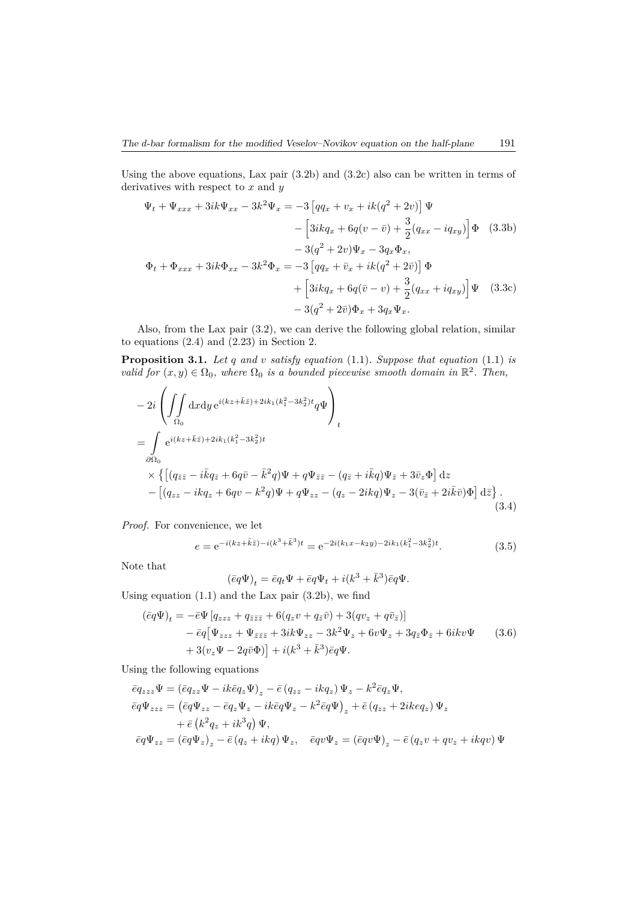Using the above equations, Lax pair (3.2b) and (3.2c) also can be written in terms of derivatives with respect to *x* and *y*

$$
\Psi_t + \Psi_{xxx} + 3ik\Psi_{xx} - 3k^2\Psi_x = -3\left[qq_x + v_x + ik(q^2 + 2v)\right]\Psi
$$
  
\n
$$
-\left[3ikq_x + 6q(v - \bar{v}) + \frac{3}{2}(q_{xx} - iq_{xy})\right]\Phi
$$
(3.3b)  
\n
$$
-3(q^2 + 2v)\Psi_x - 3q_x\Phi_x,
$$
  
\n
$$
\Phi_t + \Phi_{xxx} + 3ik\Phi_{xx} - 3k^2\Phi_x = -3\left[qq_x + \bar{v}_x + ik(q^2 + 2\bar{v})\right]\Phi
$$
  
\n
$$
+\left[3ikq_x + 6q(\bar{v} - v) + \frac{3}{2}(q_{xx} + iq_{xy})\right]\Psi
$$
(3.3c)  
\n
$$
-3(q^2 + 2\bar{v})\Phi_x + 3q_x\Psi_x.
$$

Also, from the Lax pair (3.2), we can derive the following global relation, similar to equations (2.4) and (2.23) in Section 2.

**Proposition 3.1.** *Let q and v satisfy equation* (1.1)*. Suppose that equation* (1.1) *is valid for*  $(x, y) \in \Omega_0$ , where  $\Omega_0$  *is a bounded piecewise smooth domain in*  $\mathbb{R}^2$ . Then,

$$
- 2i \left( \iint\limits_{\Omega_0} dx dy e^{i(kz + \bar{k}\bar{z}) + 2ik_1(k_1^2 - 3k_2^2)t} q\Psi \right)_t
$$
  
\n
$$
= \int\limits_{\partial\Omega_0} e^{i(kz + \bar{k}\bar{z}) + 2ik_1(k_1^2 - 3k_2^2)t} \times \left\{ \left[ (q_{\bar{z}\bar{z}} - i\bar{k}q_{\bar{z}} + 6q\bar{v} - \bar{k}^2 q) \Psi + q\Psi_{\bar{z}\bar{z}} - (q_{\bar{z}} + i\bar{k}q) \Psi_{\bar{z}} + 3\bar{v}_z \Phi \right] dz - \left[ (q_{zz} - ikq_z + 6qv - k^2 q) \Psi + q\Psi_{zz} - (q_z - 2ikq) \Psi_z - 3(\bar{v}_{\bar{z}} + 2i\bar{k}\bar{v}) \Phi \right] d\bar{z} \right\}.
$$
\n(3.4)

*Proof.* For convenience, we let

$$
e = e^{-i(kz + \bar{k}\bar{z}) - i(k^3 + \bar{k}^3)t} = e^{-2i(k_1x - k_2y) - 2ik_1(k_1^2 - 3k_2^2)t}.
$$
\n(3.5)

Note that

$$
(\bar{e}q\Psi)_t = \bar{e}q_t\Psi + \bar{e}q\Psi_t + i(k^3 + \bar{k}^3)\bar{e}q\Psi.
$$

Using equation  $(1.1)$  and the Lax pair  $(3.2b)$ , we find

$$
(\bar{e}q\Psi)_t = -\bar{e}\Psi \left[q_{zzz} + q_{\bar{z}\bar{z}\bar{z}} + 6(q_z v + q_{\bar{z}}\bar{v}) + 3(qv_z + q\bar{v}_{\bar{z}})\right] - \bar{e}q \left[\Psi_{zzz} + \Psi_{\bar{z}\bar{z}\bar{z}} + 3ik\Psi_{zz} - 3k^2\Psi_z + 6v\Psi_z + 3q_{\bar{z}}\Phi_{\bar{z}} + 6ikv\Psi \right] + 3(v_z\Psi - 2q\bar{v}\Phi)\right] + i(k^3 + \bar{k}^3)\bar{e}q\Psi.
$$
\n(3.6)

Using the following equations

$$
\begin{aligned} \bar{e} q_{zzz} \Psi &= \left(\bar{e} q_{zz} \Psi - i k \bar{e} q_z \Psi \right)_z - \bar{e} \left( q_{zz} - i k q_z \right) \Psi_z - k^2 \bar{e} q_z \Psi, \\ \bar{e} q \Psi_{zzz} &= \left(\bar{e} q \Psi_{zz} - \bar{e} q_z \Psi_z - i k \bar{e} q \Psi_z - k^2 \bar{e} q \Psi \right)_z + \bar{e} \left( q_{zz} + 2 i k e q_z \right) \Psi_z \\ &\quad + \bar{e} \left( k^2 q_z + i k^3 q \right) \Psi, \\ \bar{e} q \Psi_{zz} &= \left(\bar{e} q \Psi_z \right)_z - \bar{e} \left( q_z + i k q \right) \Psi_z, \quad \bar{e} q v \Psi_z = \left(\bar{e} q v \Psi \right)_z - \bar{e} \left( q_z v + q v_z + i k q v \right) \Psi \end{aligned}
$$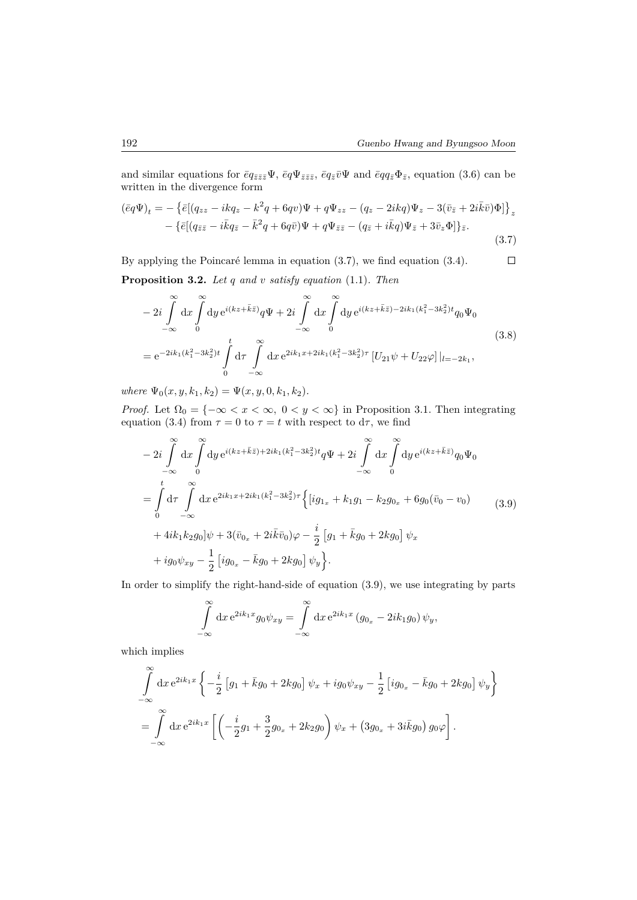and similar equations for  $\bar{e}q_{\bar{z}\bar{z}\bar{z}}\Psi$ ,  $\bar{e}q\Psi_{\bar{z}\bar{z}\bar{z}}$ ,  $\bar{e}q_{\bar{z}}\bar{v}\Psi$  and  $\bar{e}qq_{\bar{z}}\Phi_{\bar{z}}$ , equation (3.6) can be written in the divergence form

$$
(\bar{e}q\Psi)_t = -\left\{\bar{e}[(q_{zz} - ikq_z - k^2q + 6qv)\Psi + q\Psi_{zz} - (q_z - 2ikq)\Psi_z - 3(\bar{v}_{\bar{z}} + 2i\bar{k}\bar{v})\Phi]\right\}_z -\left\{\bar{e}[(q_{\bar{z}\bar{z}} - i\bar{k}q_{\bar{z}} - \bar{k}^2q + 6q\bar{v})\Psi + q\Psi_{\bar{z}\bar{z}} - (q_{\bar{z}} + i\bar{k}q)\Psi_{\bar{z}} + 3\bar{v}_z\Phi]\right\}_{\bar{z}}.
$$
\n(3.7)

By applying the Poincaré lemma in equation (3.7), we find equation (3.4).  $\Box$ **Proposition 3.2.** *Let q and v satisfy equation* (1.1)*. Then*

$$
-2i\int_{-\infty}^{\infty} dx \int_{0}^{\infty} dy e^{i(kz+\bar{k}\bar{z})} q\Psi + 2i\int_{-\infty}^{\infty} dx \int_{0}^{\infty} dy e^{i(kz+\bar{k}\bar{z})-2ik_1(k_1^2-3k_2^2)t} q_0 \Psi_0
$$
  
\n
$$
= e^{-2ik_1(k_1^2-3k_2^2)t} \int_{0}^{t} d\tau \int_{-\infty}^{\infty} dx e^{2ik_1x+2ik_1(k_1^2-3k_2^2)\tau} [U_{21}\psi + U_{22}\varphi]|_{l=-2k_1},
$$
\n(3.8)

 $where \Psi_0(x, y, k_1, k_2) = \Psi(x, y, 0, k_1, k_2).$ 

*Proof.* Let  $\Omega_0 = \{-\infty < x < \infty, 0 < y < \infty\}$  in Proposition 3.1. Then integrating equation (3.4) from  $\tau = 0$  to  $\tau = t$  with respect to  $d\tau$ , we find

$$
-2i\int_{-\infty}^{\infty} dx \int_{0}^{\infty} dy e^{i(kz+\bar{k}\bar{z})+2ik_1(k_1^2-3k_2^2)t} q\Psi + 2i\int_{-\infty}^{\infty} dx \int_{0}^{\infty} dy e^{i(kz+\bar{k}\bar{z})} q_0 \Psi_0
$$
  
\n
$$
= \int_{0}^{t} d\tau \int_{-\infty}^{\infty} dx e^{2ik_1x+2ik_1(k_1^2-3k_2^2)\tau} \left\{ [ig_{1_x} + k_1g_1 - k_2g_{0_x} + 6g_0(\bar{v}_0 - v_0) - (3.9) + 4ik_1k_2g_0] \psi + 3(\bar{v}_{0_x} + 2i\bar{k}\bar{v}_0)\varphi - \frac{i}{2} [g_1 + \bar{k}g_0 + 2kg_0] \psi_x
$$
  
\n
$$
+ ig_0 \psi_{xy} - \frac{1}{2} [ig_{0_x} - \bar{k}g_0 + 2kg_0] \psi_y \right\}.
$$
 (3.9)

In order to simplify the right-hand-side of equation  $(3.9)$ , we use integrating by parts

$$
\int_{-\infty}^{\infty} dx e^{2ik_1x} g_0 \psi_{xy} = \int_{-\infty}^{\infty} dx e^{2ik_1x} (g_{0_x} - 2ik_1g_0) \psi_y,
$$

which implies

$$
\int_{-\infty}^{\infty} dx e^{2ik_1x} \left\{ -\frac{i}{2} \left[ g_1 + \bar{k}g_0 + 2kg_0 \right] \psi_x + ig_0 \psi_{xy} - \frac{1}{2} \left[ ig_{0_x} - \bar{k}g_0 + 2kg_0 \right] \psi_y \right\}
$$
  
= 
$$
\int_{-\infty}^{\infty} dx e^{2ik_1x} \left[ \left( -\frac{i}{2}g_1 + \frac{3}{2}g_{0_x} + 2k_2g_0 \right) \psi_x + \left( 3g_{0_x} + 3i\bar{k}g_0 \right) g_0 \varphi \right].
$$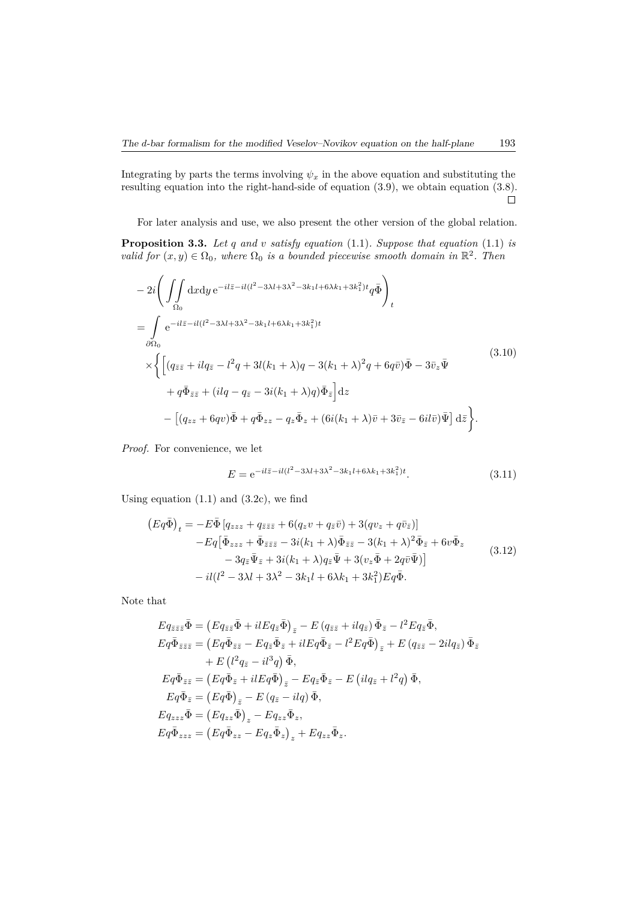Integrating by parts the terms involving  $\psi_x$  in the above equation and substituting the resulting equation into the right-hand-side of equation (3.9), we obtain equation (3.8).  $\Box$ 

For later analysis and use, we also present the other version of the global relation.

**Proposition 3.3.** *Let q and v satisfy equation* (1.1)*. Suppose that equation* (1.1) *is valid for*  $(x, y) \in \Omega_0$ , where  $\Omega_0$  *is a bounded piecewise smooth domain in*  $\mathbb{R}^2$ . Then

$$
- 2i \left( \iint_{\Omega_0} dx dy e^{-i l \bar{z} - i l (l^2 - 3\lambda l + 3\lambda^2 - 3k_1 l + 6\lambda k_1 + 3k_1^2)t} q \bar{\Phi} \right)_t
$$
  
\n
$$
= \int_{\partial \Omega_0} e^{-i l \bar{z} - i l (l^2 - 3\lambda l + 3\lambda^2 - 3k_1 l + 6\lambda k_1 + 3k_1^2)t} \times \left\{ \left[ (q_{\bar{z}\bar{z}} + i l q_{\bar{z}} - l^2 q + 3 l (k_1 + \lambda) q - 3 (k_1 + \lambda)^2 q + 6 q \bar{v} ) \bar{\Phi} - 3 \bar{v}_z \bar{\Psi} \right. \right. \\
\left. + q \bar{\Phi}_{\bar{z}\bar{z}} + (i l q - q_{\bar{z}} - 3 i (k_1 + \lambda) q) \bar{\Phi}_{\bar{z}} \right] dz
$$
  
\n
$$
- \left[ (q_{zz} + 6 q v) \bar{\Phi} + q \bar{\Phi}_{zz} - q_z \bar{\Phi}_z + (6 i (k_1 + \lambda) \bar{v} + 3 \bar{v}_{\bar{z}} - 6 i l \bar{v}) \bar{\Psi} \right] d\bar{z} \right\}.
$$
\n(3.10)

*Proof.* For convenience, we let

$$
E = e^{-il\bar{z} - il(l^2 - 3\lambda l + 3\lambda^2 - 3k_1 l + 6\lambda k_1 + 3k_1^2)t}.
$$
\n(3.11)

Using equation  $(1.1)$  and  $(3.2c)$ , we find

$$
(Eq\bar{\Phi})_t = -E\bar{\Phi}\left[q_{zzz} + q_{\bar{z}\bar{z}\bar{z}} + 6(q_z v + q_{\bar{z}}\bar{v}) + 3(qv_z + q\bar{v}_{\bar{z}})\right] -Eq\left[\bar{\Phi}_{zzz} + \bar{\Phi}_{\bar{z}\bar{z}\bar{z}} - 3i(k_1 + \lambda)\bar{\Phi}_{\bar{z}\bar{z}} - 3(k_1 + \lambda)^2\bar{\Phi}_{\bar{z}} + 6v\bar{\Phi}_{z} - 3q_{\bar{z}}\bar{\Psi}_{\bar{z}} + 3i(k_1 + \lambda)q_{\bar{z}}\bar{\Psi} + 3(v_z\bar{\Phi} + 2q\bar{v}\bar{\Psi})\right] - il(l^2 - 3\lambda l + 3\lambda^2 - 3k_1l + 6\lambda k_1 + 3k_1^2)Eq\bar{\Phi}.
$$
\n(3.12)

Note that

$$
Eq_{\bar{z}\bar{z}\bar{z}}\bar{\Phi} = (Eq_{\bar{z}\bar{z}}\bar{\Phi} + ilEq_{\bar{z}}\bar{\Phi})_{\bar{z}} - E(q_{\bar{z}\bar{z}} + ilq_{\bar{z}})\bar{\Phi}_{\bar{z}} - l^2Eq_{\bar{z}}\bar{\Phi},
$$
  
\n
$$
Eq\bar{\Phi}_{\bar{z}\bar{z}\bar{z}} = (Eq\bar{\Phi}_{\bar{z}\bar{z}} - Eq_{\bar{\Phi}}\bar{\Phi}_{\bar{z}} + ilEq\bar{\Phi}_{\bar{z}} - l^2Eq\bar{\Phi})_{\bar{z}} + E(q_{\bar{z}\bar{z}} - 2ilq_{\bar{z}})\bar{\Phi}_{\bar{z}} + E(l^2q_{\bar{z}} - il^3q)\bar{\Phi},
$$
  
\n
$$
Eq\bar{\Phi}_{\bar{z}\bar{z}} = (Eq\bar{\Phi}_{\bar{z}} + ilEq\bar{\Phi})_{\bar{z}} - Eq_{\bar{z}}\bar{\Phi}_{\bar{z}} - E(idq_{\bar{z}} + l^2q)\bar{\Phi},
$$
  
\n
$$
Eq\bar{\Phi}_{\bar{z}} = (Eq\bar{\Phi})_{\bar{z}} - E(q_{\bar{z}} - ilq)\bar{\Phi},
$$
  
\n
$$
Eq_{zzz}\bar{\Phi} = (Eq_{zz}\bar{\Phi})_{z} - Eq_{zz}\bar{\Phi}_{z},
$$
  
\n
$$
Eq\bar{\Phi}_{zzz} = (Eq\bar{\Phi}_{zz} - Eq_{\bar{z}}\bar{\Phi}_{z})_{z} + Eq_{zz}\bar{\Phi}_{z}.
$$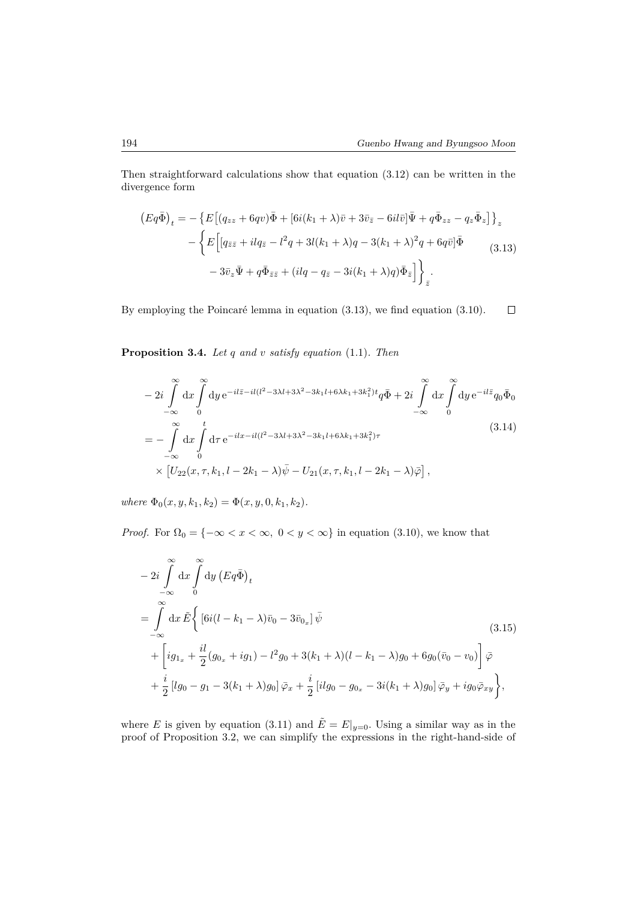Then straightforward calculations show that equation (3.12) can be written in the divergence form

$$
(Eq\bar{\Phi})_t = -\left\{ E\left[ (q_{zz} + 6qv)\bar{\Phi} + [6i(k_1 + \lambda)\bar{v} + 3\bar{v}_{\bar{z}} - 6il\bar{v}]\bar{\Psi} + q\bar{\Phi}_{zz} - q_z\bar{\Phi}_z \right] \right\}_z
$$
  

$$
- \left\{ E\left[ (q_{\bar{z}\bar{z}} + ilq_{\bar{z}} - l^2q + 3l(k_1 + \lambda)q - 3(k_1 + \lambda)^2q + 6q\bar{v}]\bar{\Phi} \right] - 3\bar{v}_z\bar{\Psi} + q\bar{\Phi}_{\bar{z}\bar{z}} + (ilq - q_{\bar{z}} - 3i(k_1 + \lambda)q)\bar{\Phi}_{\bar{z}} \right] \right\}_{\bar{z}}.
$$
(3.13)

By employing the Poincaré lemma in equation (3.13), we find equation (3.10).  $\Box$ 

**Proposition 3.4.** *Let q and v satisfy equation* (1.1)*. Then*

$$
-2i\int_{-\infty}^{\infty} dx \int_{0}^{\infty} dy e^{-il\bar{z}-il(l^{2}-3\lambda l+3\lambda^{2}-3k_{1}l+6\lambda k_{1}+3k_{1}^{2})t} q\bar{\Phi} + 2i\int_{-\infty}^{\infty} dx \int_{0}^{\infty} dy e^{-il\bar{z}} q_{0} \bar{\Phi}_{0}
$$
  
= 
$$
-\int_{-\infty}^{\infty} dx \int_{0}^{t} d\tau e^{-ilx-il(l^{2}-3\lambda l+3\lambda^{2}-3k_{1}l+6\lambda k_{1}+3k_{1}^{2})\tau}
$$

$$
\times [U_{22}(x,\tau,k_{1},l-2k_{1}-\lambda)\bar{\psi} - U_{21}(x,\tau,k_{1},l-2k_{1}-\lambda)\bar{\varphi}], \qquad (3.14)
$$

 $where \Phi_0(x, y, k_1, k_2) = \Phi(x, y, 0, k_1, k_2).$ 

*Proof.* For  $\Omega_0 = \{-\infty < x < \infty, 0 < y < \infty\}$  in equation (3.10), we know that

$$
-2i \int_{-\infty}^{\infty} dx \int_{0}^{\infty} dy (Eq\bar{\Phi})_{t}
$$
  
= 
$$
\int_{-\infty}^{\infty} dx \tilde{E} \Biggl\{ [6i(l - k_{1} - \lambda)\bar{v}_{0} - 3\bar{v}_{0_{x}}] \bar{\psi} + \Biggl[ ig_{1_{x}} + \frac{il}{2} (g_{0_{x}} + ig_{1}) - l^{2} g_{0} + 3(k_{1} + \lambda)(l - k_{1} - \lambda)g_{0} + 6g_{0} (\bar{v}_{0} - v_{0}) \Biggr] \bar{\varphi} + \frac{i}{2} [lg_{0} - g_{1} - 3(k_{1} + \lambda)g_{0}] \bar{\varphi}_{x} + \frac{i}{2} [ilg_{0} - g_{0_{x}} - 3i(k_{1} + \lambda)g_{0}] \bar{\varphi}_{y} + ig_{0} \bar{\varphi}_{xy} \Biggr\},
$$
(3.15)

where *E* is given by equation (3.11) and  $\tilde{E} = E|_{y=0}$ . Using a similar way as in the proof of Proposition 3.2, we can simplify the expressions in the right-hand-side of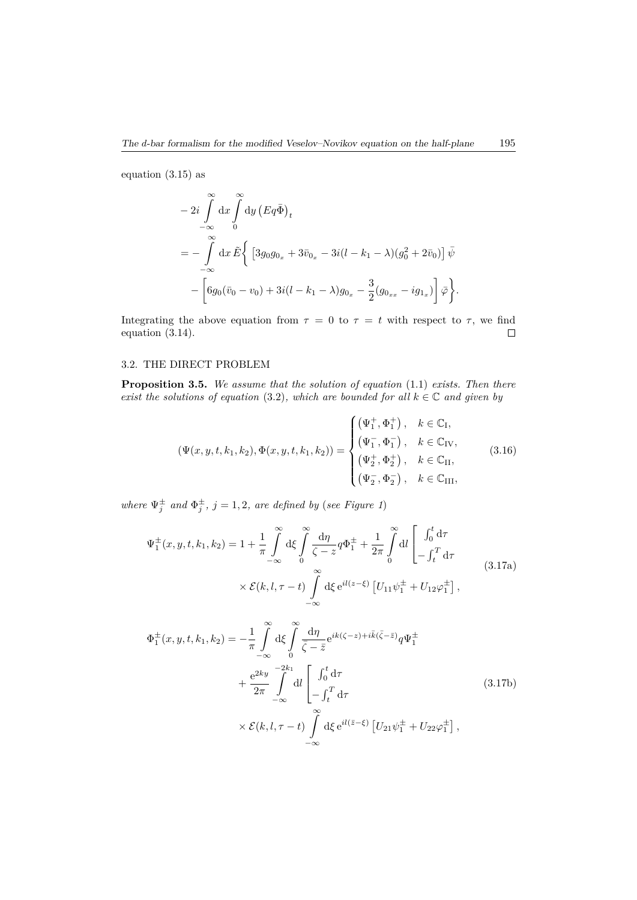equation (3.15) as

$$
- 2i \int_{-\infty}^{\infty} dx \int_{0}^{\infty} dy (Eq\bar{\Phi})_{t}
$$
  
=  $-\int_{-\infty}^{\infty} dx \tilde{E} \Big\{ [3g_{0}g_{0_{x}} + 3\bar{v}_{0_{x}} - 3i(l - k_{1} - \lambda)(g_{0}^{2} + 2\bar{v}_{0})] \bar{\psi} - \Big[ 6g_{0}(\bar{v}_{0} - v_{0}) + 3i(l - k_{1} - \lambda)g_{0_{x}} - \frac{3}{2}(g_{0_{xx}} - ig_{1_{x}}) \Big] \bar{\varphi} \Big\}.$ 

Integrating the above equation from  $\tau = 0$  to  $\tau = t$  with respect to  $\tau$ , we find equation (3.14).  $\hfill \square$ 

# 3.2. THE DIRECT PROBLEM

**Proposition 3.5.** *We assume that the solution of equation* (1.1) *exists. Then there exist the solutions of equation* (3.2)*, which are bounded for all*  $k \in \mathbb{C}$  *and given by* 

$$
(\Psi(x, y, t, k_1, k_2), \Phi(x, y, t, k_1, k_2)) = \begin{cases} (\Psi_1^+, \Phi_1^+) , & k \in \mathbb{C}_I, \\ (\Psi_1^-, \Phi_1^-) , & k \in \mathbb{C}_{IV}, \\ (\Psi_2^+, \Phi_2^+) , & k \in \mathbb{C}_{II}, \\ (\Psi_2^-, \Phi_2^-) , & k \in \mathbb{C}_{III}, \end{cases}
$$
(3.16)

*where*  $\Psi_j^{\pm}$  *and*  $\Phi_j^{\pm}$ *, j* = 1*,* 2*, are defined by (see Figure 1)* 

$$
\Psi_{1}^{\pm}(x, y, t, k_{1}, k_{2}) = 1 + \frac{1}{\pi} \int_{-\infty}^{\infty} d\xi \int_{0}^{\infty} \frac{d\eta}{\zeta - z} q \Phi_{1}^{\pm} + \frac{1}{2\pi} \int_{0}^{\infty} dl \left[ \int_{0}^{t} d\tau - \int_{t}^{T} d\tau \right]
$$
\n
$$
\times \mathcal{E}(k, l, \tau - t) \int_{-\infty}^{\infty} d\xi e^{il(z - \xi)} \left[ U_{11} \psi_{1}^{\pm} + U_{12} \varphi_{1}^{\pm} \right],
$$
\n(3.17a)

$$
\Phi_{1}^{\pm}(x, y, t, k_{1}, k_{2}) = -\frac{1}{\pi} \int_{-\infty}^{\infty} d\xi \int_{0}^{\infty} \frac{d\eta}{\bar{\zeta} - \bar{z}} e^{ik(\zeta - z) + i\bar{k}(\bar{\zeta} - \bar{z})} q \Psi_{1}^{\pm}
$$
\n
$$
+ \frac{e^{2ky}}{2\pi} \int_{-\infty}^{-2k_{1}} dl \left[ \int_{0}^{t} d\tau + \int_{-\infty}^{\infty} \int_{-\infty}^{2k_{1}} d\tau \right]
$$
\n
$$
\times \mathcal{E}(k, l, \tau - t) \int_{-\infty}^{\infty} d\xi e^{il(\bar{z} - \xi)} \left[ U_{21} \psi_{1}^{\pm} + U_{22} \varphi_{1}^{\pm} \right],
$$
\n(3.17b)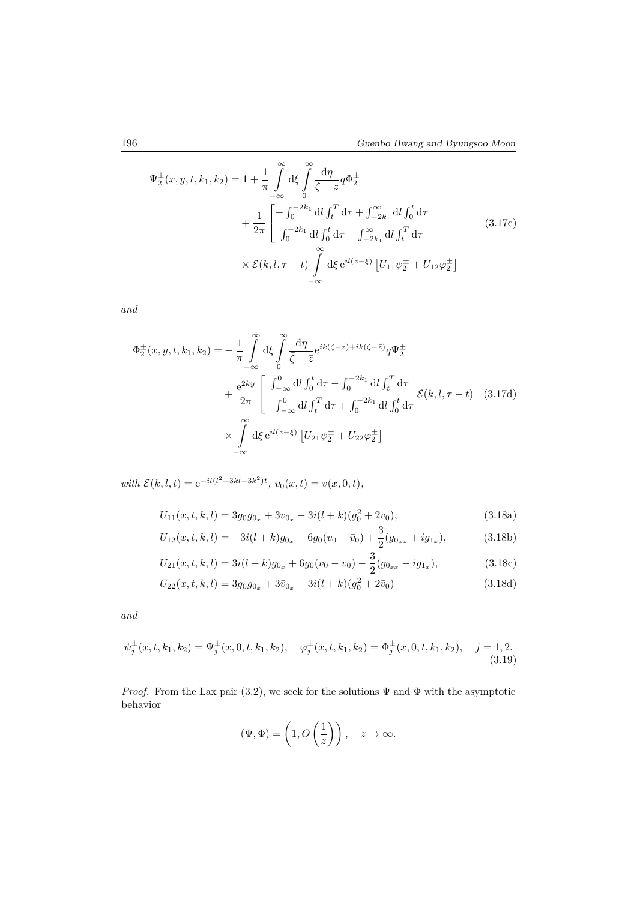$$
\Psi_{2}^{\pm}(x, y, t, k_{1}, k_{2}) = 1 + \frac{1}{\pi} \int_{-\infty}^{\infty} d\xi \int_{0}^{\infty} \frac{d\eta}{\zeta - z} q \Phi_{2}^{\pm} \n+ \frac{1}{2\pi} \left[ -\int_{0}^{-2k_{1}} dl \int_{t}^{T} d\tau + \int_{-2k_{1}}^{\infty} dl \int_{0}^{t} d\tau \n+ \frac{1}{2\pi} \int_{0}^{-2k_{1}} dl \int_{0}^{t} d\tau - \int_{-2k_{1}}^{\infty} dl \int_{t}^{T} d\tau \n\times \mathcal{E}(k, l, \tau - t) \int_{-\infty}^{\infty} d\xi e^{il(z-\xi)} \left[ U_{11} \psi_{2}^{\pm} + U_{12} \varphi_{2}^{\pm} \right]
$$
\n(3.17c)

*and*

$$
\Phi_{2}^{\pm}(x,y,t,k_{1},k_{2}) = -\frac{1}{\pi} \int_{-\infty}^{\infty} d\xi \int_{0}^{\infty} \frac{d\eta}{\bar{\zeta} - \bar{z}} e^{ik(\zeta - z) + i\bar{k}(\bar{\zeta} - \bar{z})} q \Psi_{2}^{\pm}
$$

$$
+ \frac{e^{2ky}}{2\pi} \left[ \int_{-\infty}^{0} dl \int_{0}^{t} d\tau - \int_{0}^{-2k_{1}} dl \int_{t}^{T} d\tau + \int_{0}^{-2k_{1}} dl \int_{0}^{t} d\tau \right]
$$

$$
\times \int_{-\infty}^{\infty} d\xi e^{il(\bar{z} - \xi)} \left[ U_{21} \psi_{2}^{\pm} + U_{22} \varphi_{2}^{\pm} \right]
$$
(3.17d)

 $with \mathcal{E}(k, l, t) = e^{-il(l^2 + 3kl + 3k^2)t}, \ v_0(x, t) = v(x, 0, t),$ 

$$
U_{11}(x, t, k, l) = 3g_0 g_{0x} + 3v_{0x} - 3i(l+k)(g_0^2 + 2v_0),
$$
\n(3.18a)

$$
U_{12}(x,t,k,l) = -3i(l+k)g_{0x} - 6g_0(v_0 - \bar{v}_0) + \frac{3}{2}(g_{0xx} + ig_{1x}),
$$
\n(3.18b)

$$
U_{21}(x,t,k,l) = 3i(l+k)g_{0x} + 6g_0(\bar{v}_0 - v_0) - \frac{3}{2}(g_{0_{xx}} - ig_{1_x}),
$$
\n(3.18c)

$$
U_{22}(x,t,k,l) = 3g_0 g_{0x} + 3\bar{v}_{0x} - 3i(l+k)(g_0^2 + 2\bar{v}_0)
$$
\n(3.18d)

*and*

$$
\psi_j^{\pm}(x,t,k_1,k_2) = \Psi_j^{\pm}(x,0,t,k_1,k_2), \quad \varphi_j^{\pm}(x,t,k_1,k_2) = \Phi_j^{\pm}(x,0,t,k_1,k_2), \quad j = 1,2. \tag{3.19}
$$

*Proof.* From the Lax pair (3.2), we seek for the solutions  $\Psi$  and  $\Phi$  with the asymptotic behavior

$$
(\Psi, \Phi) = \left(1, O\left(\frac{1}{z}\right)\right), \quad z \to \infty.
$$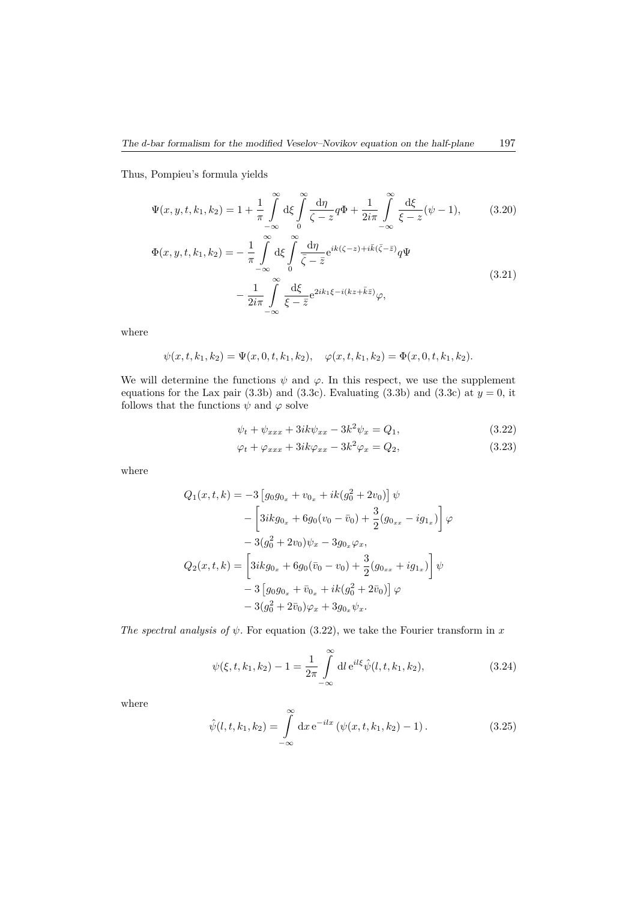Thus, Pompieu's formula yields

$$
\Psi(x, y, t, k_1, k_2) = 1 + \frac{1}{\pi} \int_{-\infty}^{\infty} d\xi \int_{0}^{\infty} \frac{d\eta}{\zeta - z} q \Phi + \frac{1}{2i\pi} \int_{-\infty}^{\infty} \frac{d\xi}{\xi - z} (\psi - 1), \tag{3.20}
$$

$$
\Phi(x, y, t, k_1, k_2) = -\frac{1}{\pi} \int_{-\infty}^{\infty} d\xi \int_{0}^{\infty} \frac{d\eta}{\bar{\zeta} - \bar{z}} e^{ik(\zeta - z) + i\bar{k}(\bar{\zeta} - \bar{z})} q \Psi \n- \frac{1}{2i\pi} \int_{-\infty}^{\infty} \frac{d\xi}{\xi - \bar{z}} e^{2ik_1\xi - i(kz + \bar{k}\bar{z})} \varphi,
$$
\n(3.21)

where

$$
\psi(x, t, k_1, k_2) = \Psi(x, 0, t, k_1, k_2), \quad \varphi(x, t, k_1, k_2) = \Phi(x, 0, t, k_1, k_2).
$$

We will determine the functions  $\psi$  and  $\varphi$ . In this respect, we use the supplement equations for the Lax pair  $(3.3b)$  and  $(3.3c)$ . Evaluating  $(3.3b)$  and  $(3.3c)$  at  $y = 0$ , it follows that the functions  $\psi$  and  $\varphi$  solve

$$
\psi_t + \psi_{xxx} + 3ik\psi_{xx} - 3k^2\psi_x = Q_1, \tag{3.22}
$$

$$
\varphi_t + \varphi_{xxx} + 3ik\varphi_{xx} - 3k^2\varphi_x = Q_2, \qquad (3.23)
$$

where

$$
Q_1(x, t, k) = -3 \left[ g_0 g_{0_x} + v_{0_x} + ik(g_0^2 + 2v_0) \right] \psi
$$
  

$$
- \left[ 3ik g_{0_x} + 6g_0 (v_0 - \bar{v}_0) + \frac{3}{2} (g_{0_{xx}} - ig_{1_x}) \right] \varphi
$$
  

$$
- 3(g_0^2 + 2v_0) \psi_x - 3g_{0_x} \varphi_x,
$$
  

$$
Q_2(x, t, k) = \left[ 3ik g_{0_x} + 6g_0 (\bar{v}_0 - v_0) + \frac{3}{2} (g_{0_{xx}} + ig_{1_x}) \right] \psi
$$
  

$$
- 3 \left[ g_0 g_{0_x} + \bar{v}_{0_x} + ik(g_0^2 + 2\bar{v}_0) \right] \varphi
$$
  

$$
- 3(g_0^2 + 2\bar{v}_0) \varphi_x + 3g_{0_x} \psi_x.
$$

*The spectral analysis of ψ.* For equation (3.22), we take the Fourier transform in *x*

$$
\psi(\xi, t, k_1, k_2) - 1 = \frac{1}{2\pi} \int_{-\infty}^{\infty} dl \, e^{il\xi} \hat{\psi}(l, t, k_1, k_2), \tag{3.24}
$$

where

$$
\hat{\psi}(l, t, k_1, k_2) = \int_{-\infty}^{\infty} dx e^{-ilx} (\psi(x, t, k_1, k_2) - 1).
$$
 (3.25)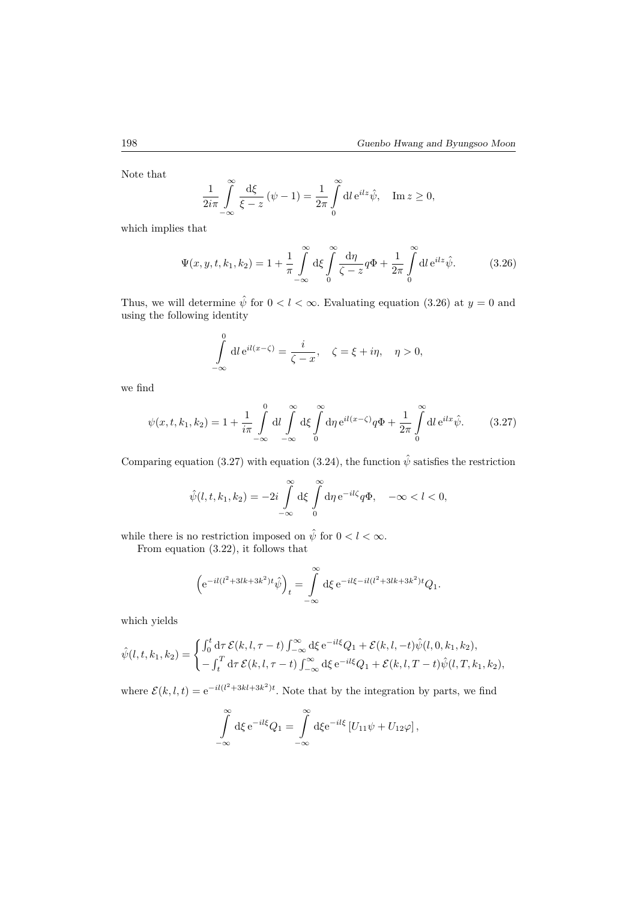Note that

$$
\frac{1}{2i\pi} \int_{-\infty}^{\infty} \frac{d\xi}{\xi - z} (\psi - 1) = \frac{1}{2\pi} \int_{0}^{\infty} dl e^{ilz} \hat{\psi}, \quad \text{Im } z \ge 0,
$$

which implies that

$$
\Psi(x, y, t, k_1, k_2) = 1 + \frac{1}{\pi} \int_{-\infty}^{\infty} d\xi \int_{0}^{\infty} \frac{d\eta}{\zeta - z} q \Phi + \frac{1}{2\pi} \int_{0}^{\infty} dl \, e^{ilz} \hat{\psi}.
$$
 (3.26)

Thus, we will determine  $\hat{\psi}$  for  $0 < l < \infty$ . Evaluating equation (3.26) at  $y = 0$  and using the following identity

$$
\int_{-\infty}^{0} dl e^{il(x-\zeta)} = \frac{i}{\zeta - x}, \quad \zeta = \xi + i\eta, \quad \eta > 0,
$$

we find

$$
\psi(x,t,k_1,k_2) = 1 + \frac{1}{i\pi} \int\limits_{-\infty}^{0} dl \int\limits_{-\infty}^{\infty} d\xi \int\limits_{0}^{\infty} d\eta \, e^{il(x-\zeta)} q\Phi + \frac{1}{2\pi} \int\limits_{0}^{\infty} dl \, e^{ilx} \hat{\psi}.
$$
 (3.27)

Comparing equation (3.27) with equation (3.24), the function  $\hat{\psi}$  satisfies the restriction

$$
\hat{\psi}(l,t,k_1,k_2) = -2i \int_{-\infty}^{\infty} d\xi \int_{0}^{\infty} d\eta e^{-il\zeta} q\Phi, \quad -\infty < l < 0,
$$

while there is no restriction imposed on  $\hat{\psi}$  for  $0 < l < \infty$ .

From equation (3.22), it follows that

$$
\left(e^{-il(l^2+3lk+3k^2)t}\hat{\psi}\right)_t = \int_{-\infty}^{\infty} d\xi \, e^{-il\xi - il(l^2+3lk+3k^2)t} Q_1.
$$

which yields

$$
\hat{\psi}(l,t,k_1,k_2) = \begin{cases}\n\int_0^t d\tau \, \mathcal{E}(k,l,\tau-t) \int_{-\infty}^\infty d\xi \, e^{-il\xi} Q_1 + \mathcal{E}(k,l,-t) \hat{\psi}(l,0,k_1,k_2), \\
-\int_t^T d\tau \, \mathcal{E}(k,l,\tau-t) \int_{-\infty}^\infty d\xi \, e^{-il\xi} Q_1 + \mathcal{E}(k,l,T-t) \hat{\psi}(l,T,k_1,k_2),\n\end{cases}
$$

where  $\mathcal{E}(k, l, t) = e^{-il(l^2 + 3kl + 3k^2)t}$ . Note that by the integration by parts, we find

$$
\int_{-\infty}^{\infty} d\xi e^{-il\xi} Q_1 = \int_{-\infty}^{\infty} d\xi e^{-il\xi} \left[ U_{11} \psi + U_{12} \varphi \right],
$$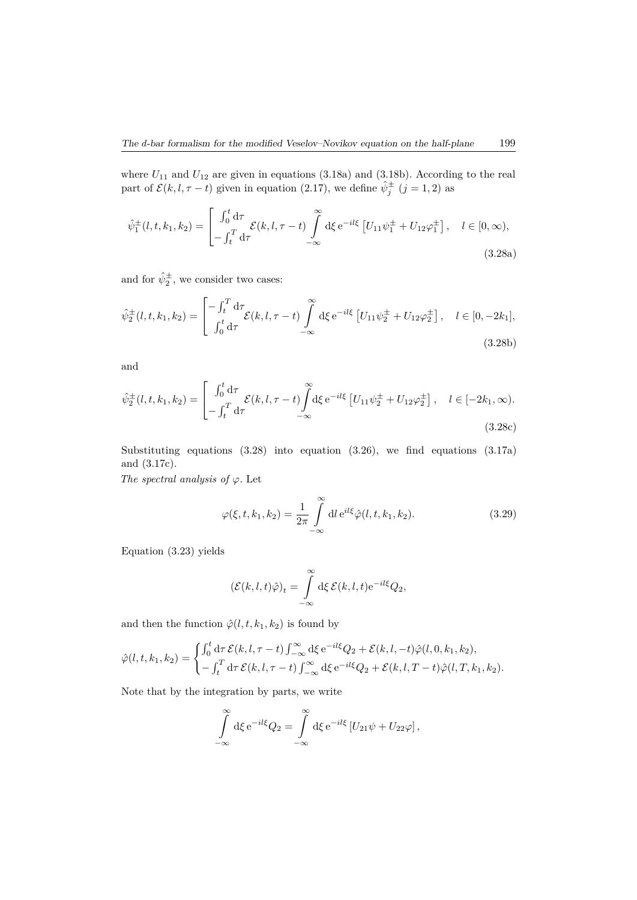where  $U_{11}$  and  $U_{12}$  are given in equations  $(3.18a)$  and  $(3.18b)$ . According to the real part of  $\mathcal{E}(k, l, \tau - t)$  given in equation (2.17), we define  $\hat{\psi}^{\pm}_j$  (*j* = 1, 2) as

$$
\hat{\psi}_1^{\pm}(l, t, k_1, k_2) = \begin{bmatrix} \int_0^t d\tau & \mathcal{E}(k, l, \tau - t) \\ -\int_t^T d\tau & \end{bmatrix} d\xi e^{-il\xi} \left[ U_{11} \psi_1^{\pm} + U_{12} \varphi_1^{\pm} \right], \quad l \in [0, \infty),
$$
\n(3.28a)

and for  $\hat{\psi}_2^{\pm}$ , we consider two cases:

$$
\hat{\psi}_2^{\pm}(l, t, k_1, k_2) = \begin{bmatrix} -\int_t^T \mathrm{d}\tau \\ \int_0^t \mathrm{d}\tau \end{bmatrix} \mathcal{E}(k, l, \tau - t) \int_{-\infty}^{\infty} \mathrm{d}\xi \,\mathrm{e}^{-il\xi} \left[ U_{11} \psi_2^{\pm} + U_{12} \varphi_2^{\pm} \right], \quad l \in [0, -2k_1],
$$
\n(3.28b)

and

$$
\hat{\psi}_2^{\pm}(l, t, k_1, k_2) = \begin{bmatrix} \int_0^t d\tau & \mathcal{E}(k, l, \tau - t) \\ -\int_t^T d\tau & \end{bmatrix} d\xi \, e^{-il\xi} \left[ U_{11} \psi_2^{\pm} + U_{12} \varphi_2^{\pm} \right], \quad l \in [-2k_1, \infty).
$$
\n(3.28c)

Substituting equations (3.28) into equation (3.26), we find equations (3.17a) and (3.17c).

*The spectral analysis of φ.* Let

$$
\varphi(\xi, t, k_1, k_2) = \frac{1}{2\pi} \int_{-\infty}^{\infty} dl \, e^{il\xi} \hat{\varphi}(l, t, k_1, k_2).
$$
 (3.29)

Equation (3.23) yields

$$
(\mathcal{E}(k,l,t)\hat{\varphi})_t = \int_{-\infty}^{\infty} d\xi \, \mathcal{E}(k,l,t) e^{-il\xi} Q_2,
$$

and then the function  $\hat{\varphi}(l, t, k_1, k_2)$  is found by

$$
\hat{\varphi}(l,t,k_1,k_2) = \begin{cases} \int_0^t \mathrm{d}\tau \, \mathcal{E}(k,l,\tau-t) \int_{-\infty}^{\infty} \mathrm{d}\xi \, \mathrm{e}^{-il\xi} Q_2 + \mathcal{E}(k,l,-t) \hat{\varphi}(l,0,k_1,k_2), \\ -\int_t^T \mathrm{d}\tau \, \mathcal{E}(k,l,\tau-t) \int_{-\infty}^{\infty} \mathrm{d}\xi \, \mathrm{e}^{-il\xi} Q_2 + \mathcal{E}(k,l,T-t) \hat{\varphi}(l,T,k_1,k_2). \end{cases}
$$

Note that by the integration by parts, we write

$$
\int_{-\infty}^{\infty} d\xi \, e^{-il\xi} Q_2 = \int_{-\infty}^{\infty} d\xi \, e^{-il\xi} \left[ U_{21} \psi + U_{22} \varphi \right],
$$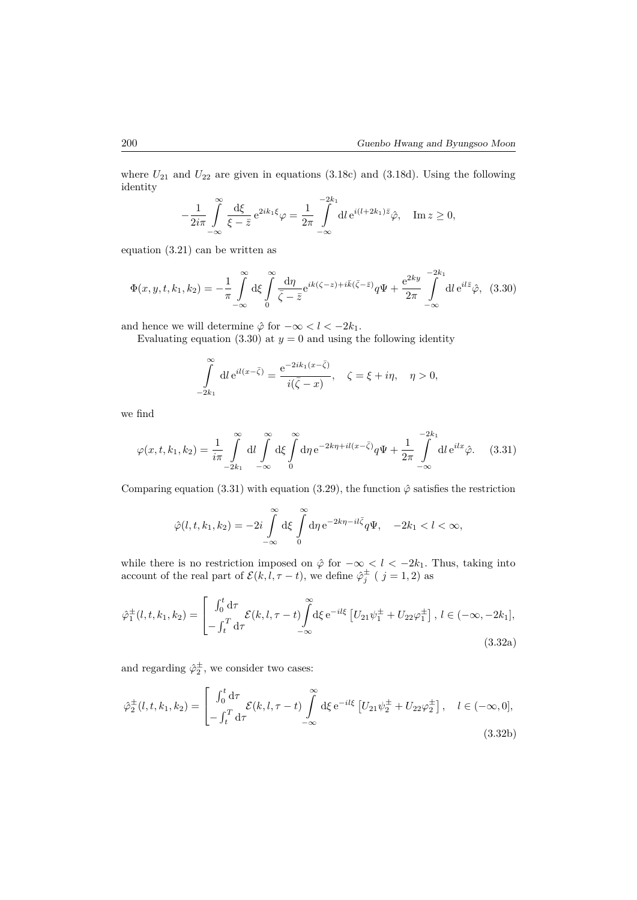where  $U_{21}$  and  $U_{22}$  are given in equations (3.18c) and (3.18d). Using the following identity

$$
-\frac{1}{2i\pi}\int_{-\infty}^{\infty}\frac{\mathrm{d}\xi}{\xi-\bar{z}}\,\mathrm{e}^{2ik_1\xi}\varphi=\frac{1}{2\pi}\int_{-\infty}^{-2k_1}\mathrm{d}l\,\mathrm{e}^{i(l+2k_1)\bar{z}}\hat{\varphi},\quad\mathrm{Im}\,z\geq0,
$$

equation (3.21) can be written as

$$
\Phi(x, y, t, k_1, k_2) = -\frac{1}{\pi} \int_{-\infty}^{\infty} d\xi \int_{0}^{\infty} \frac{d\eta}{\overline{\zeta - \bar{z}}} e^{ik(\zeta - z) + i\overline{k}(\overline{\zeta} - \bar{z})} q \Psi + \frac{e^{2ky}}{2\pi} \int_{-\infty}^{-2k_1} dl \, e^{il\overline{z}} \hat{\varphi}, \tag{3.30}
$$

and hence we will determine  $\hat{\varphi}$  for  $-\infty < l < -2k_1$ .

Evaluating equation (3.30) at  $y = 0$  and using the following identity

$$
\int_{-2k_1}^{\infty} dl e^{il(x-\bar{\zeta})} = \frac{e^{-2ik_1(x-\bar{\zeta})}}{i(\bar{\zeta}-x)}, \quad \zeta = \xi + i\eta, \quad \eta > 0,
$$

we find

$$
\varphi(x,t,k_1,k_2) = \frac{1}{i\pi} \int_{-2k_1}^{\infty} dl \int_{-\infty}^{\infty} d\xi \int_{0}^{\infty} d\eta \, e^{-2k\eta + il(x-\bar{\zeta})} q\Psi + \frac{1}{2\pi} \int_{-\infty}^{-2k_1} dl \, e^{ilx} \hat{\varphi}.
$$
 (3.31)

Comparing equation (3.31) with equation (3.29), the function  $\hat{\varphi}$  satisfies the restriction

$$
\hat{\varphi}(l,t,k_1,k_2) = -2i \int\limits_{-\infty}^{\infty} d\xi \int\limits_{0}^{\infty} d\eta \, e^{-2k\eta - i l \bar{\zeta}} q \Psi, \quad -2k_1 < l < \infty,
$$

while there is no restriction imposed on  $\hat{\varphi}$  for  $-\infty < l < -2k_1$ . Thus, taking into account of the real part of  $\mathcal{E}(k, l, \tau - t)$ , we define  $\hat{\varphi}_j^{\pm}$  (  $j = 1, 2$ ) as

$$
\hat{\varphi}_1^{\pm}(l, t, k_1, k_2) = \begin{bmatrix} \int_0^t d\tau & \mathcal{E}(k, l, \tau - t) \\ -\int_t^T d\tau & -\infty \end{bmatrix} d\xi \, e^{-il\xi} \left[ U_{21} \psi_1^{\pm} + U_{22} \varphi_1^{\pm} \right], \, l \in (-\infty, -2k_1],
$$
\n(3.32a)

and regarding  $\hat{\varphi}_2^{\pm}$ , we consider two cases:

$$
\hat{\varphi}_2^{\pm}(l, t, k_1, k_2) = \begin{bmatrix} \int_0^t \mathrm{d}\tau & \mathcal{E}(k, l, \tau - t) \\ -\int_t^T \mathrm{d}\tau & -\infty \end{bmatrix} \mathbf{d}\xi \, \mathbf{e}^{-il\xi} \left[ U_{21} \psi_2^{\pm} + U_{22} \varphi_2^{\pm} \right], \quad l \in (-\infty, 0],
$$
\n(3.32b)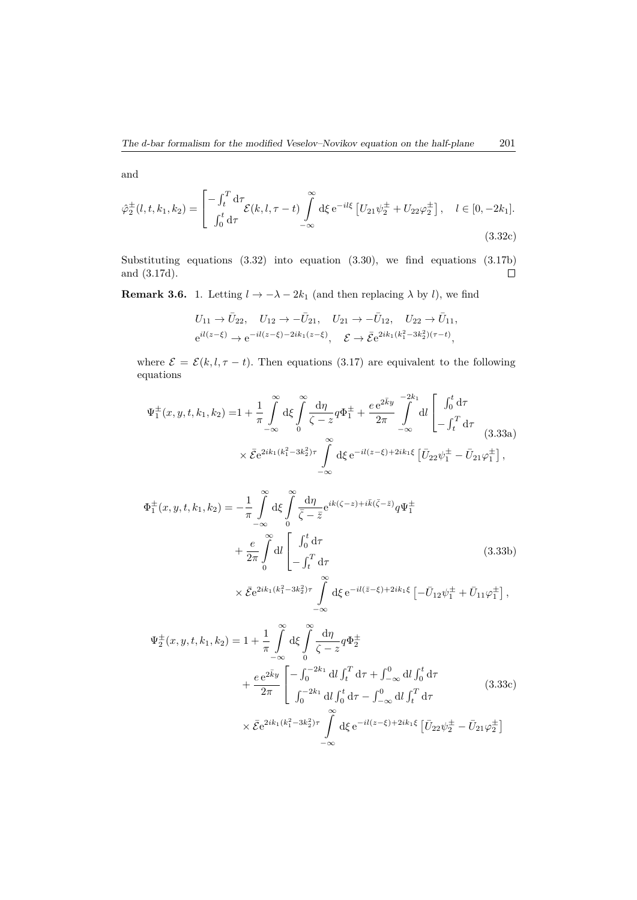and

$$
\hat{\varphi}_2^{\pm}(l, t, k_1, k_2) = \begin{bmatrix} -\int_t^T \mathrm{d}\tau \\ \int_0^t \mathrm{d}\tau \end{bmatrix} \mathcal{E}(k, l, \tau - t) \int_{-\infty}^{\infty} \mathrm{d}\xi \,\mathrm{e}^{-i l \xi} \left[ U_{21} \psi_2^{\pm} + U_{22} \varphi_2^{\pm} \right], \quad l \in [0, -2k_1].
$$
\n(3.32c)

Substituting equations (3.32) into equation (3.30), we find equations (3.17b) and (3.17d).  $\Box$ 

**Remark 3.6.** 1. Letting  $l \to -\lambda - 2k_1$  (and then replacing  $\lambda$  by *l*), we find

$$
U_{11} \to \bar{U}_{22}, \quad U_{12} \to -\bar{U}_{21}, \quad U_{21} \to -\bar{U}_{12}, \quad U_{22} \to \bar{U}_{11},
$$
  

$$
e^{il(z-\xi)} \to e^{-il(z-\xi)-2ik_1(z-\xi)}, \quad \mathcal{E} \to \bar{\mathcal{E}}e^{2ik_1(k_1^2-3k_2^2)(\tau-t)},
$$

where  $\mathcal{E} = \mathcal{E}(k, l, \tau - t)$ . Then equations (3.17) are equivalent to the following equations

$$
\Psi_{1}^{\pm}(x, y, t, k_{1}, k_{2}) = 1 + \frac{1}{\pi} \int_{-\infty}^{\infty} d\xi \int_{0}^{\infty} \frac{d\eta}{\zeta - z} q \Phi_{1}^{\pm} + \frac{e e^{2\bar{k}y}}{2\pi} \int_{-\infty}^{-2k_{1}} dl \left[ \int_{0}^{t} d\tau \right.\times \bar{\mathcal{E}} e^{2ik_{1}(k_{1}^{2} - 3k_{2}^{2})\tau} \int_{-\infty}^{\infty} d\xi e^{-il(z-\xi) + 2ik_{1}\xi} \left[ \bar{U}_{22} \psi_{1}^{\pm} - \bar{U}_{21} \varphi_{1}^{\pm} \right],
$$
\n(3.33a)

$$
\Phi_{1}^{\pm}(x, y, t, k_{1}, k_{2}) = -\frac{1}{\pi} \int_{-\infty}^{\infty} d\xi \int_{0}^{\infty} \frac{d\eta}{\bar{\zeta} - \bar{z}} e^{ik(\zeta - z) + i\bar{k}(\bar{\zeta} - \bar{z})} q \Psi_{1}^{\pm} \n+ \frac{e}{2\pi} \int_{0}^{\infty} dl \left[ \int_{0}^{t} d\tau \right] \n\times \bar{\mathcal{E}} e^{2ik_{1}(k_{1}^{2} - 3k_{2}^{2})\tau} \int_{-\infty}^{\infty} d\xi e^{-il(\bar{z} - \xi) + 2ik_{1}\xi} \left[ -\bar{U}_{12} \psi_{1}^{\pm} + \bar{U}_{11} \varphi_{1}^{\pm} \right],
$$
\n(3.33b)

$$
\Psi_{2}^{\pm}(x, y, t, k_{1}, k_{2}) = 1 + \frac{1}{\pi} \int_{-\infty}^{\infty} d\xi \int_{0}^{\infty} \frac{d\eta}{\zeta - z} q \Phi_{2}^{\pm} \n+ \frac{e e^{2\bar{k}y}}{2\pi} \left[ -\int_{0}^{-2k_{1}} dl \int_{t}^{T} d\tau + \int_{-\infty}^{0} dl \int_{0}^{t} d\tau \n+ \frac{e e^{2\bar{k}y}}{2\pi} \left[ \int_{0}^{-2k_{1}} dl \int_{0}^{t} d\tau - \int_{-\infty}^{0} dl \int_{t}^{T} d\tau \right] \n\times \bar{\mathcal{E}} e^{2ik_{1}(k_{1}^{2} - 3k_{2}^{2})\tau} \int_{-\infty}^{\infty} d\xi e^{-il(z - \xi) + 2ik_{1}\xi} \left[ \bar{U}_{22} \psi_{2}^{\pm} - \bar{U}_{21} \varphi_{2}^{\pm} \right]
$$
\n(3.33c)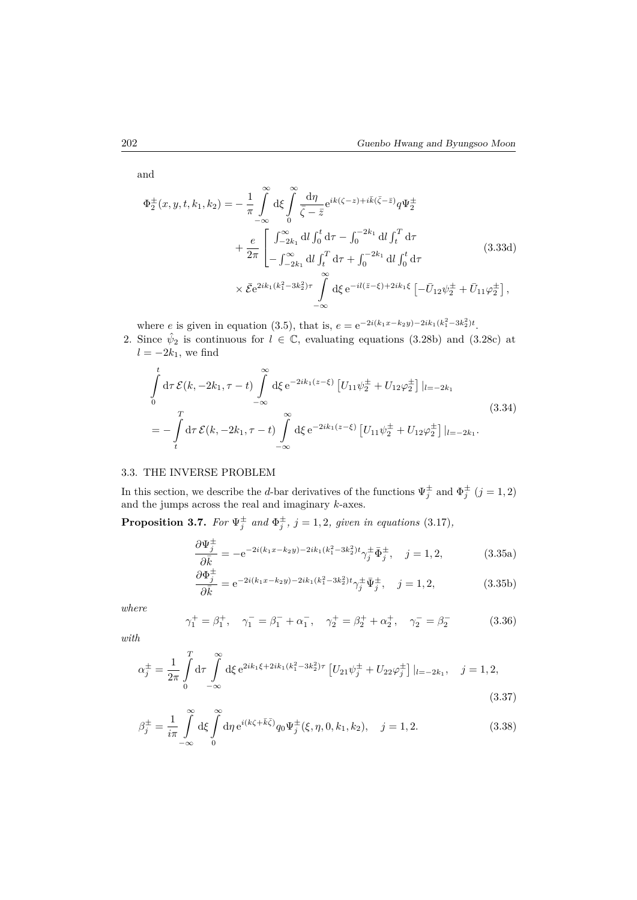and

$$
\Phi_{2}^{\pm}(x, y, t, k_{1}, k_{2}) = -\frac{1}{\pi} \int_{-\infty}^{\infty} d\xi \int_{0}^{\infty} \frac{d\eta}{\bar{\zeta} - \bar{z}} e^{ik(\zeta - z) + i\bar{k}(\bar{\zeta} - \bar{z})} q \Psi_{2}^{\pm} \n+ \frac{e}{2\pi} \left[ \int_{-2k_{1}}^{\infty} dl \int_{0}^{t} d\tau - \int_{0}^{-2k_{1}} dl \int_{t}^{T} d\tau \right] \n+ \frac{e}{2\pi} \left[ \int_{-2k_{1}}^{\infty} dl \int_{t}^{T} d\tau + \int_{0}^{-2k_{1}} dl \int_{0}^{t} d\tau \right] \n\times \bar{\mathcal{E}} e^{2ik_{1}(k_{1}^{2} - 3k_{2}^{2})\tau} \int_{-\infty}^{\infty} d\xi e^{-il(\bar{z} - \xi) + 2ik_{1}\xi} \left[ -\bar{U}_{12} \psi_{2}^{\pm} + \bar{U}_{11} \varphi_{2}^{\pm} \right],
$$
\n(3.33d)

where *e* is given in equation (3.5), that is,  $e = e^{-2i(k_1x - k_2y) - 2ik_1(k_1^2 - 3k_2^2)t}$ .

2. Since  $\hat{\psi}_2$  is continuous for  $l \in \mathbb{C}$ , evaluating equations (3.28b) and (3.28c) at  $l = -2k_1$ , we find

$$
\int_{0}^{t} d\tau \mathcal{E}(k, -2k_1, \tau - t) \int_{-\infty}^{\infty} d\xi e^{-2ik_1(z-\xi)} \left[ U_{11} \psi_{2}^{\pm} + U_{12} \varphi_{2}^{\pm} \right] |_{l=-2k_1}
$$
\n
$$
= - \int_{t}^{T} d\tau \mathcal{E}(k, -2k_1, \tau - t) \int_{-\infty}^{\infty} d\xi e^{-2ik_1(z-\xi)} \left[ U_{11} \psi_{2}^{\pm} + U_{12} \varphi_{2}^{\pm} \right] |_{l=-2k_1}.
$$
\n(3.34)

### 3.3. THE INVERSE PROBLEM

In this section, we describe the *d*-bar derivatives of the functions  $\Psi_j^{\pm}$  and  $\Phi_j^{\pm}$   $(j = 1, 2)$ and the jumps across the real and imaginary *k*-axes.

**Proposition 3.7.** For  $\Psi_j^{\pm}$  and  $\Phi_j^{\pm}$ ,  $j = 1, 2$ , given in equations (3.17),

$$
\frac{\partial \Psi_j^{\pm}}{\partial \bar{k}} = -e^{-2i(k_1x - k_2y) - 2ik_1(k_1^2 - 3k_2^2)t} \gamma_j^{\pm} \bar{\Phi}_j^{\pm}, \quad j = 1, 2,
$$
\n(3.35a)

$$
\frac{\partial \Phi_j^{\pm}}{\partial \bar{k}} = e^{-2i(k_1x - k_2y) - 2ik_1(k_1^2 - 3k_2^2)t} \gamma_j^{\pm} \bar{\Psi}_j^{\pm}, \quad j = 1, 2,
$$
\n(3.35b)

*where*

$$
\gamma_1^+ = \beta_1^+, \quad \gamma_1^- = \beta_1^- + \alpha_1^-, \quad \gamma_2^+ = \beta_2^+ + \alpha_2^+, \quad \gamma_2^- = \beta_2^-
$$
\n(3.36)

*with*

$$
\alpha_j^{\pm} = \frac{1}{2\pi} \int_0^T d\tau \int_{-\infty}^{\infty} d\xi \, e^{2ik_1\xi + 2ik_1(k_1^2 - 3k_2^2)\tau} \left[ U_{21}\psi_j^{\pm} + U_{22}\varphi_j^{\pm} \right] |_{l=-2k_1}, \quad j = 1, 2,
$$
\n(3.37)

$$
\beta_j^{\pm} = \frac{1}{i\pi} \int_{-\infty}^{\infty} d\xi \int_{0}^{\infty} d\eta \, e^{i(k\zeta + \bar{k}\bar{\zeta})} q_0 \Psi_j^{\pm}(\xi, \eta, 0, k_1, k_2), \quad j = 1, 2. \tag{3.38}
$$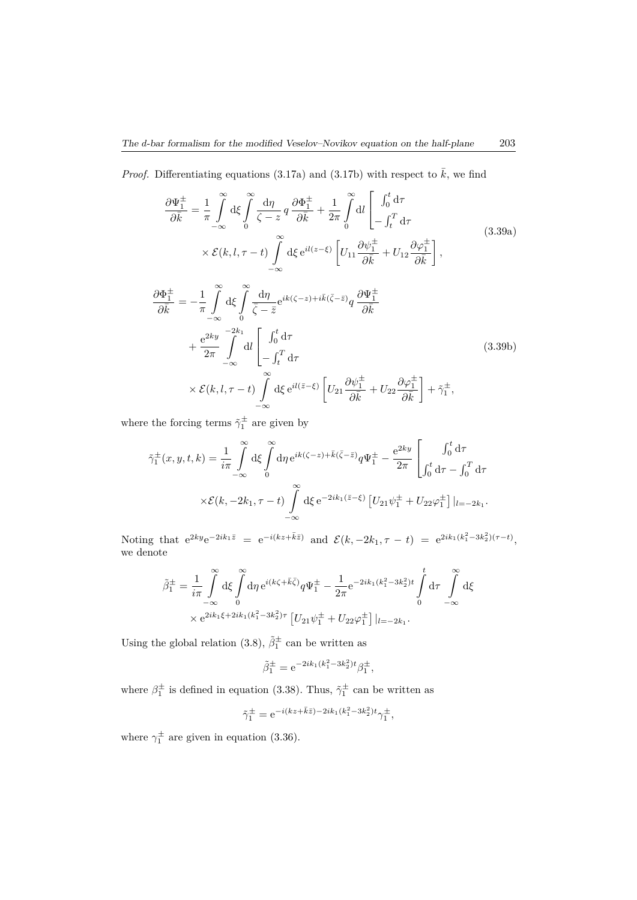*Proof.* Differentiating equations (3.17a) and (3.17b) with respect to  $\bar{k}$ , we find

$$
\frac{\partial \Psi_{1}^{\pm}}{\partial \bar{k}} = \frac{1}{\pi} \int_{-\infty}^{\infty} d\xi \int_{0}^{\infty} \frac{d\eta}{\zeta - z} q \frac{\partial \Phi_{1}^{\pm}}{\partial \bar{k}} + \frac{1}{2\pi} \int_{0}^{\infty} dl \left[ \int_{0}^{t} d\tau \right]
$$
\n
$$
\times \mathcal{E}(k, l, \tau - t) \int_{-\infty}^{\infty} d\xi e^{il(z-\xi)} \left[ U_{11} \frac{\partial \psi_{1}^{\pm}}{\partial \bar{k}} + U_{12} \frac{\partial \varphi_{1}^{\pm}}{\partial \bar{k}} \right],
$$
\n
$$
\frac{\partial \Phi_{1}^{\pm}}{\partial \bar{k}} = -\frac{1}{\pi} \int_{-\infty}^{\infty} d\xi \int_{0}^{\infty} \frac{d\eta}{\bar{\zeta} - \bar{z}} e^{ik(\zeta - z) + i\bar{k}(\bar{\zeta} - \bar{z})} q \frac{\partial \Psi_{1}^{\pm}}{\partial \bar{k}}
$$
\n
$$
+ \frac{e^{2ky}}{2\pi} \int_{-\infty}^{-2k_{1}} dl \left[ \int_{0}^{t} d\tau \right]_{-\int_{t}^{T} d\tau}
$$
\n
$$
\times \mathcal{E}(k, l, \tau - t) \int_{-\infty}^{\infty} d\xi e^{il(\bar{z} - \xi)} \left[ U_{21} \frac{\partial \psi_{1}^{\pm}}{\partial \bar{k}} + U_{22} \frac{\partial \varphi_{1}^{\pm}}{\partial \bar{k}} \right] + \tilde{\gamma}_{1}^{\pm},
$$
\n(3.39b)

where the forcing terms  $\tilde{\gamma}_1^{\pm}$  are given by

$$
\tilde{\gamma}_1^{\pm}(x, y, t, k) = \frac{1}{i\pi} \int_{-\infty}^{\infty} d\xi \int_{0}^{\infty} d\eta \, e^{ik(\zeta - z) + \bar{k}(\bar{\zeta} - \bar{z})} q \Psi_1^{\pm} - \frac{e^{2ky}}{2\pi} \left[ \int_{0}^{t} d\tau - \int_{0}^{T} d\tau \right. \\
\left. \times \mathcal{E}(k, -2k_1, \tau - t) \int_{-\infty}^{\infty} d\xi \, e^{-2ik_1(\bar{z} - \xi)} \left[ U_{21} \psi_1^{\pm} + U_{22} \varphi_1^{\pm} \right] \right]_{l = -2k_1}.
$$

Noting that  $e^{2ky}e^{-2ik_1\bar{z}} = e^{-i(kz+\bar{k}\bar{z})}$  and  $\mathcal{E}(k, -2k_1, \tau - t) = e^{2ik_1(k_1^2-3k_2^2)(\tau - t)},$ we denote

$$
\tilde{\beta}_{1}^{\pm} = \frac{1}{i\pi} \int_{-\infty}^{\infty} d\xi \int_{0}^{\infty} d\eta \, e^{i(k\zeta + \bar{k}\bar{\zeta})} q \Psi_{1}^{\pm} - \frac{1}{2\pi} e^{-2ik_{1}(k_{1}^{2} - 3k_{2}^{2})t} \int_{0}^{t} d\tau \int_{-\infty}^{\infty} d\xi
$$

$$
\times e^{2ik_{1}\xi + 2ik_{1}(k_{1}^{2} - 3k_{2}^{2})\tau} \left[ U_{21} \psi_{1}^{\pm} + U_{22} \varphi_{1}^{\pm} \right] |_{l=-2k_{1}}.
$$

Using the global relation (3.8),  $\tilde{\beta}^{\pm}_1$  can be written as

$$
\tilde{\beta}_1^{\pm} = e^{-2ik_1(k_1^2 - 3k_2^2)t} \beta_1^{\pm},
$$

where  $\beta_1^{\pm}$  is defined in equation (3.38). Thus,  $\tilde{\gamma}_1^{\pm}$  can be written as

$$
\tilde{\gamma}_1^{\pm} = e^{-i(kz + \bar{k}\bar{z}) - 2ik_1(k_1^2 - 3k_2^2)t} \gamma_1^{\pm},
$$

where  $\gamma_1^{\pm}$  are given in equation (3.36).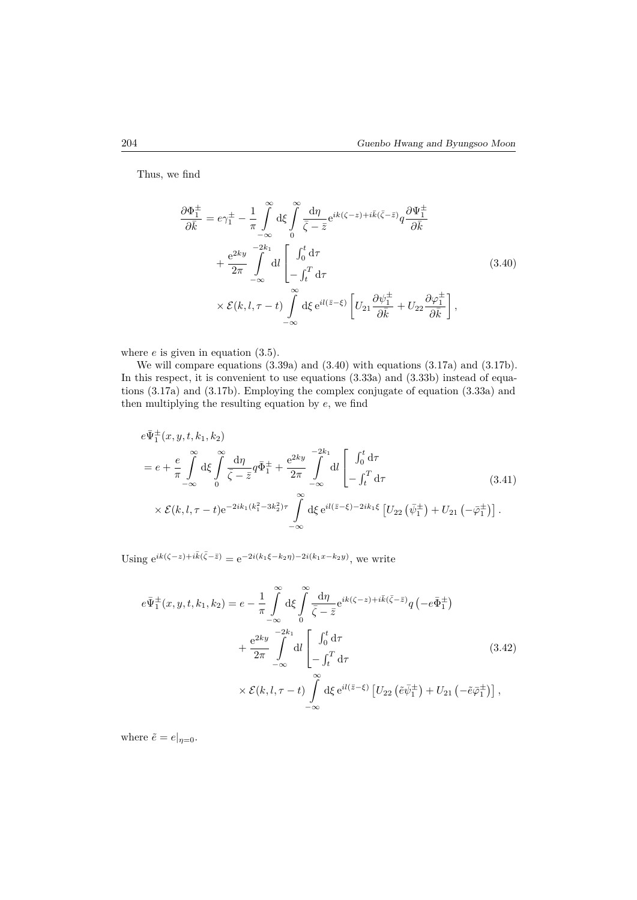Thus, we find

$$
\frac{\partial \Phi_{1}^{\pm}}{\partial \bar{k}} = e\gamma_{1}^{\pm} - \frac{1}{\pi} \int_{-\infty}^{\infty} d\xi \int_{0}^{\infty} \frac{d\eta}{\bar{\zeta} - \bar{z}} e^{ik(\zeta - z) + i\bar{k}(\bar{\zeta} - \bar{z})} q \frac{\partial \Psi_{1}^{\pm}}{\partial \bar{k}} \n+ \frac{e^{2ky}}{2\pi} \int_{-\infty}^{-2k_{1}} dl \left[ \int_{0}^{t} d\tau \right] \n\times \mathcal{E}(k, l, \tau - t) \int_{-\infty}^{\infty} d\xi e^{il(\bar{z} - \xi)} \left[ U_{21} \frac{\partial \psi_{1}^{\pm}}{\partial \bar{k}} + U_{22} \frac{\partial \varphi_{1}^{\pm}}{\partial \bar{k}} \right],
$$
\n(3.40)

where *e* is given in equation  $(3.5)$ .

We will compare equations (3.39a) and (3.40) with equations (3.17a) and (3.17b). In this respect, it is convenient to use equations  $(3.33a)$  and  $(3.33b)$  instead of equations (3.17a) and (3.17b). Employing the complex conjugate of equation (3.33a) and then multiplying the resulting equation by *e*, we find

$$
e\bar{\Psi}_{1}^{\pm}(x, y, t, k_{1}, k_{2})
$$
\n
$$
= e + \frac{e}{\pi} \int_{-\infty}^{\infty} d\xi \int_{0}^{\infty} \frac{d\eta}{\bar{\zeta} - \bar{z}} q \bar{\Phi}_{1}^{\pm} + \frac{e^{2ky}}{2\pi} \int_{-\infty}^{-2k_{1}} dl \left[ \int_{0}^{t} d\tau - \int_{t}^{T} d\tau \right]
$$
\n
$$
\times \mathcal{E}(k, l, \tau - t) e^{-2ik_{1}(k_{1}^{2} - 3k_{2}^{2})\tau} \int_{-\infty}^{\infty} d\xi e^{il(\bar{z} - \xi) - 2ik_{1}\xi} \left[ U_{22} \left( \bar{\psi}_{1}^{\pm} \right) + U_{21} \left( -\bar{\varphi}_{1}^{\pm} \right) \right].
$$
\n(3.41)

Using  $e^{ik(\zeta - z) + i\bar{k}(\bar{\zeta} - \bar{z})} = e^{-2i(k_1\xi - k_2\eta) - 2i(k_1x - k_2y)}$ , we write

$$
e\overline{\Psi}_{1}^{\pm}(x,y,t,k_{1},k_{2}) = e - \frac{1}{\pi} \int_{-\infty}^{\infty} d\xi \int_{0}^{\infty} \frac{d\eta}{\overline{\zeta} - \overline{z}} e^{ik(\zeta - z) + i\overline{k}(\overline{\zeta} - \overline{z})} q(-e\overline{\Phi}_{1}^{\pm})
$$
  
+ 
$$
\frac{e^{2ky}}{2\pi} \int_{-\infty}^{-2k_{1}} dl \left[ \int_{0}^{t} d\tau - \int_{t}^{T} d\tau \right]
$$
  

$$
\times \mathcal{E}(k,l,\tau - t) \int_{-\infty}^{\infty} d\xi e^{il(\overline{z} - \xi)} \left[ U_{22} \left( \tilde{e} \overline{\psi}_{1}^{\pm} \right) + U_{21} \left( -\tilde{e} \overline{\varphi}_{1}^{\pm} \right) \right],
$$
 (3.42)

where  $\tilde{e} = e|_{\eta=0}$ .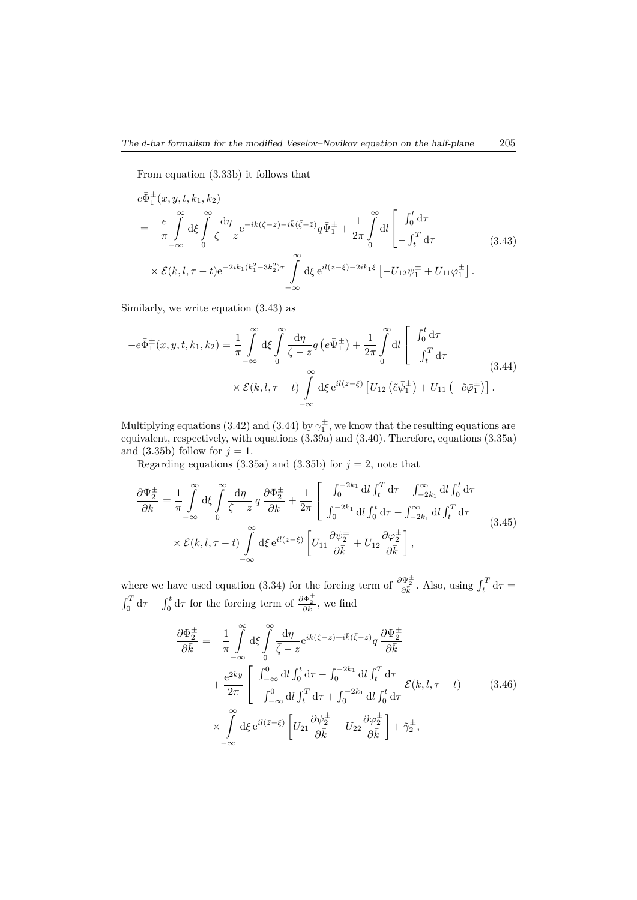From equation (3.33b) it follows that

$$
e\bar{\Phi}_{1}^{\pm}(x, y, t, k_{1}, k_{2})
$$
\n
$$
= -\frac{e}{\pi} \int_{-\infty}^{\infty} d\xi \int_{0}^{\infty} \frac{d\eta}{\zeta - z} e^{-ik(\zeta - z) - i\bar{k}(\bar{\zeta} - \bar{z})} q \bar{\Psi}_{1}^{\pm} + \frac{1}{2\pi} \int_{0}^{\infty} dl \left[ \int_{0}^{t} d\tau \right]
$$
\n
$$
\times \mathcal{E}(k, l, \tau - t) e^{-2ik_{1}(k_{1}^{2} - 3k_{2}^{2})\tau} \int_{-\infty}^{\infty} d\xi e^{il(z - \xi) - 2ik_{1}\xi} \left[ -U_{12} \bar{\psi}_{1}^{\pm} + U_{11} \bar{\varphi}_{1}^{\pm} \right].
$$
\n(3.43)

Similarly, we write equation (3.43) as

$$
-e\bar{\Phi}_1^{\pm}(x, y, t, k_1, k_2) = \frac{1}{\pi} \int_{-\infty}^{\infty} d\xi \int_{0}^{\infty} \frac{d\eta}{\zeta - z} q \left(e\bar{\Psi}_1^{\pm}\right) + \frac{1}{2\pi} \int_{0}^{\infty} dl \left[\int_{0}^{t} d\tau - \int_{t}^{T} d\tau\right]
$$

$$
\times \mathcal{E}(k, l, \tau - t) \int_{-\infty}^{\infty} d\xi e^{il(z-\xi)} \left[U_{12}\left(\tilde{e}\bar{\psi}_1^{\pm}\right) + U_{11}\left(-\tilde{e}\bar{\varphi}_1^{\pm}\right)\right].
$$
(3.44)

Multiplying equations (3.42) and (3.44) by  $\gamma_1^{\pm}$ , we know that the resulting equations are equivalent, respectively, with equations (3.39a) and (3.40). Therefore, equations (3.35a) and  $(3.35b)$  follow for  $j = 1$ .

Regarding equations (3.35a) and (3.35b) for  $j = 2$ , note that

$$
\frac{\partial \Psi_2^{\pm}}{\partial \bar{k}} = \frac{1}{\pi} \int_{-\infty}^{\infty} d\xi \int_{0}^{\infty} \frac{d\eta}{\zeta - z} q \frac{\partial \Phi_2^{\pm}}{\partial \bar{k}} + \frac{1}{2\pi} \left[ \int_{0}^{-2k_1} dl \int_{t}^{T} d\tau + \int_{-2k_1}^{\infty} dl \int_{0}^{t} d\tau \right. \\
\left. + \int_{-\infty}^{\infty} k_1 dl \int_{0}^{T} d\tau - \int_{-2k_1}^{\infty} dl \int_{t}^{T} d\tau \right. \\
\left. + \mathcal{E}(k, l, \tau - t) \int_{-\infty}^{\infty} d\xi e^{il(z - \xi)} \left[ U_{11} \frac{\partial \psi_2^{\pm}}{\partial \bar{k}} + U_{12} \frac{\partial \varphi_2^{\pm}}{\partial \bar{k}} \right],
$$
\n(3.45)

where we have used equation (3.34) for the forcing term of  $\frac{\partial \Psi_2^{\pm}}{\partial \overline{k}}$ . Also, using  $\int_t^T d\tau =$  $\int_0^T d\tau - \int_0^t d\tau$  for the forcing term of  $\frac{\partial \Phi_2^{\pm}}{\partial \vec{k}}$ , we find

$$
\frac{\partial \Phi_{2}^{\pm}}{\partial \bar{k}} = -\frac{1}{\pi} \int_{-\infty}^{\infty} d\xi \int_{0}^{\infty} \frac{d\eta}{\bar{\zeta} - \bar{z}} e^{ik(\zeta - z) + i\bar{k}(\bar{\zeta} - \bar{z})} q \frac{\partial \Psi_{2}^{\pm}}{\partial \bar{k}} \n+ \frac{e^{2ky}}{2\pi} \left[ \int_{-\infty}^{0} dl \int_{0}^{t} d\tau - \int_{0}^{-2k_{1}} dl \int_{t}^{T} d\tau \right. \n+ \int_{-\infty}^{\infty} \left[ \int_{-\infty}^{0} dl \int_{t}^{T} d\tau + \int_{0}^{-2k_{1}} dl \int_{0}^{t} d\tau \right. \n\times \int_{-\infty}^{\infty} d\xi e^{il(\bar{z} - \xi)} \left[ U_{21} \frac{\partial \psi_{2}^{\pm}}{\partial \bar{k}} + U_{22} \frac{\partial \varphi_{2}^{\pm}}{\partial \bar{k}} \right] + \tilde{\gamma}_{2}^{\pm},
$$
\n(3.46)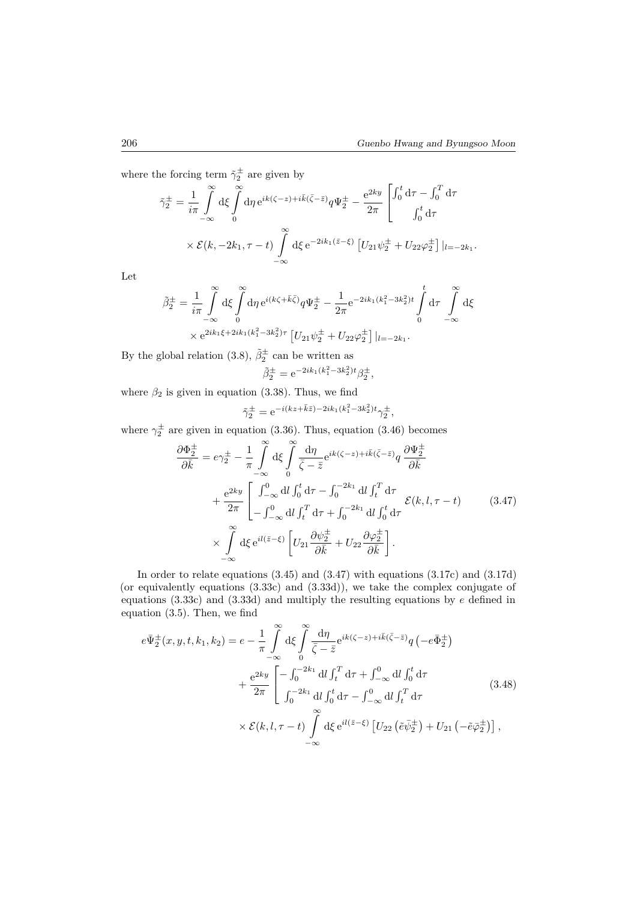where the forcing term  $\tilde{\gamma}_2^{\pm}$  are given by

$$
\tilde{\gamma}_2^{\pm} = \frac{1}{i\pi} \int_{-\infty}^{\infty} d\xi \int_{0}^{\infty} d\eta e^{ik(\zeta - z) + i\bar{k}(\bar{\zeta} - \bar{z})} q \Psi_2^{\pm} - \frac{e^{2ky}}{2\pi} \begin{bmatrix} \int_0^t d\tau - \int_0^T d\tau \\ \int_0^t d\tau \end{bmatrix}
$$

$$
\times \mathcal{E}(k, -2k_1, \tau - t) \int_{-\infty}^{\infty} d\xi e^{-2ik_1(\bar{z} - \xi)} \left[ U_{21} \psi_2^{\pm} + U_{22} \varphi_2^{\pm} \right] |_{l=-2k_1}.
$$

Let

$$
\tilde{\beta}_{2}^{\pm} = \frac{1}{i\pi} \int_{-\infty}^{\infty} d\xi \int_{0}^{\infty} d\eta \, e^{i(k\zeta + \bar{k}\bar{\zeta})} q \Psi_{2}^{\pm} - \frac{1}{2\pi} e^{-2ik_{1}(k_{1}^{2} - 3k_{2}^{2})t} \int_{0}^{t} d\tau \int_{-\infty}^{\infty} d\xi
$$
  
 
$$
\times e^{2ik_{1}\xi + 2ik_{1}(k_{1}^{2} - 3k_{2}^{2})\tau} \left[ U_{21} \psi_{2}^{\pm} + U_{22} \varphi_{2}^{\pm} \right] |_{l=-2k_{1}}.
$$

By the global relation (3.8),  $\tilde{\beta}_2^{\pm}$  can be written as  $\tilde{\beta}_2^{\pm} = e^{-2ik_1(k_1^2 - 3k_2^2)t} \beta_2^{\pm},$ 

where  $\beta_2$  is given in equation (3.38). Thus, we find

$$
\tilde{\gamma}_2^{\pm} = e^{-i(kz + \bar{k}\bar{z}) - 2ik_1(k_1^2 - 3k_2^2)t} \gamma_2^{\pm},
$$

where  $\gamma_2^{\pm}$  are given in equation (3.36). Thus, equation (3.46) becomes

$$
\frac{\partial \Phi_{2}^{\pm}}{\partial \bar{k}} = e\gamma_{2}^{\pm} - \frac{1}{\pi} \int_{-\infty}^{\infty} d\xi \int_{0}^{\infty} \frac{d\eta}{\bar{\zeta} - \bar{z}} e^{ik(\zeta - z) + i\bar{k}(\bar{\zeta} - \bar{z})} q \frac{\partial \Psi_{2}^{\pm}}{\partial \bar{k}} \n+ \frac{e^{2ky}}{2\pi} \left[ \int_{-\infty}^{0} dl \int_{0}^{t} d\tau - \int_{0}^{-2k_{1}} dl \int_{t}^{T} d\tau \right. \n+ \frac{e^{2ky}}{2\pi} \left[ \int_{-\infty}^{0} dl \int_{t}^{T} d\tau + \int_{0}^{-2k_{1}} dl \int_{0}^{t} d\tau \right. \n\times \int_{-\infty}^{\infty} d\xi e^{il(\bar{z} - \xi)} \left[ U_{21} \frac{\partial \psi_{2}^{\pm}}{\partial \bar{k}} + U_{22} \frac{\partial \varphi_{2}^{\pm}}{\partial \bar{k}} \right].
$$
\n(3.47)

In order to relate equations (3.45) and (3.47) with equations (3.17c) and (3.17d) (or equivalently equations (3.33c) and (3.33d)), we take the complex conjugate of equations (3.33c) and (3.33d) and multiply the resulting equations by *e* defined in equation (3.5). Then, we find

$$
e\bar{\Psi}_{2}^{\pm}(x,y,t,k_{1},k_{2}) = e - \frac{1}{\pi} \int_{-\infty}^{\infty} d\xi \int_{0}^{\infty} \frac{d\eta}{\bar{\zeta} - \bar{z}} e^{ik(\zeta - z) + i\bar{k}(\bar{\zeta} - \bar{z})} q\left(-e\bar{\Phi}_{2}^{\pm}\right)
$$

$$
+ \frac{e^{2ky}}{2\pi} \left[ -\int_{0}^{-2k_{1}} dl \int_{t}^{T} d\tau + \int_{-\infty}^{0} dl \int_{0}^{t} d\tau + \frac{e^{2ky}}{2\pi} \left[ \int_{0}^{-2k_{1}} dl \int_{0}^{t} d\tau - \int_{-\infty}^{0} dl \int_{t}^{T} d\tau \right] \times \mathcal{E}(k, l, \tau - t) \int_{-\infty}^{\infty} d\xi e^{il(\bar{z} - \xi)} \left[U_{22}\left(\tilde{e}\bar{\psi}_{2}^{\pm}\right) + U_{21}\left(-\tilde{e}\bar{\varphi}_{2}^{\pm}\right) \right],
$$
(3.48)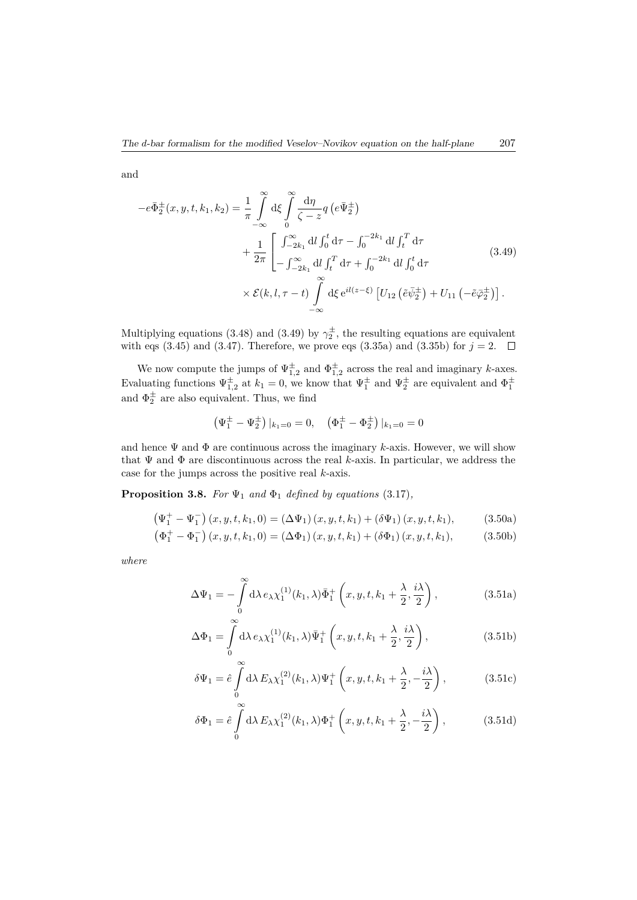and

$$
-e\bar{\Phi}_{2}^{\pm}(x, y, t, k_{1}, k_{2}) = \frac{1}{\pi} \int_{-\infty}^{\infty} d\xi \int_{0}^{\infty} \frac{d\eta}{\zeta - z} q \left(e\bar{\Psi}_{2}^{\pm}\right)
$$
  
+ 
$$
\frac{1}{2\pi} \left[ \int_{-2k_{1}}^{\infty} dl \int_{0}^{t} d\tau - \int_{0}^{-2k_{1}} dl \int_{t}^{T} d\tau + \int_{0}^{-2k_{1}} dl \int_{0}^{t} d\tau + \int_{0}^{-2k_{1}} dl \int_{0}^{t} d\tau + \mathcal{L}(3.49)
$$
  

$$
\times \mathcal{E}(k, l, \tau - t) \int_{-\infty}^{\infty} d\xi e^{il(z-\xi)} \left[U_{12}\left(\tilde{e}\bar{\psi}_{2}^{\pm}\right) + U_{11}\left(-\tilde{e}\bar{\varphi}_{2}^{\pm}\right)\right].
$$

Multiplying equations (3.48) and (3.49) by  $\gamma_2^{\pm}$ , the resulting equations are equivalent with eqs (3.45) and (3.47). Therefore, we prove eqs (3.35a) and (3.35b) for  $j = 2$ .  $\Box$ 

We now compute the jumps of  $\Psi_{1,2}^{\pm}$  and  $\Phi_{1,2}^{\pm}$  across the real and imaginary *k*-axes. Evaluating functions  $\Psi_{1,2}^{\pm}$  at  $k_1 = 0$ , we know that  $\Psi_1^{\pm}$  and  $\Psi_2^{\pm}$  are equivalent and  $\Phi_1^{\pm}$ and  $\Phi_2^{\pm}$  are also equivalent. Thus, we find

$$
\left(\Psi_1^{\pm} - \Psi_2^{\pm}\right)|_{k_1=0} = 0, \quad \left(\Phi_1^{\pm} - \Phi_2^{\pm}\right)|_{k_1=0} = 0
$$

and hence  $\Psi$  and  $\Phi$  are continuous across the imaginary *k*-axis. However, we will show that Ψ and Φ are discontinuous across the real *k*-axis. In particular, we address the case for the jumps across the positive real *k*-axis.

**Proposition 3.8.** *For*  $\Psi_1$  *and*  $\Phi_1$  *defined by equations* (3.17)*,* 

$$
\left(\Psi_{1}^{+}-\Psi_{1}^{-}\right)(x,y,t,k_{1},0)=\left(\Delta\Psi_{1}\right)(x,y,t,k_{1})+\left(\delta\Psi_{1}\right)(x,y,t,k_{1}),\tag{3.50a}
$$

$$
\left(\Phi_1^+ - \Phi_1^-\right)(x, y, t, k_1, 0) = (\Delta \Phi_1)(x, y, t, k_1) + (\delta \Phi_1)(x, y, t, k_1),\tag{3.50b}
$$

*where*

 $\overline{1}$ 

$$
\Delta\Psi_1 = -\int\limits_0^\infty d\lambda \, e_\lambda \chi_1^{(1)}(k_1, \lambda) \bar{\Phi}_1^+ \left(x, y, t, k_1 + \frac{\lambda}{2}, \frac{i\lambda}{2}\right),\tag{3.51a}
$$

$$
\Delta\Phi_1 = \int\limits_0^\infty d\lambda \, e_\lambda \chi_1^{(1)}(k_1, \lambda) \bar{\Psi}_1^+ \left(x, y, t, k_1 + \frac{\lambda}{2}, \frac{i\lambda}{2}\right),\tag{3.51b}
$$

$$
\delta\Psi_1 = \hat{e} \int_0^\infty d\lambda \, E_\lambda \chi_1^{(2)}(k_1, \lambda) \Psi_1^+ \left(x, y, t, k_1 + \frac{\lambda}{2}, -\frac{i\lambda}{2}\right), \tag{3.51c}
$$

$$
\delta\Phi_1 = \hat{e} \int_0^\infty d\lambda \, E_\lambda \chi_1^{(2)}(k_1, \lambda) \Phi_1^+ \left(x, y, t, k_1 + \frac{\lambda}{2}, -\frac{i\lambda}{2}\right),\tag{3.51d}
$$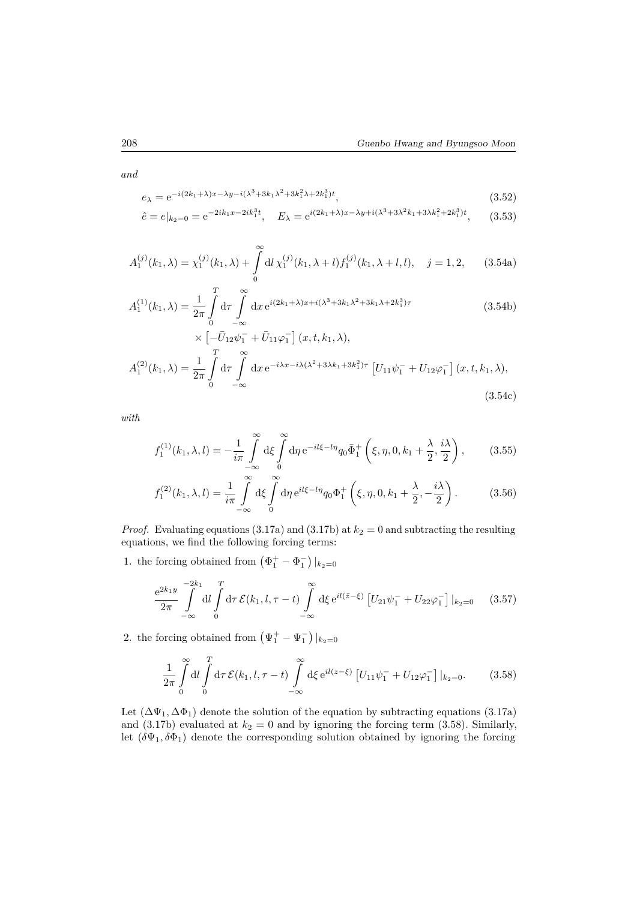*and*

$$
e_{\lambda} = e^{-i(2k_1 + \lambda)x - \lambda y - i(\lambda^3 + 3k_1\lambda^2 + 3k_1^2\lambda + 2k_1^3)t},
$$
\n(3.52)

$$
\hat{e} = e|_{k_2=0} = e^{-2ik_1x - 2ik_1^3t}, \quad E_{\lambda} = e^{i(2k_1 + \lambda)x - \lambda y + i(\lambda^3 + 3\lambda^2k_1 + 3\lambda k_1^2 + 2k_1^3)t}, \quad (3.53)
$$

$$
A_1^{(j)}(k_1,\lambda) = \chi_1^{(j)}(k_1,\lambda) + \int_0^\infty \mathrm{d}l \,\chi_1^{(j)}(k_1,\lambda+l) f_1^{(j)}(k_1,\lambda+l,l), \quad j = 1,2,\tag{3.54a}
$$

$$
A_1^{(1)}(k_1, \lambda) = \frac{1}{2\pi} \int_0^T d\tau \int_{-\infty}^{\infty} dx \, e^{i(2k_1 + \lambda)x + i(\lambda^3 + 3k_1\lambda^2 + 3k_1\lambda + 2k_1^3)\tau} \times \left[ -\bar{U}_{12}\psi_1^- + \bar{U}_{11}\varphi_1^- \right] (x, t, k_1, \lambda), \tag{3.54b}
$$

$$
A_1^{(2)}(k_1,\lambda) = \frac{1}{2\pi} \int_0^T d\tau \int_{-\infty}^{\infty} dx \, e^{-i\lambda x - i\lambda(\lambda^2 + 3\lambda k_1 + 3k_1^2)\tau} \left[ U_{11}\psi_1^- + U_{12}\varphi_1^- \right] (x, t, k_1, \lambda), \tag{3.54c}
$$

*with*

$$
f_1^{(1)}(k_1, \lambda, l) = -\frac{1}{i\pi} \int_{-\infty}^{\infty} d\xi \int_{0}^{\infty} d\eta \, e^{-il\xi - l\eta} q_0 \bar{\Phi}_1^+ \left(\xi, \eta, 0, k_1 + \frac{\lambda}{2}, \frac{i\lambda}{2}\right), \tag{3.55}
$$

$$
f_1^{(2)}(k_1, \lambda, l) = \frac{1}{i\pi} \int_{-\infty}^{\infty} d\xi \int_{0}^{\infty} d\eta \, e^{il\xi - l\eta} q_0 \Phi_1^+ \left(\xi, \eta, 0, k_1 + \frac{\lambda}{2}, -\frac{i\lambda}{2}\right).
$$
 (3.56)

*Proof.* Evaluating equations (3.17a) and (3.17b) at  $k_2 = 0$  and subtracting the resulting equations, we find the following forcing terms:

1. the forcing obtained from  $(\Phi_1^+ - \Phi_1^-)|_{k_2=0}$ 

$$
\frac{e^{2k_1y}}{2\pi} \int\limits_{-\infty}^{-2k_1} dl \int\limits_0^T d\tau \, \mathcal{E}(k_1, l, \tau - t) \int\limits_{-\infty}^{\infty} d\xi \, e^{il(\bar{z}-\xi)} \left[ U_{21} \psi_1^- + U_{22} \varphi_1^- \right] |_{k_2=0} \tag{3.57}
$$

2. the forcing obtained from  $(\Psi_1^+ - \Psi_1^-)|_{k_2=0}$ 

$$
\frac{1}{2\pi} \int_{0}^{\infty} dl \int_{0}^{T} d\tau \, \mathcal{E}(k_1, l, \tau - t) \int_{-\infty}^{\infty} d\xi \, e^{il(z - \xi)} \left[ U_{11} \psi_1^- + U_{12} \varphi_1^- \right] |_{k_2 = 0}.
$$
 (3.58)

Let  $(\Delta \Psi_1, \Delta \Phi_1)$  denote the solution of the equation by subtracting equations (3.17a) and  $(3.17b)$  evaluated at  $k_2 = 0$  and by ignoring the forcing term  $(3.58)$ . Similarly, let  $(\delta\Psi_1, \delta\Phi_1)$  denote the corresponding solution obtained by ignoring the forcing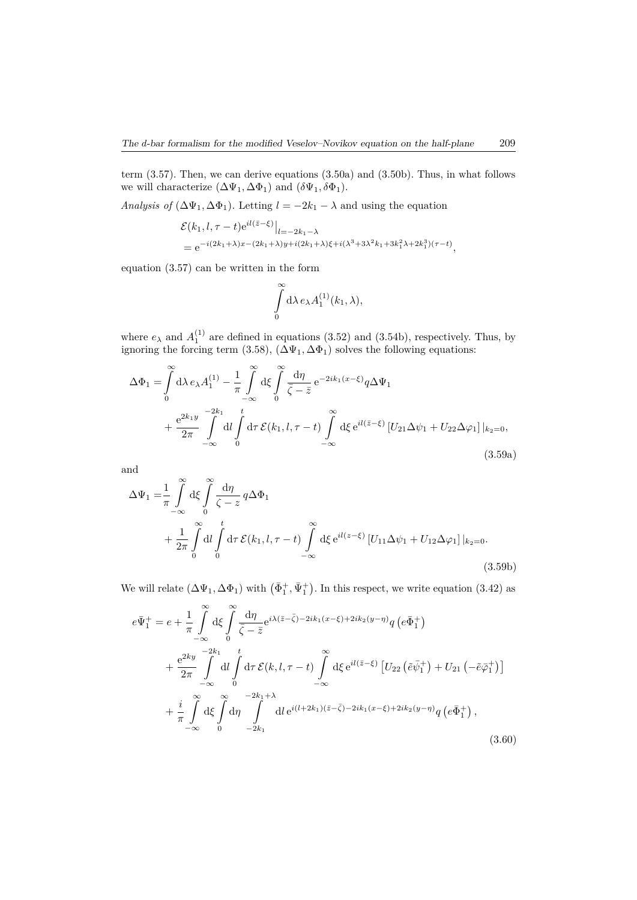term (3.57). Then, we can derive equations (3.50a) and (3.50b). Thus, in what follows we will characterize  $(\Delta \Psi_1, \Delta \Phi_1)$  and  $(\delta \Psi_1, \delta \Phi_1)$ .

*Analysis of*  $(\Delta \Psi_1, \Delta \Phi_1)$ *.* Letting  $l = -2k_1 - \lambda$  and using the equation

$$
\mathcal{E}(k_1, l, \tau - t) e^{i l (\bar{z} - \xi)} \Big|_{l = -2k_1 - \lambda}
$$
  
=  $e^{-i (2k_1 + \lambda)x - (2k_1 + \lambda)y + i (2k_1 + \lambda)\xi + i (\lambda^3 + 3\lambda^2 k_1 + 3k_1^2 \lambda + 2k_1^3)(\tau - t)},$ 

equation (3.57) can be written in the form

$$
\int\limits_0^\infty \mathrm{d}\lambda\, e_\lambda A^{(1)}_1(k_1,\lambda),
$$

where  $e_{\lambda}$  and  $A_1^{(1)}$  are defined in equations (3.52) and (3.54b), respectively. Thus, by ignoring the forcing term  $(3.58)$ ,  $(\Delta \Psi_1, \Delta \Phi_1)$  solves the following equations:

$$
\Delta\Phi_1 = \int_0^\infty d\lambda \, e_\lambda A_1^{(1)} - \frac{1}{\pi} \int_{-\infty}^\infty d\xi \int_0^\infty \frac{d\eta}{\bar{\zeta} - \bar{z}} e^{-2ik_1(x-\xi)} q \Delta\Psi_1
$$
  
+ 
$$
\frac{e^{2k_1y}}{2\pi} \int_{-\infty}^{-2k_1} dl \int_0^t d\tau \, \mathcal{E}(k_1, l, \tau - t) \int_{-\infty}^\infty d\xi e^{il(\bar{z}-\xi)} \left[U_{21}\Delta\psi_1 + U_{22}\Delta\varphi_1\right]|_{k_2=0},
$$
(3.59a)

and

$$
\Delta\Psi_1 = \frac{1}{\pi} \int_{-\infty}^{\infty} d\xi \int_{0}^{\infty} \frac{d\eta}{\zeta - z} q \Delta \Phi_1
$$
  
+ 
$$
\frac{1}{2\pi} \int_{0}^{\infty} dl \int_{0}^{t} d\tau \mathcal{E}(k_1, l, \tau - t) \int_{-\infty}^{\infty} d\xi e^{il(z - \xi)} [U_{11} \Delta \psi_1 + U_{12} \Delta \varphi_1]|_{k_2=0}.
$$
(3.59b)

We will relate  $(\Delta \Psi_1, \Delta \Phi_1)$  with  $(\bar{\Phi}_1^+, \bar{\Psi}_1^+)$ . In this respect, we write equation (3.42) as

$$
e\bar{\Psi}_{1}^{+} = e + \frac{1}{\pi} \int_{-\infty}^{\infty} d\xi \int_{0}^{\infty} \frac{d\eta}{\bar{\zeta} - \bar{z}} e^{i\lambda(\bar{z} - \bar{\zeta}) - 2ik_{1}(x - \xi) + 2ik_{2}(y - \eta)} q \left(e\bar{\Phi}_{1}^{+}\right)
$$
  
+ 
$$
\frac{e^{2ky}}{2\pi} \int_{-\infty}^{-2k_{1}} dl \int_{0}^{t} d\tau \mathcal{E}(k, l, \tau - t) \int_{-\infty}^{\infty} d\xi e^{il(\bar{z} - \xi)} \left[U_{22}\left(\tilde{e}\bar{\psi}_{1}^{+}\right) + U_{21}\left(-\tilde{e}\bar{\varphi}_{1}^{+}\right)\right]
$$
  
+ 
$$
\frac{i}{\pi} \int_{-\infty}^{\infty} d\xi \int_{0}^{\infty} d\eta \int_{-2k_{1}}^{-2k_{1}+\lambda} dl e^{i(l+2k_{1})(\bar{z} - \bar{\zeta}) - 2ik_{1}(x - \xi) + 2ik_{2}(y - \eta)} q \left(e\bar{\Phi}_{1}^{+}\right), \tag{3.60}
$$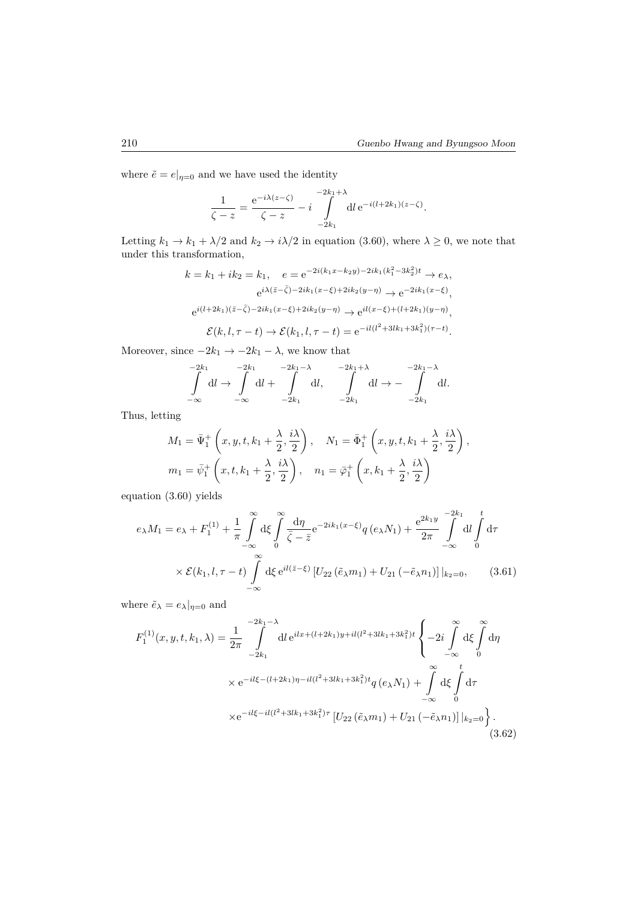where  $\tilde{e} = e|_{\eta=0}$  and we have used the identity

$$
\frac{1}{\zeta - z} = \frac{e^{-i\lambda(z - \zeta)}}{\zeta - z} - i \int_{-2k_1}^{-2k_1 + \lambda} dl \, e^{-i(l + 2k_1)(z - \zeta)}.
$$

Letting  $k_1 \to k_1 + \lambda/2$  and  $k_2 \to i\lambda/2$  in equation (3.60), where  $\lambda \geq 0$ , we note that under this transformation,

$$
k = k_1 + ik_2 = k_1, \quad e = e^{-2i(k_1x - k_2y) - 2ik_1(k_1^2 - 3k_2^2)t} \to e_\lambda,
$$
  
\n
$$
e^{i\lambda(\bar{z} - \bar{\zeta}) - 2ik_1(x - \xi) + 2ik_2(y - \eta)} \to e^{-2ik_1(x - \xi)},
$$
  
\n
$$
e^{i(l+2k_1)(\bar{z} - \bar{\zeta}) - 2ik_1(x - \xi) + 2ik_2(y - \eta)} \to e^{il(x - \xi) + (l+2k_1)(y - \eta)},
$$
  
\n
$$
\mathcal{E}(k, l, \tau - t) \to \mathcal{E}(k_1, l, \tau - t) = e^{-il(l^2 + 3lk_1 + 3k_1^2)(\tau - t)}.
$$

Moreover, since  $-2k_1 \rightarrow -2k_1 - \lambda$ , we know that

$$
\int_{-\infty}^{-2k_1} \mathrm{d}l \to \int_{-\infty}^{-2k_1} \mathrm{d}l + \int_{-2k_1}^{-2k_1-\lambda} \mathrm{d}l, \quad \int_{-2k_1}^{2k_1+\lambda} \mathrm{d}l \to -\int_{-2k_1}^{-2k_1-\lambda} \mathrm{d}l.
$$

Thus, letting

$$
M_1 = \bar{\Psi}_1^+ \left( x, y, t, k_1 + \frac{\lambda}{2}, \frac{i\lambda}{2} \right), \quad N_1 = \bar{\Phi}_1^+ \left( x, y, t, k_1 + \frac{\lambda}{2}, \frac{i\lambda}{2} \right),
$$
  

$$
m_1 = \bar{\psi}_1^+ \left( x, t, k_1 + \frac{\lambda}{2}, \frac{i\lambda}{2} \right), \quad n_1 = \bar{\varphi}_1^+ \left( x, k_1 + \frac{\lambda}{2}, \frac{i\lambda}{2} \right)
$$

equation (3.60) yields

$$
e_{\lambda}M_{1} = e_{\lambda} + F_{1}^{(1)} + \frac{1}{\pi} \int_{-\infty}^{\infty} d\xi \int_{0}^{\infty} \frac{d\eta}{\bar{\zeta} - \bar{z}} e^{-2ik_{1}(x-\xi)} q(e_{\lambda}N_{1}) + \frac{e^{2k_{1}y}}{2\pi} \int_{-\infty}^{-2k_{1}} dl \int_{0}^{t} d\tau
$$

$$
\times \mathcal{E}(k_{1}, l, \tau - t) \int_{-\infty}^{\infty} d\xi e^{il(\bar{z}-\xi)} \left[U_{22}(\tilde{e}_{\lambda}m_{1}) + U_{21}(-\tilde{e}_{\lambda}n_{1})\right]|_{k_{2}=0}, \qquad (3.61)
$$

where  $\tilde{e}_{\lambda} = e_{\lambda}|_{\eta=0}$  and

$$
F_1^{(1)}(x, y, t, k_1, \lambda) = \frac{1}{2\pi} \int_{-2k_1}^{-2k_1 - \lambda} dt e^{ilx + (l + 2k_1)y + il(l^2 + 3lk_1 + 3k_1^2)t} \begin{cases} -2i \int_{-\infty}^{\infty} d\xi \int_0^{\infty} d\eta \\ -\infty \end{cases} \times e^{-il\xi - (l + 2k_1)\eta - il(l^2 + 3lk_1 + 3k_1^2)t} q(e_{\lambda}N_1) + \int_{-\infty}^{\infty} d\xi \int_0^t d\tau \\ \times e^{-il\xi - il(l^2 + 3lk_1 + 3k_1^2)\tau} \left[ U_{22}(\tilde{e}_{\lambda}m_1) + U_{21}(-\tilde{e}_{\lambda}n_1) \right] |_{k_2 = 0} \begin{cases} . \tag{3.62}
$$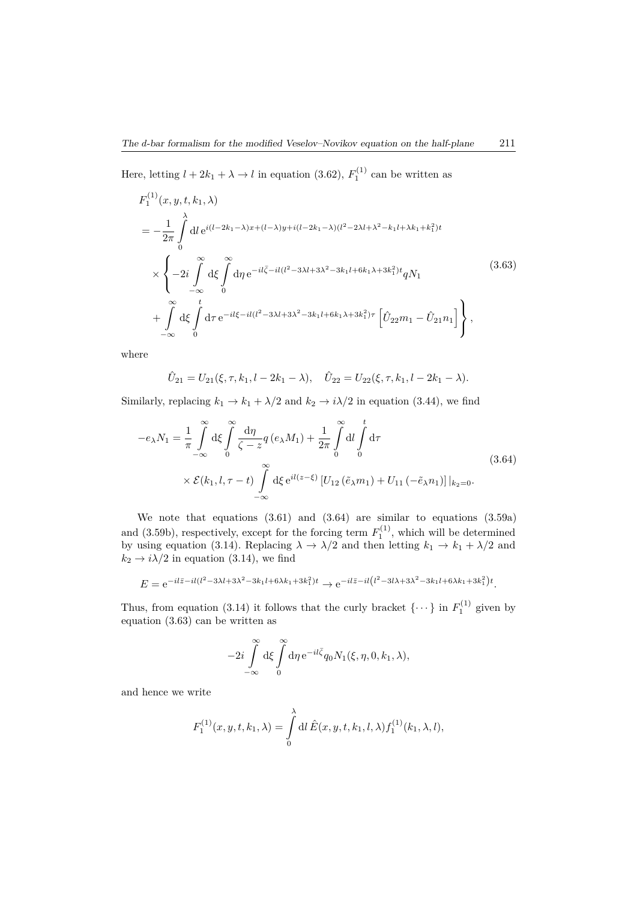Here, letting  $l + 2k_1 + \lambda \rightarrow l$  in equation (3.62),  $F_1^{(1)}$  can be written as

$$
F_1^{(1)}(x, y, t, k_1, \lambda)
$$
  
=  $-\frac{1}{2\pi} \int_0^{\lambda} dl e^{i(l-2k_1-\lambda)x + (l-\lambda)y + i(l-2k_1-\lambda)(l^2-2\lambda l+\lambda^2-k_1l+\lambda k_1+k_1^2)t}$   

$$
\times \left\{-2i \int_0^{\infty} d\xi \int_0^{\infty} d\eta e^{-il\bar{\zeta}-il(l^2-3\lambda l+3\lambda^2-3k_1l+6k_1\lambda+3k_1^2)t} qN_1 + \int_0^{\infty} d\xi \int_0^t d\tau e^{-il\xi-il(l^2-3\lambda l+3\lambda^2-3k_1l+6k_1\lambda+3k_1^2)\tau} \left[\hat{U}_{22}m_1-\hat{U}_{21}n_1\right] \right\},
$$
(3.63)

where

$$
\hat{U}_{21} = U_{21}(\xi, \tau, k_1, l - 2k_1 - \lambda), \quad \hat{U}_{22} = U_{22}(\xi, \tau, k_1, l - 2k_1 - \lambda).
$$

Similarly, replacing  $k_1 \rightarrow k_1 + \lambda/2$  and  $k_2 \rightarrow i\lambda/2$  in equation (3.44), we find

$$
-e_{\lambda}N_{1} = \frac{1}{\pi} \int_{-\infty}^{\infty} d\xi \int_{0}^{\infty} \frac{d\eta}{\zeta - z} q(e_{\lambda}M_{1}) + \frac{1}{2\pi} \int_{0}^{\infty} dl \int_{0}^{t} d\tau
$$
  
 
$$
\times \mathcal{E}(k_{1}, l, \tau - t) \int_{-\infty}^{\infty} d\xi e^{il(z-\xi)} \left[U_{12}(\tilde{e}_{\lambda}m_{1}) + U_{11}(-\tilde{e}_{\lambda}n_{1})\right]|_{k_{2}=0}.
$$
 (3.64)

We note that equations (3.61) and (3.64) are similar to equations (3.59a) and  $(3.59b)$ , respectively, except for the forcing term  $F_1^{(1)}$ , which will be determined by using equation (3.14). Replacing  $\lambda \to \lambda/2$  and then letting  $k_1 \to k_1 + \lambda/2$  and  $k_2 \rightarrow i\lambda/2$  in equation (3.14), we find

$$
E = e^{-il\bar{z}-il(l^2-3\lambda l+3\lambda^2-3k_1l+6\lambda k_1+3k_1^2)t} \to e^{-il\bar{z}-il(l^2-3l\lambda+3\lambda^2-3k_1l+6\lambda k_1+3k_1^2)t}.
$$

Thus, from equation (3.14) it follows that the curly bracket  $\{\cdots\}$  in  $F_1^{(1)}$  given by equation (3.63) can be written as

$$
-2i\int\limits_{-\infty}^{\infty} \mathrm{d}\xi \int\limits_{0}^{\infty} \mathrm{d}\eta \,\mathrm{e}^{-il\bar{\zeta}}q_{0} N_{1}(\xi, \eta, 0, k_{1}, \lambda),
$$

and hence we write

$$
F_1^{(1)}(x, y, t, k_1, \lambda) = \int_0^{\lambda} dl \,\hat{E}(x, y, t, k_1, l, \lambda) f_1^{(1)}(k_1, \lambda, l),
$$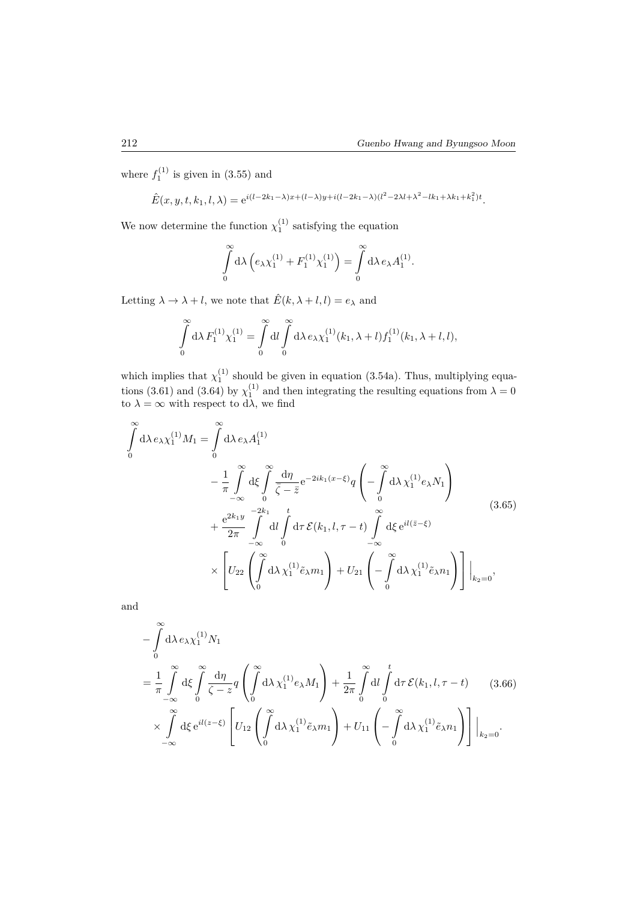where  $f_1^{(1)}$  is given in  $(3.55)$  and

 $\hat{E}(x, y, t, k_1, l, \lambda) = e^{i(l-2k_1-\lambda)x + (l-\lambda)y + i(l-2k_1-\lambda)(l^2-2\lambda l + \lambda^2 - lk_1 + \lambda k_1 + k_1^2)t}.$ 

We now determine the function  $\chi_1^{(1)}$  satisfying the equation

$$
\int_{0}^{\infty} d\lambda \left( e_{\lambda} \chi_{1}^{(1)} + F_{1}^{(1)} \chi_{1}^{(1)} \right) = \int_{0}^{\infty} d\lambda \, e_{\lambda} A_{1}^{(1)}.
$$

Letting  $\lambda \to \lambda + l$ , we note that  $\hat{E}(k, \lambda + l, l) = e_{\lambda}$  and

$$
\int_{0}^{\infty} d\lambda \, F_1^{(1)} \chi_1^{(1)} = \int_{0}^{\infty} d\lambda \int_{0}^{\infty} d\lambda \, e_{\lambda} \chi_1^{(1)}(k_1, \lambda + l) f_1^{(1)}(k_1, \lambda + l, l),
$$

which implies that  $\chi_1^{(1)}$  should be given in equation (3.54a). Thus, multiplying equations (3.61) and (3.64) by  $\chi_1^{(1)}$  and then integrating the resulting equations from  $\lambda = 0$ to  $\lambda = \infty$  with respect to d $\lambda$ , we find

$$
\int_{0}^{\infty} d\lambda \, e_{\lambda} \chi_{1}^{(1)} M_{1} = \int_{0}^{\infty} d\lambda \, e_{\lambda} A_{1}^{(1)} \n- \frac{1}{\pi} \int_{-\infty}^{\infty} d\xi \int_{0}^{\infty} \frac{d\eta}{\overline{\zeta} - \overline{z}} e^{-2ik_{1}(x-\xi)} q \left( - \int_{0}^{\infty} d\lambda \, \chi_{1}^{(1)} e_{\lambda} N_{1} \right) \n+ \frac{e^{2k_{1}y}}{2\pi} \int_{-\infty}^{-2k_{1}} d\iota \int_{0}^{t} d\tau \, \mathcal{E}(k_{1}, l, \tau - t) \int_{-\infty}^{\infty} d\xi e^{il(\overline{z}-\xi)} \n\times \left[ U_{22} \left( \int_{0}^{\infty} d\lambda \, \chi_{1}^{(1)} \tilde{e}_{\lambda} m_{1} \right) + U_{21} \left( - \int_{0}^{\infty} d\lambda \, \chi_{1}^{(1)} \tilde{e}_{\lambda} n_{1} \right) \right] \Big|_{k_{2}=0},
$$
\n(3.65)

and

$$
-\int_{0}^{\infty} d\lambda \, e_{\lambda} \chi_{1}^{(1)} N_{1}
$$
\n
$$
=\frac{1}{\pi} \int_{-\infty}^{\infty} d\xi \int_{0}^{\infty} \frac{d\eta}{\zeta - z} q \left( \int_{0}^{\infty} d\lambda \, \chi_{1}^{(1)} e_{\lambda} M_{1} \right) + \frac{1}{2\pi} \int_{0}^{\infty} dI \int_{0}^{t} d\tau \, \mathcal{E}(k_{1}, l, \tau - t) \qquad (3.66)
$$
\n
$$
\times \int_{-\infty}^{\infty} d\xi \, e^{il(z-\xi)} \left[ U_{12} \left( \int_{0}^{\infty} d\lambda \, \chi_{1}^{(1)} \tilde{e}_{\lambda} m_{1} \right) + U_{11} \left( -\int_{0}^{\infty} d\lambda \, \chi_{1}^{(1)} \tilde{e}_{\lambda} n_{1} \right) \right] \Big|_{k_{2}=0}.
$$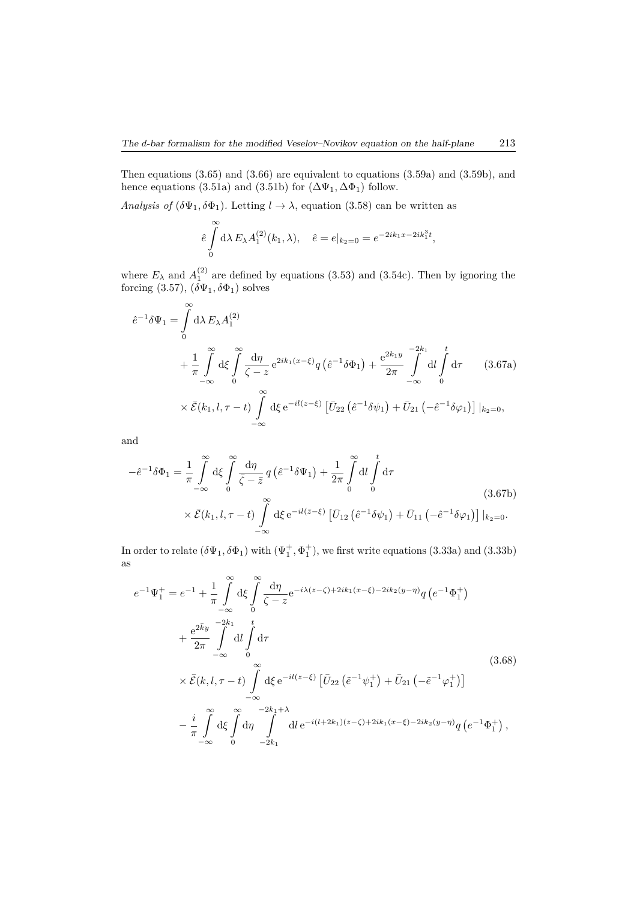Then equations (3.65) and (3.66) are equivalent to equations (3.59a) and (3.59b), and hence equations (3.51a) and (3.51b) for  $(\Delta \Psi_1, \Delta \Phi_1)$  follow.

*Analysis of*  $(\delta \Psi_1, \delta \Phi_1)$ *.* Letting  $l \to \lambda$ , equation (3.58) can be written as

$$
\hat{e}\int_{0}^{\infty} d\lambda E_{\lambda} A_{1}^{(2)}(k_{1}, \lambda), \quad \hat{e} = e|_{k_{2}=0} = e^{-2ik_{1}x - 2ik_{1}^{3}t},
$$

where  $E_{\lambda}$  and  $A_1^{(2)}$  are defined by equations (3.53) and (3.54c). Then by ignoring the forcing  $(3.57), (\delta\Psi_1, \delta\Phi_1)$  solves

$$
\hat{e}^{-1}\delta\Psi_{1} = \int_{0}^{\infty} d\lambda E_{\lambda} A_{1}^{(2)} + \frac{1}{\pi} \int_{-\infty}^{\infty} d\xi \int_{0}^{\infty} \frac{d\eta}{\zeta - z} e^{2ik_{1}(x-\xi)} q \left(\hat{e}^{-1}\delta\Phi_{1}\right) + \frac{e^{2k_{1}y}}{2\pi} \int_{-\infty}^{-2k_{1}} dl \int_{0}^{t} d\tau \qquad (3.67a)
$$

$$
\times \bar{\mathcal{E}}(k_{1}, l, \tau - t) \int_{-\infty}^{\infty} d\xi e^{-il(z-\xi)} \left[\bar{U}_{22} \left(\hat{e}^{-1}\delta\psi_{1}\right) + \bar{U}_{21} \left(-\hat{e}^{-1}\delta\varphi_{1}\right)\right]|_{k_{2}=0},
$$

and

$$
-\hat{e}^{-1}\delta\Phi_1 = \frac{1}{\pi} \int_{-\infty}^{\infty} d\xi \int_{0}^{\infty} \frac{d\eta}{\bar{\zeta} - \bar{z}} q\left(\hat{e}^{-1}\delta\Psi_1\right) + \frac{1}{2\pi} \int_{0}^{\infty} dl \int_{0}^{t} d\tau
$$
  
 
$$
\times \bar{\mathcal{E}}(k_1, l, \tau - t) \int_{-\infty}^{\infty} d\xi e^{-il(\bar{z} - \xi)} \left[\bar{U}_{12}\left(\hat{e}^{-1}\delta\psi_1\right) + \bar{U}_{11}\left(-\hat{e}^{-1}\delta\varphi_1\right)\right]|_{k_2=0}.
$$
 (3.67b)

In order to relate  $(\delta\Psi_1, \delta\Phi_1)$  with  $(\Psi_1^+, \Phi_1^+)$ , we first write equations  $(3.33a)$  and  $(3.33b)$ as

$$
e^{-1}\Psi_{1}^{+} = e^{-1} + \frac{1}{\pi} \int_{-\infty}^{\infty} d\xi \int_{0}^{\infty} \frac{d\eta}{\zeta - z} e^{-i\lambda(z - \zeta) + 2ik_{1}(x - \xi) - 2ik_{2}(y - \eta)} q \left(e^{-1}\Phi_{1}^{+}\right)
$$
  
+ 
$$
\frac{e^{2\bar{k}y}}{2\pi} \int_{-\infty}^{-2k_{1}} dl \int_{0}^{t} d\tau
$$
  

$$
\times \bar{\mathcal{E}}(k, l, \tau - t) \int_{-\infty}^{\infty} d\xi e^{-il(z - \xi)} \left[\bar{U}_{22}\left(\tilde{e}^{-1}\psi_{1}^{+}\right) + \bar{U}_{21}\left(-\tilde{e}^{-1}\varphi_{1}^{+}\right)\right]
$$
  

$$
- \frac{i}{\pi} \int_{-\infty}^{\infty} d\xi \int_{0}^{\infty} d\eta \int_{-2k_{1}}^{2k_{1}+\lambda} dl e^{-i(l+2k_{1})(z - \zeta) + 2ik_{1}(x - \xi) - 2ik_{2}(y - \eta)} q \left(e^{-1}\Phi_{1}^{+}\right),
$$
  
(3.68)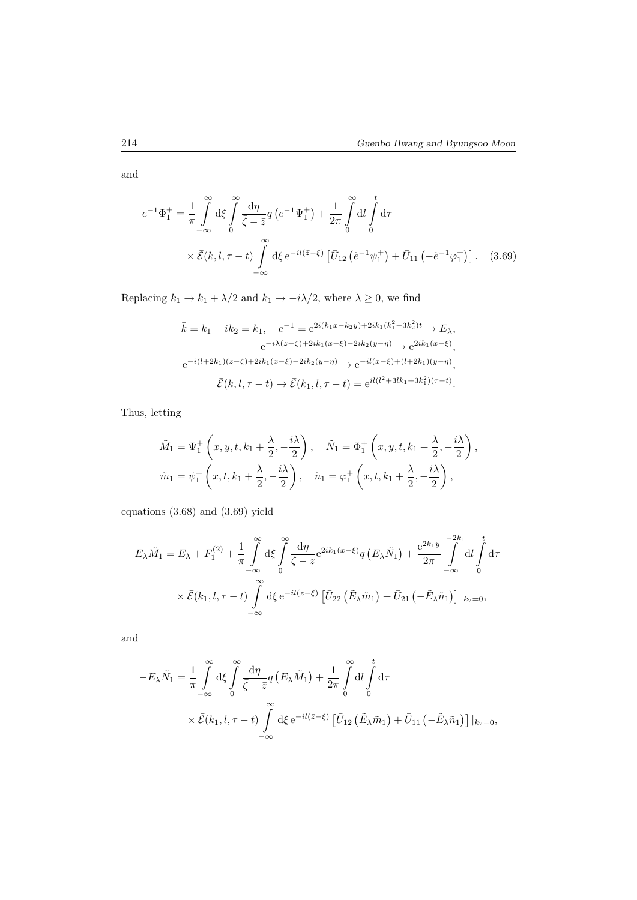and

$$
-e^{-1}\Phi_1^+ = \frac{1}{\pi} \int_{-\infty}^{\infty} d\xi \int_{0}^{\infty} \frac{d\eta}{\bar{\zeta} - \bar{z}} q\left(e^{-1}\Psi_1^+\right) + \frac{1}{2\pi} \int_{0}^{\infty} dl \int_{0}^{t} d\tau
$$
  
 
$$
\times \bar{\mathcal{E}}(k, l, \tau - t) \int_{-\infty}^{\infty} d\xi e^{-il(\bar{z} - \xi)} \left[ \bar{U}_{12} \left( \tilde{e}^{-1}\psi_1^+ \right) + \bar{U}_{11} \left( -\tilde{e}^{-1}\varphi_1^+ \right) \right]. \quad (3.69)
$$

Replacing  $k_1 \rightarrow k_1 + \lambda/2$  and  $k_1 \rightarrow -i\lambda/2,$  where  $\lambda \geq 0,$  we find

$$
\bar{k} = k_1 - ik_2 = k_1, \quad e^{-1} = e^{2i(k_1x - k_2y) + 2ik_1(k_1^2 - 3k_2^2)t} \to E_{\lambda},
$$
  
\n
$$
e^{-i\lambda(z - \zeta) + 2ik_1(x - \xi) - 2ik_2(y - \eta)} \to e^{2ik_1(x - \xi)},
$$
  
\n
$$
e^{-i(l+2k_1)(z - \zeta) + 2ik_1(x - \xi) - 2ik_2(y - \eta)} \to e^{-il(x - \xi) + (l+2k_1)(y - \eta)},
$$
  
\n
$$
\bar{\mathcal{E}}(k, l, \tau - t) \to \bar{\mathcal{E}}(k_1, l, \tau - t) = e^{il(l^2 + 3lk_1 + 3k_1^2)(\tau - t)}.
$$

Thus, letting

$$
\tilde{M}_1 = \Psi_1^+ \left( x, y, t, k_1 + \frac{\lambda}{2}, -\frac{i\lambda}{2} \right), \quad \tilde{N}_1 = \Phi_1^+ \left( x, y, t, k_1 + \frac{\lambda}{2}, -\frac{i\lambda}{2} \right),
$$
  

$$
\tilde{m}_1 = \psi_1^+ \left( x, t, k_1 + \frac{\lambda}{2}, -\frac{i\lambda}{2} \right), \quad \tilde{n}_1 = \varphi_1^+ \left( x, t, k_1 + \frac{\lambda}{2}, -\frac{i\lambda}{2} \right),
$$

equations (3.68) and (3.69) yield

$$
E_{\lambda}\tilde{M}_{1} = E_{\lambda} + F_{1}^{(2)} + \frac{1}{\pi} \int_{-\infty}^{\infty} d\xi \int_{0}^{\infty} \frac{d\eta}{\zeta - z} e^{2ik_{1}(x-\xi)} q(E_{\lambda}\tilde{N}_{1}) + \frac{e^{2k_{1}y}}{2\pi} \int_{-\infty}^{-2k_{1}} dl \int_{0}^{t} d\tau
$$
  
 
$$
\times \bar{\mathcal{E}}(k_{1}, l, \tau - t) \int_{-\infty}^{\infty} d\xi e^{-il(z-\xi)} \left[ \bar{U}_{22} \left( \tilde{E}_{\lambda}\tilde{m}_{1} \right) + \bar{U}_{21} \left( -\tilde{E}_{\lambda}\tilde{n}_{1} \right) \right] |_{k_{2}=0},
$$

and

$$
-E_{\lambda}\tilde{N}_{1} = \frac{1}{\pi} \int_{-\infty}^{\infty} d\xi \int_{0}^{\infty} \frac{d\eta}{\bar{\zeta} - \bar{z}} q(E_{\lambda}\tilde{M}_{1}) + \frac{1}{2\pi} \int_{0}^{\infty} dl \int_{0}^{t} d\tau
$$
  
\$\times \bar{\mathcal{E}}(k\_{1}, l, \tau - t) \int\_{-\infty}^{\infty} d\xi e^{-il(\bar{z}-\xi)} [\bar{U}\_{12}(\tilde{E}\_{\lambda}\tilde{m}\_{1}) + \bar{U}\_{11}(-\tilde{E}\_{\lambda}\tilde{n}\_{1})] |\_{k\_{2}=0},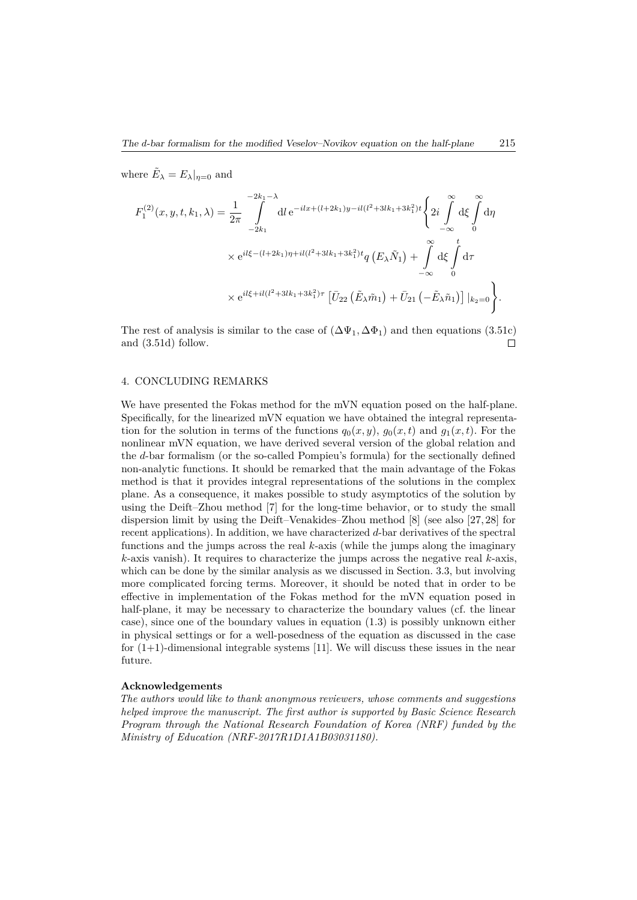where  $\tilde{E}_{\lambda} = E_{\lambda}|_{\eta=0}$  and

$$
F_1^{(2)}(x, y, t, k_1, \lambda) = \frac{1}{2\pi} \int_{-2k_1}^{-2k_1 - \lambda} dl e^{-ilx + (l + 2k_1)y - il(l^2 + 3lk_1 + 3k_1^2)t} \left\{ 2i \int_{-\infty}^{\infty} d\xi \int_0^{\infty} d\eta \right\}
$$
  
 
$$
\times e^{il\xi - (l + 2k_1)\eta + il(l^2 + 3lk_1 + 3k_1^2)t} q(E_\lambda \tilde{N}_1) + \int_{-\infty}^{\infty} d\xi \int_0^t d\tau
$$
  
 
$$
\times e^{il\xi + il(l^2 + 3lk_1 + 3k_1^2)\tau} \left[ \bar{U}_{22} (\tilde{E}_\lambda \tilde{m}_1) + \bar{U}_{21} (-\tilde{E}_\lambda \tilde{n}_1) \right] |_{k_2 = 0} \left\}.
$$

The rest of analysis is similar to the case of  $(\Delta \Psi_1, \Delta \Phi_1)$  and then equations (3.51c) and (3.51d) follow. П

#### 4. CONCLUDING REMARKS

We have presented the Fokas method for the mVN equation posed on the half-plane. Specifically, for the linearized mVN equation we have obtained the integral representation for the solution in terms of the functions  $q_0(x, y)$ ,  $q_0(x, t)$  and  $q_1(x, t)$ . For the nonlinear mVN equation, we have derived several version of the global relation and the *d*-bar formalism (or the so-called Pompieu's formula) for the sectionally defined non-analytic functions. It should be remarked that the main advantage of the Fokas method is that it provides integral representations of the solutions in the complex plane. As a consequence, it makes possible to study asymptotics of the solution by using the Deift–Zhou method [7] for the long-time behavior, or to study the small dispersion limit by using the Deift–Venakides–Zhou method [8] (see also [27, 28] for recent applications). In addition, we have characterized *d*-bar derivatives of the spectral functions and the jumps across the real *k*-axis (while the jumps along the imaginary *k*-axis vanish). It requires to characterize the jumps across the negative real *k*-axis, which can be done by the similar analysis as we discussed in Section. 3.3, but involving more complicated forcing terms. Moreover, it should be noted that in order to be effective in implementation of the Fokas method for the mVN equation posed in half-plane, it may be necessary to characterize the boundary values (cf. the linear case), since one of the boundary values in equation (1.3) is possibly unknown either in physical settings or for a well-posedness of the equation as discussed in the case for  $(1+1)$ -dimensional integrable systems [11]. We will discuss these issues in the near future.

#### **Acknowledgements**

*The authors would like to thank anonymous reviewers, whose comments and suggestions helped improve the manuscript. The first author is supported by Basic Science Research Program through the National Research Foundation of Korea (NRF) funded by the Ministry of Education (NRF-2017R1D1A1B03031180).*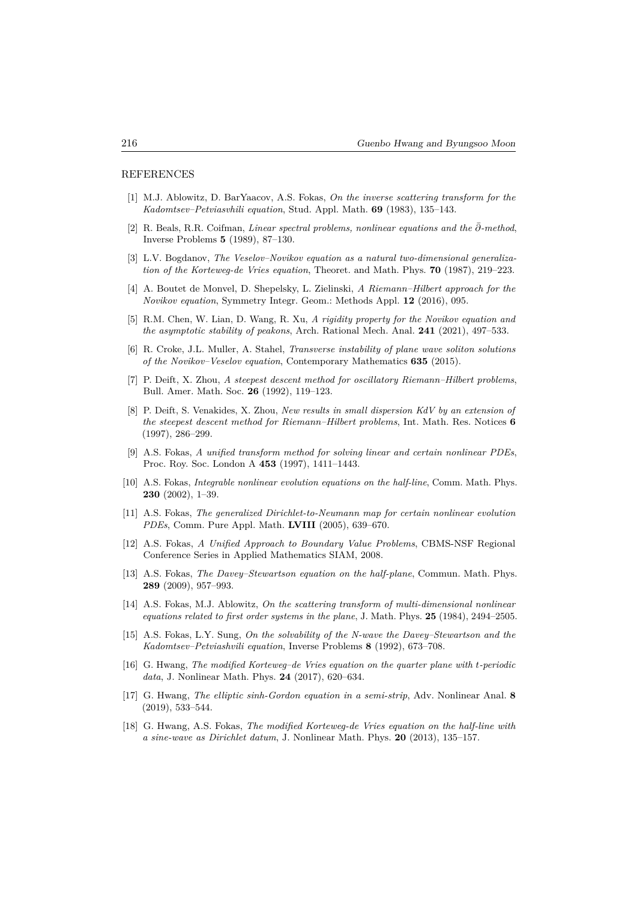#### REFERENCES

- [1] M.J. Ablowitz, D. BarYaacov, A.S. Fokas, *On the inverse scattering transform for the Kadomtsev–Petviasvhili equation*, Stud. Appl. Math. **69** (1983), 135–143.
- [2] R. Beals, R.R. Coifman, *Linear spectral problems, nonlinear equations and the ∂*¯*-method*, Inverse Problems **5** (1989), 87–130.
- [3] L.V. Bogdanov, *The Veselov–Novikov equation as a natural two-dimensional generalization of the Korteweg-de Vries equation*, Theoret. and Math. Phys. **70** (1987), 219–223.
- [4] A. Boutet de Monvel, D. Shepelsky, L. Zielinski, *A Riemann–Hilbert approach for the Novikov equation*, Symmetry Integr. Geom.: Methods Appl. **12** (2016), 095.
- [5] R.M. Chen, W. Lian, D. Wang, R. Xu, *A rigidity property for the Novikov equation and the asymptotic stability of peakons*, Arch. Rational Mech. Anal. **241** (2021), 497–533.
- [6] R. Croke, J.L. Muller, A. Stahel, *Transverse instability of plane wave soliton solutions of the Novikov–Veselov equation*, Contemporary Mathematics **635** (2015).
- [7] P. Deift, X. Zhou, *A steepest descent method for oscillatory Riemann–Hilbert problems*, Bull. Amer. Math. Soc. **26** (1992), 119–123.
- [8] P. Deift, S. Venakides, X. Zhou, *New results in small dispersion KdV by an extension of the steepest descent method for Riemann–Hilbert problems*, Int. Math. Res. Notices **6** (1997), 286–299.
- [9] A.S. Fokas, *A unified transform method for solving linear and certain nonlinear PDEs*, Proc. Roy. Soc. London A **453** (1997), 1411–1443.
- [10] A.S. Fokas, *Integrable nonlinear evolution equations on the half-line*, Comm. Math. Phys. **230** (2002), 1–39.
- [11] A.S. Fokas, *The generalized Dirichlet-to-Neumann map for certain nonlinear evolution PDEs*, Comm. Pure Appl. Math. **LVIII** (2005), 639–670.
- [12] A.S. Fokas, *A Unified Approach to Boundary Value Problems*, CBMS-NSF Regional Conference Series in Applied Mathematics SIAM, 2008.
- [13] A.S. Fokas, *The Davey–Stewartson equation on the half-plane*, Commun. Math. Phys. **289** (2009), 957–993.
- [14] A.S. Fokas, M.J. Ablowitz, *On the scattering transform of multi-dimensional nonlinear equations related to first order systems in the plane*, J. Math. Phys. **25** (1984), 2494–2505.
- [15] A.S. Fokas, L.Y. Sung, *On the solvability of the N-wave the Davey–Stewartson and the Kadomtsev–Petviashvili equation*, Inverse Problems **8** (1992), 673–708.
- [16] G. Hwang, *The modified Korteweg–de Vries equation on the quarter plane with t-periodic data*, J. Nonlinear Math. Phys. **24** (2017), 620–634.
- [17] G. Hwang, *The elliptic sinh-Gordon equation in a semi-strip*, Adv. Nonlinear Anal. **8** (2019), 533–544.
- [18] G. Hwang, A.S. Fokas, *The modified Korteweg-de Vries equation on the half-line with a sine-wave as Dirichlet datum*, J. Nonlinear Math. Phys. **20** (2013), 135–157.